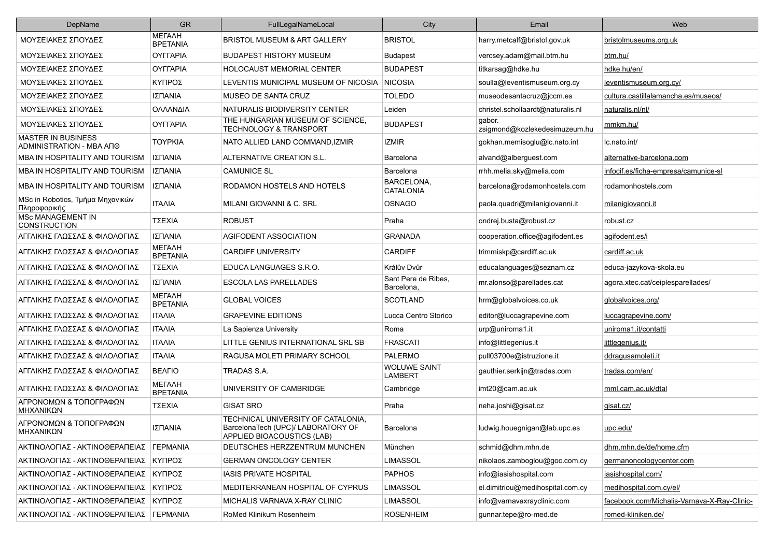| DepName                                               | GR                               | FullLegalNameLocal                                                                                     | City                                  | Email                                   | Web                                         |
|-------------------------------------------------------|----------------------------------|--------------------------------------------------------------------------------------------------------|---------------------------------------|-----------------------------------------|---------------------------------------------|
| ΜΟΥΣΕΙΑΚΕΣ ΣΠΟΥΔΕΣ                                    | <b>METAAH</b><br><b>BPETANIA</b> | <b>BRISTOL MUSEUM &amp; ART GALLERY</b>                                                                | <b>BRISTOL</b>                        | harry.metcalf@bristol.gov.uk            | bristolmuseums.org.uk                       |
| ΜΟΥΣΕΙΑΚΕΣ ΣΠΟΥΔΕΣ                                    | <b>OYFFAPIA</b>                  | <b>BUDAPEST HISTORY MUSEUM</b>                                                                         | <b>Budapest</b>                       | vercsey.adam@mail.btm.hu                | btm.hu/                                     |
| ΜΟΥΣΕΙΑΚΕΣ ΣΠΟΥΔΕΣ                                    | <b>OYFFAPIA</b>                  | <b>HOLOCAUST MEMORIAL CENTER</b>                                                                       | <b>BUDAPEST</b>                       | titkarsag@hdke.hu                       | hdke.hu/en/                                 |
| ΜΟΥΣΕΙΑΚΕΣ ΣΠΟΥΔΕΣ                                    | ΚΥΠΡΟΣ                           | LEVENTIS MUNICIPAL MUSEUM OF NICOSIA NICOSIA                                                           |                                       | soulla@leventismuseum.org.cy            | leventismuseum.org.cy/                      |
| ΜΟΥΣΕΙΑΚΕΣ ΣΠΟΥΔΕΣ                                    | ΙΣΠΑΝΙΑ                          | MUSEO DE SANTA CRUZ                                                                                    | <b>TOLEDO</b>                         | museodesantacruz@jccm.es                | cultura.castillalamancha.es/museos/         |
| ΜΟΥΣΕΙΑΚΕΣ ΣΠΟΥΔΕΣ                                    | ΟΛΛΑΝΔΙΑ                         | NATURALIS BIODIVERSITY CENTER                                                                          | Leiden                                | christel.schollaardt@naturalis.nl       | naturalis.nl/nl/                            |
| ΜΟΥΣΕΙΑΚΕΣ ΣΠΟΥΔΕΣ                                    | <b>OYFFAPIA</b>                  | THE HUNGARIAN MUSEUM OF SCIENCE,<br><b>TECHNOLOGY &amp; TRANSPORT</b>                                  | <b>BUDAPEST</b>                       | gabor.<br>zsigmond@kozlekedesimuzeum.hu | mmkm.hu/                                    |
| <b>MASTER IN BUSINESS</b><br>ADMINISTRATION - MBA ANO | <b>TOYPKIA</b>                   | NATO ALLIED LAND COMMAND, IZMIR                                                                        | IZMIR                                 | gokhan.memisoglu@lc.nato.int            | Ic.nato.int/                                |
| MBA IN HOSPITALITY AND TOURISM                        | ΙΣΠΑΝΙΑ                          | ALTERNATIVE CREATION S.L.                                                                              | Barcelona                             | alvand@alberguest.com                   | alternative-barcelona.com                   |
| MBA IN HOSPITALITY AND TOURISM                        | ΙΣΠΑΝΙΑ                          | <b>CAMUNICE SL</b>                                                                                     | Barcelona                             | rrhh.melia.sky@melia.com                | infocif.es/ficha-empresa/camunice-sl        |
| MBA IN HOSPITALITY AND TOURISM                        | ΙΣΠΑΝΙΑ                          | RODAMON HOSTELS AND HOTELS                                                                             | BARCELONA,<br><b>CATALONIA</b>        | barcelona@rodamonhostels.com            | rodamonhostels.com                          |
| MSc in Robotics, Τμήμα Μηχανικών<br>Πληροφορικής      | <b>ITAAIA</b>                    | MILANI GIOVANNI & C. SRL                                                                               | <b>OSNAGO</b>                         | paola.quadri@milanigiovanni.it          | milanigiovanni.it                           |
| <b>MSc MANAGEMENT IN</b><br><b>CONSTRUCTION</b>       | ΤΣΕΧΙΑ                           | <b>ROBUST</b>                                                                                          | Praha                                 | ondrej.busta@robust.cz                  | robust.cz                                   |
| ΑΓΓΛΙΚΗΣ ΓΛΩΣΣΑΣ & ΦΙΛΟΛΟΓΙΑΣ                         | ΙΣΠΑΝΙΑ                          | AGIFODENT ASSOCIATION                                                                                  | <b>GRANADA</b>                        | cooperation.office@agifodent.es         | agifodent.es/i                              |
| ΑΓΓΛΙΚΗΣ ΓΛΩΣΣΑΣ & ΦΙΛΟΛΟΓΙΑΣ                         | <b>METAAH</b><br><b>BPETANIA</b> | <b>CARDIFF UNIVERSITY</b>                                                                              | <b>CARDIFF</b>                        | trimmiskp@cardiff.ac.uk                 | cardiff.ac.uk                               |
| ΑΓΓΛΙΚΗΣ ΓΛΩΣΣΑΣ & ΦΙΛΟΛΟΓΙΑΣ                         | ΤΣΕΧΙΑ                           | EDUCA LANGUAGES S.R.O.                                                                                 | Králův Dvůr                           | educalanguages@seznam.cz                | educa-jazykova-skola.eu                     |
| ΑΓΓΛΙΚΗΣ ΓΛΩΣΣΑΣ & ΦΙΛΟΛΟΓΙΑΣ                         | ΙΣΠΑΝΙΑ                          | ESCOLA LAS PARELLADES                                                                                  | Sant Pere de Ribes.<br>Barcelona,     | mr.alonso@parellades.cat                | agora.xtec.cat/ceiplesparellades/           |
| ΑΓΓΛΙΚΗΣ ΓΛΩΣΣΑΣ & ΦΙΛΟΛΟΓΙΑΣ                         | МЕГАЛН<br><b>BPETANIA</b>        | <b>GLOBAL VOICES</b>                                                                                   | <b>SCOTLAND</b>                       | hrm@globalvoices.co.uk                  | globalvoices.org/                           |
| ΑΓΓΛΙΚΗΣ ΓΛΩΣΣΑΣ & ΦΙΛΟΛΟΓΙΑΣ                         | <b>ITAAIA</b>                    | <b>GRAPEVINE EDITIONS</b>                                                                              | Lucca Centro Storico                  | editor@luccagrapevine.com               | luccagrapevine.com/                         |
| ΑΓΓΛΙΚΗΣ ΓΛΩΣΣΑΣ & ΦΙΛΟΛΟΓΙΑΣ                         | <b>ITAAIA</b>                    | La Sapienza University                                                                                 | Roma                                  | urp@uniroma1.it                         | uniroma1.it/contatti                        |
| ΑΓΓΛΙΚΗΣ ΓΛΩΣΣΑΣ & ΦΙΛΟΛΟΓΙΑΣ                         | <b>ITAAIA</b>                    | LITTLE GENIUS INTERNATIONAL SRL SB                                                                     | <b>FRASCATI</b>                       | info@littlegenius.it                    | littlegenius.it/                            |
| ΑΓΓΛΙΚΗΣ ΓΛΩΣΣΑΣ & ΦΙΛΟΛΟΓΙΑΣ                         | <b>ITAAIA</b>                    | RAGUSA MOLETI PRIMARY SCHOOL                                                                           | <b>PALERMO</b>                        | pull03700e@istruzione.it                | ddragusamoleti.it                           |
| ΑΓΓΛΙΚΗΣ ΓΛΩΣΣΑΣ & ΦΙΛΟΛΟΓΙΑΣ                         | <b>BEAFIO</b>                    | TRADAS S.A.                                                                                            | <b>WOLUWE SAINT</b><br><b>LAMBERT</b> | gauthier.serkijn@tradas.com             | tradas.com/en/                              |
| ΑΓΓΛΙΚΗΣ ΓΛΩΣΣΑΣ & ΦΙΛΟΛΟΓΙΑΣ                         | МЕГАЛН<br><b>BPETANIA</b>        | UNIVERSITY OF CAMBRIDGE                                                                                | Cambridge                             | imt20@cam.ac.uk                         | mml.cam.ac.uk/dtal                          |
| ΑΓΡΟΝΟΜΩΝ & ΤΟΠΟΓΡΑΦΩΝ<br>ΜΗΧΑΝΙΚΩΝ                   | ΤΣΕΧΙΑ                           | <b>GISAT SRO</b>                                                                                       | Praha                                 | neha.joshi@gisat.cz                     | gisat.cz/                                   |
| ΑΓΡΟΝΟΜΩΝ & ΤΟΠΟΓΡΑΦΩΝ<br>MHXANIKΩN                   | ΙΣΠΑΝΙΑ                          | TECHNICAL UNIVERSITY OF CATALONIA,<br>BarcelonaTech (UPC)/ LABORATORY OF<br>APPLIED BIOACOUSTICS (LAB) | Barcelona                             | ludwig.houegnigan@lab.upc.es            | upc.edu/                                    |
| ΑΚΤΙΝΟΛΟΓΙΑΣ - ΑΚΤΙΝΟΘΕΡΑΠΕΙΑΣ   ΓΕΡΜΑΝΙΑ             |                                  | DEUTSCHES HERZZENTRUM MUNCHEN                                                                          | München                               | schmid@dhm.mhn.de                       | dhm.mhn.de/de/home.cfm                      |
| ΑΚΤΙΝΟΛΟΓΙΑΣ - ΑΚΤΙΝΟΘΕΡΑΠΕΙΑΣ ΚΥΠΡΟΣ                 |                                  | <b>GERMAN ONCOLOGY CENTER</b>                                                                          | <b>LIMASSOL</b>                       | nikolaos.zamboglou@goc.com.cy           | germanoncologycenter.com                    |
| ΑΚΤΙΝΟΛΟΓΙΑΣ - ΑΚΤΙΝΟΘΕΡΑΠΕΙΑΣ ΚΥΠΡΟΣ                 |                                  | IASIS PRIVATE HOSPITAL                                                                                 | <b>PAPHOS</b>                         | info@iasishospital.com                  | iasishospital.com/                          |
| ΑΚΤΙΝΟΛΟΓΙΑΣ - ΑΚΤΙΝΟΘΕΡΑΠΕΙΑΣ ΚΥΠΡΟΣ                 |                                  | MEDITERRANEAN HOSPITAL OF CYPRUS                                                                       | <b>LIMASSOL</b>                       | el.dimitriou@medihospital.com.cy        | medihospital.com.cy/el/                     |
| ΑΚΤΙΝΟΛΟΓΙΑΣ - ΑΚΤΙΝΟΘΕΡΑΠΕΙΑΣ ΚΥΠΡΟΣ                 |                                  | MICHALIS VARNAVA X-RAY CLINIC                                                                          | <b>LIMASSOL</b>                       | info@varnavaxrayclinic.com              | facebook.com/Michalis-Varnava-X-Ray-Clinic- |
| ΑΚΤΙΝΟΛΟΓΙΑΣ - ΑΚΤΙΝΟΘΕΡΑΠΕΙΑΣ   ΓΕΡΜΑΝΙΑ             |                                  | RoMed Klinikum Rosenheim                                                                               | <b>ROSENHEIM</b>                      | gunnar.tepe@ro-med.de                   | romed-kliniken.de/                          |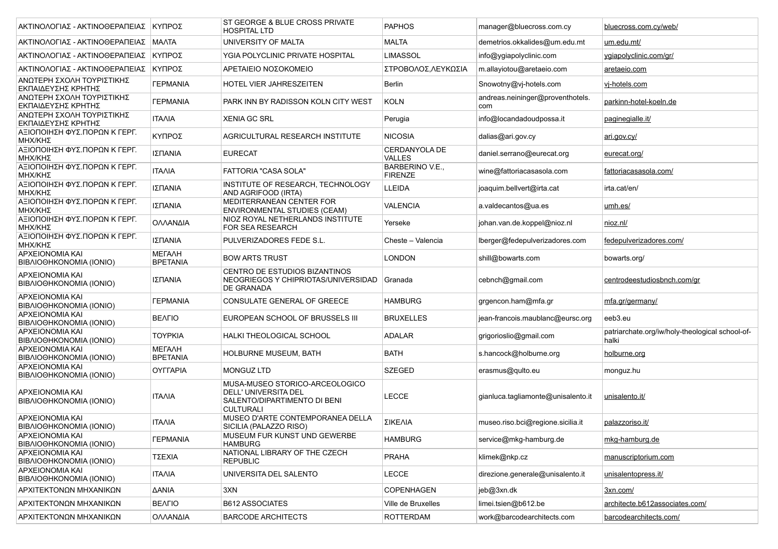| ΑΚΤΙΝΟΛΟΓΙΑΣ - ΑΚΤΙΝΟΘΕΡΑΠΕΙΑΣ ΚΥΠΡΟΣ             |                                  | ST GEORGE & BLUE CROSS PRIVATE<br><b>HOSPITAL LTD</b>                                                             | <b>PAPHOS</b>                         | manager@bluecross.com.cy                | bluecross.com.cy/web/                                    |
|---------------------------------------------------|----------------------------------|-------------------------------------------------------------------------------------------------------------------|---------------------------------------|-----------------------------------------|----------------------------------------------------------|
| ΑΚΤΙΝΟΛΟΓΙΑΣ - ΑΚΤΙΝΟΘΕΡΑΠΕΙΑΣ   ΜΑΛΤΑ            |                                  | UNIVERSITY OF MALTA                                                                                               | MALTA                                 | demetrios.okkalides@um.edu.mt           | um.edu.mt/                                               |
| ΑΚΤΙΝΟΛΟΓΙΑΣ - ΑΚΤΙΝΟΘΕΡΑΠΕΙΑΣ ΚΥΠΡΟΣ             |                                  | YGIA POLYCLINIC PRIVATE HOSPITAL                                                                                  | <b>LIMASSOL</b>                       | info@ygiapolyclinic.com                 | ygiapolyclinic.com/gr/                                   |
| ΑΚΤΙΝΟΛΟΓΙΑΣ - ΑΚΤΙΝΟΘΕΡΑΠΕΙΑΣ ΚΥΠΡΟΣ             |                                  | ΑΡΕΤΑΙΕΙΟ ΝΟΣΟΚΟΜΕΙΟ                                                                                              | ΣΤΡΟΒΟΛΟΣ.ΛΕΥΚΩΣΙΑ                    | m.allayiotou@aretaeio.com               | aretaeio.com                                             |
| ΑΝΩΤΕΡΗ ΣΧΟΛΗ ΤΟΥΡΙΣΤΙΚΗΣ<br>ΕΚΠΑΙΔΕΥΣΗΣ ΚΡΗΤΗΣ   | <b><i>TEPMANIA</i></b>           | HOTEL VIER JAHRESZEITEN                                                                                           | <b>Berlin</b>                         | Snowotny@vj-hotels.com                  | vi-hotels.com                                            |
| ΑΝΩΤΕΡΗ ΣΧΟΛΗ ΤΟΥΡΙΣΤΙΚΗΣ<br>ΕΚΠΑΙΔΕΥΣΗΣ ΚΡΗΤΗΣ   | <b><i>TEPMANIA</i></b>           | PARK INN BY RADISSON KOLN CITY WEST                                                                               | <b>KOLN</b>                           | andreas.neininger@proventhotels.<br>com | parkinn-hotel-koeln.de                                   |
| ΑΝΩΤΕΡΗ ΣΧΟΛΗ ΤΟΥΡΙΣΤΙΚΗΣ<br>ΕΚΠΑΙΔΕΥΣΗΣ ΚΡΗΤΗΣ   | <b>ITAAIA</b>                    | <b>XENIA GC SRL</b>                                                                                               | Perugia                               | info@locandadoudpossa.it                | paginegialle.it/                                         |
| ΑΞΙΟΠΟΙΗΣΗ ΦΥΣ.ΠΟΡΩΝ Κ ΓΕΡΓ.<br>ΜΗΧ/ΚΗΣ           | ΚΥΠΡΟΣ                           | AGRICULTURAL RESEARCH INSTITUTE                                                                                   | <b>NICOSIA</b>                        | dalias@ari.gov.cv                       | <u>ari.gov.cy/</u>                                       |
| ΑΞΙΟΠΟΙΗΣΗ ΦΥΣ.ΠΟΡΩΝ Κ ΓΕΡΓ.<br>ΜΗΧ/ΚΗΣ           | ΙΣΠΑΝΙΑ                          | <b>EURECAT</b>                                                                                                    | <b>CERDANYOLA DE</b><br><b>VALLES</b> | daniel.serrano@eurecat.org              | eurecat.org/                                             |
| ΑΞΙΟΠΟΙΗΣΗ ΦΥΣ.ΠΟΡΩΝ Κ ΓΕΡΓ.<br>ΜΗΧ/ΚΗΣ           | <b>ITAAIA</b>                    | FATTORIA "CASA SOLA"                                                                                              | BARBERINO V.E.,<br><b>FIRENZE</b>     | wine@fattoriacasasola.com               | fattoriacasasola.com/                                    |
| ΑΞΙΟΠΟΙΗΣΗ ΦΥΣ.ΠΟΡΩΝ Κ ΓΕΡΓ.<br>ΜΗΧ/ΚΗΣ           | ΙΣΠΑΝΙΑ                          | INSTITUTE OF RESEARCH, TECHNOLOGY<br>AND AGRIFOOD (IRTA)                                                          | LLEIDA                                | joaquim.bellvert@irta.cat               | irta.cat/en/                                             |
| ΑΞΙΟΠΟΙΗΣΗ ΦΥΣ.ΠΟΡΩΝ Κ ΓΕΡΓ.<br>ΜΗΧ/ΚΗΣ           | ΙΣΠΑΝΙΑ                          | MEDITERRANEAN CENTER FOR<br><b>ENVIRONMENTAL STUDIES (CEAM)</b>                                                   | <b>VALENCIA</b>                       | a.valdecantos@ua.es                     | <u>umh.es/</u>                                           |
| ΑΞΙΟΠΟΙΗΣΗ ΦΥΣ.ΠΟΡΩΝ Κ ΓΕΡΓ.<br>ΜΗΧ/ΚΗΣ           | ΟΛΛΑΝΔΙΑ                         | NIOZ ROYAL NETHERLANDS INSTITUTE<br>FOR SEA RESEARCH                                                              | Yerseke                               | johan.van.de.koppel@nioz.nl             | <u>nioz.nl/</u>                                          |
| ΑΞΙΟΠΟΙΗΣΗ ΦΥΣ.ΠΟΡΩΝ Κ ΓΕΡΓ.<br>ΜΗΧ/ΚΗΣ           | ΙΣΠΑΝΙΑ                          | PULVERIZADORES FEDE S.L.                                                                                          | Cheste - Valencia                     | lberger@fedepulverizadores.com          | fedepulverizadores.com/                                  |
| APXEIONOMIA KAI<br>BIBAIOOHKONOMIA (IONIO)        | <b>METAAH</b><br><b>BPETANIA</b> | <b>BOW ARTS TRUST</b>                                                                                             | <b>LONDON</b>                         | shill@bowarts.com                       | bowarts.org/                                             |
| APXEIONOMIA KAI<br>BIBAIOOHKONOMIA (IONIO)        | ΙΣΠΑΝΙΑ                          | CENTRO DE ESTUDIOS BIZANTINOS<br>NEOGRIEGOS Y CHIPRIOTAS/UNIVERSIDAD<br>DE GRANADA                                | Granada                               | cebnch@gmail.com                        | centrodeestudiosbnch.com/gr                              |
| APXEIONOMIA KAI<br>BIBAIOOHKONOMIA (IONIO)        | <b><i>FEPMANIA</i></b>           | CONSULATE GENERAL OF GREECE                                                                                       | <b>HAMBURG</b>                        | grgencon.ham@mfa.gr                     | mfa.gr/germany/                                          |
| APXEIONOMIA KAI<br>BIBAIOOHKONOMIA (IONIO)        | <b>BEAFIO</b>                    | EUROPEAN SCHOOL OF BRUSSELS III                                                                                   | <b>BRUXELLES</b>                      | jean-francois.maublanc@eursc.org        | eeb3.eu                                                  |
| <b>APXEIONOMIA KAI</b><br>BIBAIOOHKONOMIA (IONIO) | <b>TOYPKIA</b>                   | HALKI THEOLOGICAL SCHOOL                                                                                          | <b>ADALAR</b>                         | grigorioslio@gmail.com                  | patriarchate.org/iw/holy-theological school-of-<br>halki |
| APXEIONOMIA KAI<br>BIBAIOOHKONOMIA (IONIO)        | <b>METAAH</b><br><b>BPETANIA</b> | HOLBURNE MUSEUM, BATH                                                                                             | <b>BATH</b>                           | s.hancock@holburne.org                  | holburne.org                                             |
| APXEIONOMIA KAI<br>BIBAIOOHKONOMIA (IONIO)        | OYFFAPIA                         | <b>MONGUZ LTD</b>                                                                                                 | <b>SZEGED</b>                         | erasmus@qulto.eu                        | monguz.hu                                                |
| APXEIONOMIA KAI<br>BIBAIOOHKONOMIA (IONIO)        | ITAAIA                           | MUSA-MUSEO STORICO-ARCEOLOGICO<br><b>DELL' UNIVERSITA DEL</b><br>SALENTO/DIPARTIMENTO DI BENI<br><b>CULTURALI</b> | <b>LECCE</b>                          | gianluca tagliamonte@unisalento.it      | unisalento.it/                                           |
| APXEIONOMIA KAI<br>BIBAIOΘHKONOMIA (IONIO)        | <b>ITAAIA</b>                    | MUSEO D'ARTE CONTEMPORANEA DELLA<br>SICILIA (PALAZZO RISO)                                                        | ΣΙΚΕΛΙΑ                               | museo.riso.bci@regione.sicilia.it       | palazzoriso.it/                                          |
| <b>APXEIONOMIA KAI</b><br>BIBAIOOHKONOMIA (IONIO) | <b><i>FEPMANIA</i></b>           | MUSEUM FUR KUNST UND GEWERBE<br><b>HAMBURG</b>                                                                    | <b>HAMBURG</b>                        | service@mkg-hamburg.de                  | <u>mkg-hamburg.de</u>                                    |
| APXEIONOMIA KAI<br>BIBAIOΘHKONOMIA (IONIO)        | ΤΣΕΧΙΑ                           | NATIONAL LIBRARY OF THE CZECH<br><b>REPUBLIC</b>                                                                  | <b>PRAHA</b>                          | klimek@nkp.cz                           | manuscriptorium.com                                      |
| APXEIONOMIA KAI<br>BIBAIOOHKONOMIA (IONIO)        | <b>ITAAIA</b>                    | UNIVERSITA DEL SALENTO                                                                                            | <b>LECCE</b>                          | direzione.generale@unisalento.it        | unisalentopress.it/                                      |
| ΑΡΧΙΤΕΚΤΟΝΩΝ ΜΗΧΑΝΙΚΩΝ                            | ΔANIA                            | 3XN                                                                                                               | <b>COPENHAGEN</b>                     | jeb@3xn.dk                              | 3xn.com/                                                 |
| ΑΡΧΙΤΕΚΤΟΝΩΝ ΜΗΧΑΝΙΚΩΝ                            | <b>BEAFIO</b>                    | <b>B612 ASSOCIATES</b>                                                                                            | Ville de Bruxelles                    | limei.tsien@b612.be                     | architecte.b612associates.com/                           |
| ΑΡΧΙΤΕΚΤΟΝΩΝ ΜΗΧΑΝΙΚΩΝ                            | ΟΛΛΑΝΔΙΑ                         | <b>BARCODE ARCHITECTS</b>                                                                                         | <b>ROTTERDAM</b>                      | work@barcodearchitects.com              | barcodearchitects.com/                                   |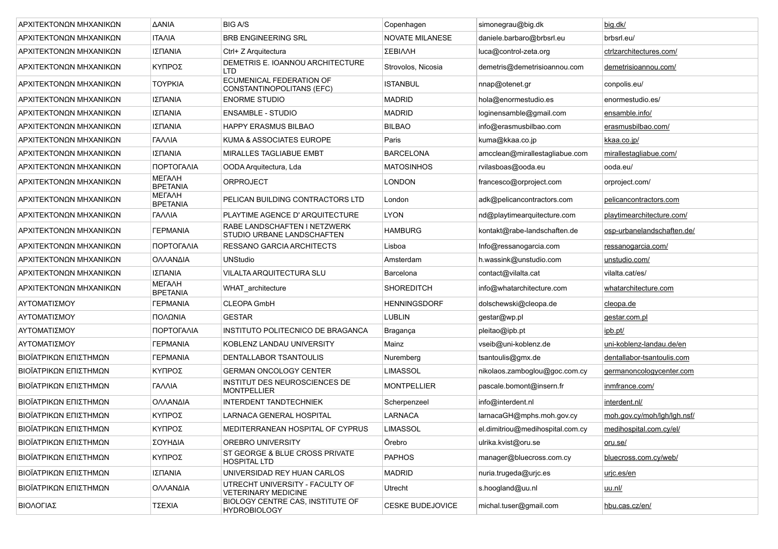| ΑΡΧΙΤΕΚΤΟΝΩΝ ΜΗΧΑΝΙΚΩΝ | <b>AANIA</b>                     | <b>BIG A/S</b>                                                | Copenhagen          | simonegrau@big.dk                | big.dk/                     |
|------------------------|----------------------------------|---------------------------------------------------------------|---------------------|----------------------------------|-----------------------------|
| ΑΡΧΙΤΕΚΤΟΝΩΝ ΜΗΧΑΝΙΚΩΝ | <b>ITAAIA</b>                    | <b>BRB ENGINEERING SRL</b>                                    | NOVATE MILANESE     | daniele.barbaro@brbsrl.eu        | brbsrl.eu/                  |
| ΑΡΧΙΤΕΚΤΟΝΩΝ ΜΗΧΑΝΙΚΩΝ | ΙΣΠΑΝΙΑ                          | Ctrl+ Z Arquitectura                                          | <b>ΣΕΒΙΛΛΗ</b>      | luca@control-zeta.org            | ctrizarchitectures.com/     |
| ΑΡΧΙΤΕΚΤΟΝΩΝ ΜΗΧΑΝΙΚΩΝ | ΚΥΠΡΟΣ                           | DEMETRIS E. IOANNOU ARCHITECTURE<br><b>LTD</b>                | Strovolos, Nicosia  | demetris@demetrisioannou.com     | demetrisioannou.com/        |
| ΑΡΧΙΤΕΚΤΟΝΩΝ ΜΗΧΑΝΙΚΩΝ | <b>TOYPKIA</b>                   | ECUMENICAL FEDERATION OF<br>CONSTANTINOPOLITANS (EFC)         | <b>ISTANBUL</b>     | nnap@otenet.gr                   | conpolis.eu/                |
| ΑΡΧΙΤΕΚΤΟΝΩΝ ΜΗΧΑΝΙΚΩΝ | ΙΣΠΑΝΙΑ                          | <b>ENORME STUDIO</b>                                          | <b>MADRID</b>       | hola@enormestudio.es             | enormestudio.es/            |
| ΑΡΧΙΤΕΚΤΟΝΩΝ ΜΗΧΑΝΙΚΩΝ | ΙΣΠΑΝΙΑ                          | <b>ENSAMBLE - STUDIO</b>                                      | <b>MADRID</b>       | loginensamble@gmail.com          | ensamble.info/              |
| ΑΡΧΙΤΕΚΤΟΝΩΝ ΜΗΧΑΝΙΚΩΝ | ΙΣΠΑΝΙΑ                          | <b>HAPPY ERASMUS BILBAO</b>                                   | <b>BILBAO</b>       | info@erasmusbilbao.com           | erasmusbilbao.com/          |
| ΑΡΧΙΤΕΚΤΟΝΩΝ ΜΗΧΑΝΙΚΩΝ | ΓΑΛΛΙΑ                           | KUMA & ASSOCIATES EUROPE                                      | Paris               | kuma@kkaa.co.jp                  | <u>kkaa.co.jp/</u>          |
| ΑΡΧΙΤΕΚΤΟΝΩΝ ΜΗΧΑΝΙΚΩΝ | ΙΣΠΑΝΙΑ                          | <b>MIRALLES TAGLIABUE EMBT</b>                                | <b>BARCELONA</b>    | amcclean@mirallestagliabue.com   | mirallestagliabue.com/      |
| ΑΡΧΙΤΕΚΤΟΝΩΝ ΜΗΧΑΝΙΚΩΝ | ΠΟΡΤΟΓΑΛΙΑ                       | OODA Arquitectura, Lda                                        | <b>MATOSINHOS</b>   | rvilasboas@ooda.eu               | ooda.eu/                    |
| ΑΡΧΙΤΕΚΤΟΝΩΝ ΜΗΧΑΝΙΚΩΝ | <b>METAAH</b><br><b>BPETANIA</b> | ORPROJECT                                                     | LONDON              | francesco@orproject.com          | orproject.com/              |
| ΑΡΧΙΤΕΚΤΟΝΩΝ ΜΗΧΑΝΙΚΩΝ | МЕГАЛН<br><b>BPETANIA</b>        | PELICAN BUILDING CONTRACTORS LTD                              | London              | adk@pelicancontractors.com       | pelicancontractors.com      |
| ΑΡΧΙΤΕΚΤΟΝΩΝ ΜΗΧΑΝΙΚΩΝ | ΓΑΛΛΙΑ                           | PLAYTIME AGENCE D'ARQUITECTURE                                | <b>LYON</b>         | nd@playtimearquitecture.com      | playtimearchitecture.com/   |
| ΑΡΧΙΤΕΚΤΟΝΩΝ ΜΗΧΑΝΙΚΩΝ | <b><i>TEPMANIA</i></b>           | RABE LANDSCHAFTEN I NETZWERK<br>STUDIO URBANE LANDSCHAFTEN    | <b>HAMBURG</b>      | kontakt@rabe-landschaften.de     | osp-urbanelandschaften.de/  |
| ΑΡΧΙΤΕΚΤΟΝΩΝ ΜΗΧΑΝΙΚΩΝ | ΠΟΡΤΟΓΑΛΙΑ                       | RESSANO GARCIA ARCHITECTS                                     | Lisboa              | Info@ressanogarcia.com           | ressanogarcia.com/          |
| ΑΡΧΙΤΕΚΤΟΝΩΝ ΜΗΧΑΝΙΚΩΝ | ΟΛΛΑΝΔΙΑ                         | <b>UNStudio</b>                                               | Amsterdam           | h.wassink@unstudio.com           | unstudio.com/               |
| ΑΡΧΙΤΕΚΤΟΝΩΝ ΜΗΧΑΝΙΚΩΝ | ΙΣΠΑΝΙΑ                          | <b>VILALTA ARQUITECTURA SLU</b>                               | <b>Barcelona</b>    | contact@vilalta.cat              | vilalta.cat/es/             |
| ΑΡΧΙΤΕΚΤΟΝΩΝ ΜΗΧΑΝΙΚΩΝ | МЕГАЛН<br><b>BPETANIA</b>        | WHAT architecture                                             | <b>SHOREDITCH</b>   | info@whatarchitecture.com        | whatarchitecture.com        |
| ΑΥΤΟΜΑΤΙΣΜΟΥ           | <b><i>FEPMANIA</i></b>           | <b>CLEOPA GmbH</b>                                            | <b>HENNINGSDORF</b> | dolschewski@cleopa.de            | cleopa.de                   |
| ΑΥΤΟΜΑΤΙΣΜΟΥ           | ΠΟΛΩΝΙΑ                          | <b>GESTAR</b>                                                 | <b>LUBLIN</b>       | gestar@wp.pl                     | <u>gestar.com.pl</u>        |
| ΑΥΤΟΜΑΤΙΣΜΟΥ           | ΠΟΡΤΟΓΑΛΙΑ                       | INSTITUTO POLITECNICO DE BRAGANCA                             | Bragança            | pleitao@ipb.pt                   | ipb.pt/                     |
| ΑΥΤΟΜΑΤΙΣΜΟΥ           | <b><i>TEPMANIA</i></b>           | KOBLENZ LANDAU UNIVERSITY                                     | Mainz               | vseib@uni-koblenz.de             | uni-koblenz-landau.de/en    |
| ΒΙΟΪΑΤΡΙΚΩΝ ΕΠΙΣΤΗΜΩΝ  | <b><i>TEPMANIA</i></b>           | DENTALLABOR TSANTOULIS                                        | Nuremberg           | tsantoulis@gmx.de                | dentallabor-tsantoulis.com  |
| ΒΙΟΪΑΤΡΙΚΩΝ ΕΠΙΣΤΗΜΩΝ  | ΚΥΠΡΟΣ                           | <b>GERMAN ONCOLOGY CENTER</b>                                 | <b>LIMASSOL</b>     | nikolaos.zamboglou@goc.com.cy    | germanoncologycenter.com    |
| ΒΙΟΪΑΤΡΙΚΩΝ ΕΠΙΣΤΗΜΩΝ  | <b><i>TANNIA</i></b>             | INSTITUT DES NEUROSCIENCES DE<br><b>MONTPELLIER</b>           | <b>MONTPELLIER</b>  | pascale.bomont@insern.fr         | inmfrance.com/              |
| ΒΙΟΪΑΤΡΙΚΩΝ ΕΠΙΣΤΗΜΩΝ  | ΟΛΛΑΝΔΙΑ                         | INTERDENT TANDTECHNIEK                                        | Scherpenzeel        | info@interdent.nl                | interdent.nl/               |
| ΒΙΟΪΑΤΡΙΚΩΝ ΕΠΙΣΤΗΜΩΝ  | ΚΥΠΡΟΣ                           | LARNACA GENERAL HOSPITAL                                      | LARNACA             | larnacaGH@mphs.moh.gov.cv        | moh.gov.cy/moh/lgh/lgh.nsf/ |
| ΒΙΟΪΑΤΡΙΚΩΝ ΕΠΙΣΤΗΜΩΝ  | ΚΥΠΡΟΣ                           | MEDITERRANEAN HOSPITAL OF CYPRUS                              | LIMASSOL            | el.dimitriou@medihospital.com.cy | medihospital.com.cy/el/     |
| ΒΙΟΪΑΤΡΙΚΩΝ ΕΠΙΣΤΗΜΩΝ  | ΣΟΥΗΔΙΑ                          | OREBRO UNIVERSITY                                             | Örebro              | ulrika.kvist@oru.se              | oru.se/                     |
| ΒΙΟΪΑΤΡΙΚΩΝ ΕΠΙΣΤΗΜΩΝ  | ΚΥΠΡΟΣ                           | ST GEORGE & BLUE CROSS PRIVATE<br><b>HOSPITAL LTD</b>         | <b>PAPHOS</b>       | manager@bluecross.com.cy         | bluecross.com.cy/web/       |
| ΒΙΟΪΑΤΡΙΚΩΝ ΕΠΙΣΤΗΜΩΝ  | ΙΣΠΑΝΙΑ                          | UNIVERSIDAD REY HUAN CARLOS                                   | <b>MADRID</b>       | nuria.trugeda@urjc.es            | <u>uric.es/en</u>           |
| ΒΙΟΪΑΤΡΙΚΩΝ ΕΠΙΣΤΗΜΩΝ  | ΟΛΛΑΝΔΙΑ                         | UTRECHT UNIVERSITY - FACULTY OF<br><b>VETERINARY MEDICINE</b> | Utrecht             | s.hoogland@uu.nl                 | <u>uu.nl/</u>               |
| ΒΙΟΛΟΓΙΑΣ              | ΤΣΕΧΙΑ                           | BIOLOGY CENTRE CAS. INSTITUTE OF<br><b>HYDROBIOLOGY</b>       | CESKE BUDEJOVICE    | michal.tuser@gmail.com           | hbu.cas.cz/en/              |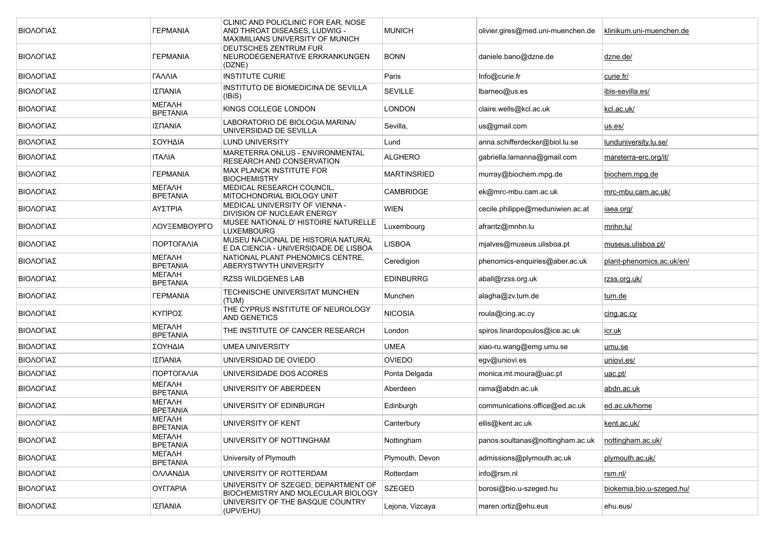| ΒΙΟΛΟΓΙΑΣ | <b><i>TEPMANIA</i></b>           | CLINIC AND POLICLINIC FOR EAR. NOSE<br>AND THROAT DISEASES, LUDWIG -<br>MAXIMILIANS UNIVERSITY OF MUNICH | <b>MUNICH</b>    | olivier.gires@med.uni-muenchen.de | klinikum.uni-muenchen.de  |
|-----------|----------------------------------|----------------------------------------------------------------------------------------------------------|------------------|-----------------------------------|---------------------------|
| ΒΙΟΛΟΓΙΑΣ | <b><i>TEPMANIA</i></b>           | DEUTSCHES ZENTRUM FUR<br>NEURODEGENERATIVE ERKRANKUNGEN<br>(DZNE)                                        | <b>BONN</b>      | daniele.bano@dzne.de              | <u>dzne.de/</u>           |
| ΒΙΟΛΟΓΙΑΣ | ΓΑΛΛΙΑ                           | <b>INSTITUTE CURIE</b>                                                                                   | Paris            | Info@curie.fr                     | curie.fr/                 |
| ΒΙΟΛΟΓΙΑΣ | ΙΣΠΑΝΙΑ                          | INSTITUTO DE BIOMEDICINA DE SEVILLA<br>(IBiS)                                                            | <b>SEVILLE</b>   | lbarneo@us.es                     | ibis-sevilla.es/          |
| ΒΙΟΛΟΓΙΑΣ | МЕГАЛН<br><b>BPETANIA</b>        | KINGS COLLEGE LONDON                                                                                     | LONDON           | claire.wells@kcl.ac.uk            | kcl.ac.uk/                |
| ΒΙΟΛΟΓΙΑΣ | ΙΣΠΑΝΙΑ                          | LABORATORIO DE BIOLOGIA MARINA/<br>UNIVERSIDAD DE SEVILLA                                                | Sevilla,         | us@gmail.com                      | <u>us.es/</u>             |
| ΒΙΟΛΟΓΙΑΣ | ΣΟΥΗΔΙΑ                          | <b>LUND UNIVERSITY</b>                                                                                   | Lund             | anna.schifferdecker@biol.lu.se    | lunduniversity.lu.se/     |
| ΒΙΟΛΟΓΙΑΣ | <b>ITAAIA</b>                    | MARETERRA ONLUS - ENVIRONMENTAL<br>RESEARCH AND CONSERVATION                                             | <b>ALGHERO</b>   | gabriella.lamanna@gmail.com       | mareterra-erc.org/it/     |
| ΒΙΟΛΟΓΙΑΣ | <b><i>TEPMANIA</i></b>           | <b>MAX PLANCK INSTITUTE FOR</b><br><b>BIOCHEMISTRY</b>                                                   | MARTINSRIED      | murray@biochem.mpg.de             | biochem.mpg.de            |
| ΒΙΟΛΟΓΙΑΣ | МЕГАЛН<br><b>BPETANIA</b>        | MEDICAL RESEARCH COUNCIL,<br>MITOCHONDRIAL BIOLOGY UNIT                                                  | <b>CAMBRIDGE</b> | ek@mrc-mbu.cam.ac.uk              | mrc-mbu.cam.ac.uk/        |
| ΒΙΟΛΟΓΙΑΣ | ΑΥΣΤΡΙΑ                          | MEDICAL UNIVERSITY OF VIENNA -<br><b>DIVISION OF NUCLEAR ENERGY</b>                                      | <b>WIEN</b>      | cecile.philippe@rneduniwien.ac.at | iaea.org/                 |
| ΒΙΟΛΟΓΙΑΣ | ΛΟΥΞΕΜΒΟΥΡΓΟ                     | MUSEE NATIONAL D' HISTOIRE NATURELLE<br><b>LUXEMBOURG</b>                                                | Luxembourg       | afrantz@mnhn.lu                   | mnhn.lu/                  |
| ΒΙΟΛΟΓΙΑΣ | ΠΟΡΤΟΓΑΛΙΑ                       | MUSEU NACIONAL DE HISTORIA NATURAL<br>E DA CIENCIA - UNIVERSIDADE DE LISBOA                              | <b>LISBOA</b>    | mjalves@museus.ulisboa.pt         | museus ulisboa pt/        |
| ΒΙΟΛΟΓΙΑΣ | МЕГАЛН<br><b>BPETANIA</b>        | NATIONAL PLANT PHENOMICS CENTRE.<br>ABERYSTWYTH UNIVERSITY                                               | Ceredigion       | phenomics-enquiries@aber.ac.uk    | plant-phenomics.ac.uk/en/ |
| ΒΙΟΛΟΓΙΑΣ | <b>METAAH</b><br><b>BPETANIA</b> | <b>RZSS WILDGENES LAB</b>                                                                                | <b>EDINBURRG</b> | aball@rzss.org.uk                 | <u>rzss.org.uk/</u>       |
| ΒΙΟΛΟΓΙΑΣ | <b><i>TEPMANIA</i></b>           | TECHNISCHE UNIVERSITAT MUNCHEN<br>(TUM)                                                                  | Munchen          | alagha@zv.tum.de                  | tum.de                    |
| ΒΙΟΛΟΓΙΑΣ | ΚΥΠΡΟΣ                           | THE CYPRUS INSTITUTE OF NEUROLOGY<br><b>AND GENETICS</b>                                                 | <b>NICOSIA</b>   | roula@cing.ac.cy                  | cing.ac.cy                |
| ΒΙΟΛΟΓΙΑΣ | МЕГАЛН<br><b>BPETANIA</b>        | THE INSTITUTE OF CANCER RESEARCH                                                                         | London           | spiros.linardopoulos@ice.ac.uk    | <u>icr.uk</u>             |
| ΒΙΟΛΟΓΙΑΣ | ΣΟΥΗΔΙΑ                          | <b>UMEA UNIVERSITY</b>                                                                                   | <b>UMEA</b>      | xiao-ru.wang@emg.umu.se           | umu.se                    |
| ΒΙΟΛΟΓΙΑΣ | ΙΣΠΑΝΙΑ                          | UNIVERSIDAD DE OVIEDO                                                                                    | <b>OVIEDO</b>    | egv@uniovi.es                     | uniovi.es/                |
| ΒΙΟΛΟΓΙΑΣ | ΠΟΡΤΟΓΑΛΙΑ                       | UNIVERSIDADE DOS ACORES                                                                                  | Ponta Delgada    | monica.mt.moura@uac.pt            | <u>uac.pt/</u>            |
| ΒΙΟΛΟΓΙΑΣ | МЕГАЛН<br><b>BPETANIA</b>        | UNIVERSITY OF ABERDEEN                                                                                   | Aberdeen         | rama@abdn.ac.uk                   | <u>abdn.ac.uk</u>         |
| ΒΙΟΛΟΓΙΑΣ | <b>METAAH</b><br><b>BPETANIA</b> | UNIVERSITY OF EDINBURGH                                                                                  | Edinburgh        | communications.office@ed.ac.uk    | ed.ac.uk/home             |
| ΒΙΟΛΟΓΙΑΣ | МЕГАЛН<br><b>BPETANIA</b>        | UNIVERSITY OF KENT                                                                                       | Canterbury       | ellis@kent.ac.uk                  | kent.ac.uk/               |
| ΒΙΟΛΟΓΙΑΣ | МЕГАЛН<br><b>BPETANIA</b>        | UNIVERSITY OF NOTTINGHAM                                                                                 | Nottingham       | panos.soultanas@nottingham.ac.uk  | nottingham.ac.uk/         |
| ΒΙΟΛΟΓΙΑΣ | МЕГАЛН<br><b>BPETANIA</b>        | University of Plymouth                                                                                   | Plymouth, Devon  | admissions@plymouth.ac.uk         | plymouth.ac.uk/           |
| ΒΙΟΛΟΓΙΑΣ | ΟΛΛΑΝΔΙΑ                         | UNIVERSITY OF ROTTERDAM                                                                                  | Rotterdam        | info@rsm.nl                       | rsm.nl/                   |
| ΒΙΟΛΟΓΙΑΣ | <b>OYFFAPIA</b>                  | UNIVERSITY OF SZEGED, DEPARTMENT OF<br>BIOCHEMISTRY AND MOLECULAR BIOLOGY                                | <b>SZEGED</b>    | borosi@bio.u-szeged.hu            | biokemia.bio.u-szeged.hu/ |
| ΒΙΟΛΟΓΙΑΣ | ΙΣΠΑΝΙΑ                          | UNIVERSITY OF THE BASQUE COUNTRY<br>(UPV/EHU)                                                            | Lejona, Vizcaya  | maren.ortiz@ehu.eus               | ehu.eus/                  |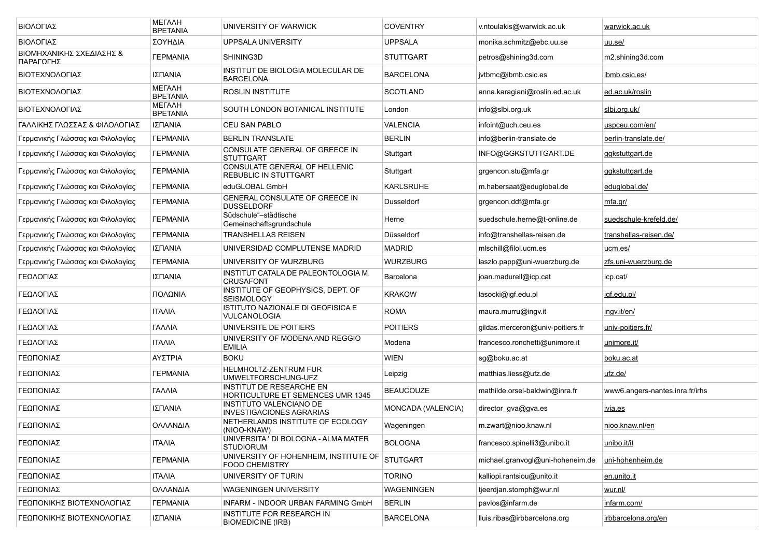| ΒΙΟΛΟΓΙΑΣ                             | <b>METAAH</b><br><b>BPETANIA</b> | UNIVERSITY OF WARWICK                                                       | <b>COVENTRY</b>    | v.ntoulakis@warwick.ac.uk        | warwick.ac.uk                   |
|---------------------------------------|----------------------------------|-----------------------------------------------------------------------------|--------------------|----------------------------------|---------------------------------|
| ΒΙΟΛΟΓΙΑΣ                             | ΣΟΥΗΔΙΑ                          | UPPSALA UNIVERSITY                                                          | <b>UPPSALA</b>     | monika.schmitz@ebc.uu.se         | uu.se/                          |
| ΒΙΟΜΗΧΑΝΙΚΗΣ ΣΧΕΔΙΑΣΗΣ &<br>ΠΑΡΑΓΩΓΗΣ | <b><i>TEPMANIA</i></b>           | SHINING3D                                                                   | <b>STUTTGART</b>   | petros@shining3d.com             | m2.shining3d.com                |
| ΒΙΟΤΕΧΝΟΛΟΓΙΑΣ                        | ΙΣΠΑΝΙΑ                          | INSTITUT DE BIOLOGIA MOLECULAR DE<br><b>BARCELONA</b>                       | <b>BARCELONA</b>   | jvtbmc@ibmb.csic.es              | ibmb.csic.es/                   |
| ΒΙΟΤΕΧΝΟΛΟΓΙΑΣ                        | <b>METAAH</b><br><b>BPETANIA</b> | ROSLIN INSTITUTE                                                            | <b>SCOTLAND</b>    | anna.karagiani@roslin.ed.ac.uk   | ed.ac.uk/roslin                 |
| ΒΙΟΤΕΧΝΟΛΟΓΙΑΣ                        | <b>METAAH</b><br><b>BPETANIA</b> | SOUTH LONDON BOTANICAL INSTITUTE                                            | London             | info@slbi.org.uk                 | <u>slbi.org.uk/</u>             |
| ΓΑΛΛΙΚΗΣ ΓΛΩΣΣΑΣ & ΦΙΛΟΛΟΓΙΑΣ         | ΙΣΠΑΝΙΑ                          | <b>CEU SAN PABLO</b>                                                        | <b>VALENCIA</b>    | infoint@uch.ceu.es               | uspceu.com/en/                  |
| Γερμανικής Γλώσσας και Φιλολογίας     | <b><i>TEPMANIA</i></b>           | <b>BERLIN TRANSLATE</b>                                                     | <b>BERLIN</b>      | info@berlin-translate.de         | berlin-translate.de/            |
| Γερμανικής Γλώσσας και Φιλολογίας     | <b><i>TEPMANIA</i></b>           | CONSULATE GENERAL OF GREECE IN<br><b>STUTTGART</b>                          | Stuttgart          | INFO@GGKSTUTTGART.DE             | <u>ggkstuttgart.de</u>          |
| Γερμανικής Γλώσσας και Φιλολογίας     | <b><i>TEPMANIA</i></b>           | CONSULATE GENERAL OF HELLENIC<br>REBUBLIC IN STUTTGART                      | Stuttgart          | grgencon.stu@mfa.gr              | ggkstuttgart.de                 |
| Γερμανικής Γλώσσας και Φιλολογίας     | <b><i>TEPMANIA</i></b>           | eduGLOBAL GmbH                                                              | <b>KARLSRUHE</b>   | m.habersaat@eduglobal.de         | eduglobal.de/                   |
| Γερμανικής Γλώσσας και Φιλολογίας     | <b><i>TEPMANIA</i></b>           | GENERAL CONSULATE OF GREECE IN<br><b>DUSSELDORF</b>                         | Dusseldorf         | grgencon.ddf@mfa.gr              | <u>mfa.gr/</u>                  |
| Γερμανικής Γλώσσας και Φιλολογίας     | <b><i>TEPMANIA</i></b>           | Südschule"-städtische<br>Gemeinschaftsgrundschule                           | Herne              | suedschule.herne@t-online.de     | suedschule-krefeld.de/          |
| Γερμανικής Γλώσσας και Φιλολογίας     | <b><i>TEPMANIA</i></b>           | <b>TRANSHELLAS REISEN</b>                                                   | Düsseldorf         | info@transhellas-reisen.de       | transhellas-reisen.de/          |
| Γερμανικής Γλώσσας και Φιλολογίας     | ΙΣΠΑΝΙΑ                          | UNIVERSIDAD COMPLUTENSE MADRID                                              | <b>MADRID</b>      | mischill@filol.ucm.es            | ucm.es/                         |
| Γερμανικής Γλώσσας και Φιλολογίας     | <b><i>TEPMANIA</i></b>           | UNIVERSITY OF WURZBURG                                                      | <b>WURZBURG</b>    | laszlo.papp@uni-wuerzburg.de     | <u>zfs.uni-wuerzburg.de</u>     |
| ΓΕΩΛΟΓΙΑΣ                             | ΙΣΠΑΝΙΑ                          | INSTITUT CATALA DE PALEONTOLOGIA M.<br><b>CRUSAFONT</b>                     | Barcelona          | joan.madurell@icp.cat            | icp.cat/                        |
| ΓΕΩΛΟΓΙΑΣ                             | ΠΟΛΩΝΙΑ                          | INSTITUTE OF GEOPHYSICS, DEPT. OF<br><b>SEISMOLOGY</b>                      | <b>KRAKOW</b>      | lasocki@igf.edu.pl               | <u>igf.edu.pl/</u>              |
| ΓΕΩΛΟΓΙΑΣ                             | <b>ITAAIA</b>                    | ISTITUTO NAZIONALE DI GEOFISICA E<br>VULCANOLOGIA                           | <b>ROMA</b>        | maura.murru@ingv.it              | ingv.it/en/                     |
| ΓΕΩΛΟΓΙΑΣ                             | ΓΑΛΛΙΑ                           | UNIVERSITE DE POITIERS                                                      | <b>POITIERS</b>    | gildas.merceron@univ-poitiers.fr | univ-poitiers.fr/               |
| ΓΕΩΛΟΓΙΑΣ                             | <b>ITAAIA</b>                    | UNIVERSITY OF MODENA AND REGGIO<br><b>EMILIA</b>                            | Modena             | francesco.ronchetti@unimore.it   | unimore.it/                     |
| ΓΕΩΠΟΝΙΑΣ                             | ΑΥΣΤΡΙΑ                          | <b>BOKU</b>                                                                 | <b>WIEN</b>        | sg@boku.ac.at                    | boku.ac.at                      |
| ΓΕΩΠΟΝΙΑΣ                             | <b><i>TEPMANIA</i></b>           | <b>HELMHOLTZ-ZENTRUM FUR</b><br>UMWELTFORSCHUNG-UFZ                         | Leipzig            | matthias.liess@ufz.de            | ufz.de/                         |
| ΓΕΩΠΟΝΙΑΣ                             | ΓΑΛΛΙΑ                           | <b>INSTITUT DE RESEARCHE EN</b><br><b>HORTICULTURE ET SEMENCES UMR 1345</b> | <b>BEAUCOUZE</b>   | mathilde.orsel-baldwin@inra.fr   | www6.angers-nantes.inra.fr/irhs |
| ΓΕΩΠΟΝΙΑΣ                             | ΙΣΠΑΝΙΑ                          | INSTITUTO VALENCIANO DE<br><b>INVESTIGACIONES AGRARIAS</b>                  | MONCADA (VALENCIA) | director_gva@gva.es              | <u>ivia.es</u>                  |
| ΓΕΩΠΟΝΙΑΣ                             | ΟΛΛΑΝΔΙΑ                         | NETHERLANDS INSTITUTE OF ECOLOGY<br>(NIOO-KNAW)                             | Wageningen         | m.zwart@nioo.knaw.nl             | nioo.knaw.nl/en                 |
| ΓΕΩΠΟΝΙΑΣ                             | <b>ITAAIA</b>                    | UNIVERSITA ' DI BOLOGNA - ALMA MATER<br><b>STUDIORUM</b>                    | <b>BOLOGNA</b>     | francesco.spinelli3@unibo.it     | unibo.it/it                     |
| ΓΕΩΠΟΝΙΑΣ                             | <b><i>TEPMANIA</i></b>           | UNIVERSITY OF HOHENHEIM, INSTITUTE OF<br><b>FOOD CHEMISTRY</b>              | <b>STUTGART</b>    | michael.granvogl@uni-hoheneim.de | uni-hohenheim.de                |
| ΓΕΩΠΟΝΙΑΣ                             | <b>ITAAIA</b>                    | UNIVERSITY OF TURIN                                                         | <b>TORINO</b>      | kalliopi.rantsiou@unito.it       | en.unito.it                     |
| ΓΕΩΠΟΝΙΑΣ                             | ΟΛΛΑΝΔΙΑ                         | <b>WAGENINGEN UNIVERSITY</b>                                                | WAGENINGEN         | tjeerdjan.stomph@wur.nl          | wur.nl/                         |
| ΓΕΩΠΟΝΙΚΗΣ ΒΙΟΤΕΧΝΟΛΟΓΙΑΣ             | <b><i>TEPMANIA</i></b>           | INFARM - INDOOR URBAN FARMING GmbH                                          | <b>BERLIN</b>      | pavlos@infarm.de                 | infarm.com/                     |
| ΓΕΩΠΟΝΙΚΗΣ ΒΙΟΤΕΧΝΟΛΟΓΙΑΣ             | ΙΣΠΑΝΙΑ                          | INSTITUTE FOR RESEARCH IN<br><b>BIOMEDICINE (IRB)</b>                       | <b>BARCELONA</b>   | lluis.ribas@irbbarcelona.org     | irbbarcelona.org/en             |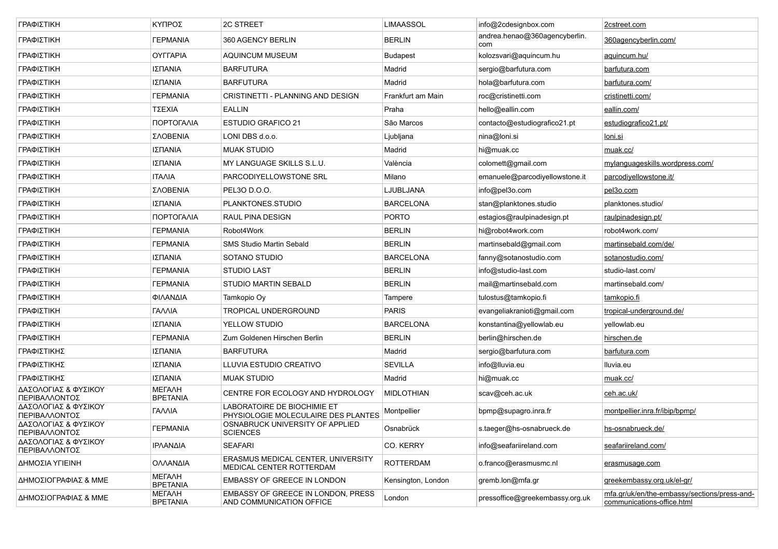| ΓΡΑΦΙΣΤΙΚΗ                            | ΚΥΠΡΟΣ                           | 2C STREET                                                             | LIMAASSOL          | info@2cdesignbox.com                 | 2cstreet.com                                                               |
|---------------------------------------|----------------------------------|-----------------------------------------------------------------------|--------------------|--------------------------------------|----------------------------------------------------------------------------|
| ΓΡΑΦΙΣΤΙΚΗ                            | <b><i>FEPMANIA</i></b>           | 360 AGENCY BERLIN                                                     | BERLIN             | andrea.henao@360agencyberlin.<br>com | 360agencyberlin.com/                                                       |
| ΓΡΑΦΙΣΤΙΚΗ                            | <b>OYFFAPIA</b>                  | AQUINCUM MUSEUM                                                       | Budapest           | kolozsvari@aquincum.hu               | aquincum.hu/                                                               |
| ΓΡΑΦΙΣΤΙΚΗ                            | ΙΣΠΑΝΙΑ                          | <b>BARFUTURA</b>                                                      | Madrid             | sergio@barfutura.com                 | barfutura.com                                                              |
| ΓΡΑΦΙΣΤΙΚΗ                            | ΙΣΠΑΝΙΑ                          | <b>BARFUTURA</b>                                                      | Madrid             | hola@barfutura.com                   | <u>barfutura.com/</u>                                                      |
| ΓΡΑΦΙΣΤΙΚΗ                            | <b><i>TEPMANIA</i></b>           | CRISTINETTI - PLANNING AND DESIGN                                     | Frankfurt am Main  | roc@cristinetti.com                  | <u>cristinetti.com/</u>                                                    |
| ΓΡΑΦΙΣΤΙΚΗ                            | ΤΣΕΧΙΑ                           | <b>EALLIN</b>                                                         | Praha              | hello@eallin.com                     | eallin.com/                                                                |
| ΓΡΑΦΙΣΤΙΚΗ                            | ΠΟΡΤΟΓΑΛΙΑ                       | <b>ESTUDIO GRAFICO 21</b>                                             | São Marcos         | contacto@estudiografico21.pt         | estudiografico21.pt/                                                       |
| ΓΡΑΦΙΣΤΙΚΗ                            | ΣΛΟΒΕΝΙΑ                         | LONI DBS d.o.o.                                                       | Ljubljana          | nina@loni.si                         | <u>loni.si</u>                                                             |
| ΓΡΑΦΙΣΤΙΚΗ                            | ΙΣΠΑΝΙΑ                          | <b>MUAK STUDIO</b>                                                    | Madrid             | hi@muak.cc                           | muak.cc/                                                                   |
| ΓΡΑΦΙΣΤΙΚΗ                            | ΙΣΠΑΝΙΑ                          | MY LANGUAGE SKILLS S.L.U.                                             | València           | colomett@gmail.com                   | mylanguageskills.wordpress.com/                                            |
| ΓΡΑΦΙΣΤΙΚΗ                            | <b>ITAAIA</b>                    | PARCODIYELLOWSTONE SRL                                                | Milano             | emanuele@parcodiyellowstone.it       | parcodiyellowstone.it/                                                     |
| ΓΡΑΦΙΣΤΙΚΗ                            | ΣΛΟΒΕΝΙΑ                         | PEL30 D.O.O.                                                          | LJUBLJANA          | info@pel3o.com                       | pel3o.com                                                                  |
| ΓΡΑΦΙΣΤΙΚΗ                            | ΙΣΠΑΝΙΑ                          | PLANKTONES.STUDIO                                                     | BARCELONA          | stan@planktones.studio               | planktones.studio/                                                         |
| ΓΡΑΦΙΣΤΙΚΗ                            | ΠΟΡΤΟΓΑΛΙΑ                       | <b>RAUL PINA DESIGN</b>                                               | PORTO              | estagios@raulpinadesign.pt           | raulpinadesign.pt/                                                         |
| ΓΡΑΦΙΣΤΙΚΗ                            | <b><i>TEPMANIA</i></b>           | Robot4Work                                                            | BERLIN             | hi@robot4work.com                    | robot4work.com/                                                            |
| ΓΡΑΦΙΣΤΙΚΗ                            | <b><i>TEPMANIA</i></b>           | SMS Studio Martin Sebald                                              | <b>BERLIN</b>      | martinsebald@gmail.com               | martinsebald.com/de/                                                       |
| ΓΡΑΦΙΣΤΙΚΗ                            | ΙΣΠΑΝΙΑ                          | SOTANO STUDIO                                                         | <b>BARCELONA</b>   | fanny@sotanostudio.com               | sotanostudio.com/                                                          |
| ΓΡΑΦΙΣΤΙΚΗ                            | <b><i>TEPMANIA</i></b>           | <b>STUDIO LAST</b>                                                    | <b>BERLIN</b>      | info@studio-last.com                 | studio-last.com/                                                           |
| ΓΡΑΦΙΣΤΙΚΗ                            | <b><i>TEPMANIA</i></b>           | <b>STUDIO MARTIN SEBALD</b>                                           | <b>BERLIN</b>      | mail@martinsebald.com                | martinsebald.com/                                                          |
| ΓΡΑΦΙΣΤΙΚΗ                            | ΦΙΛΑΝΔΙΑ                         | Tamkopio Oy                                                           | Tampere            | tulostus@tamkopio.fi                 | tamkopio.fi                                                                |
| ΓΡΑΦΙΣΤΙΚΗ                            | ΓΑΛΛΙΑ                           | TROPICAL UNDERGROUND                                                  | PARIS              | evangeliakranioti@gmail.com          | tropical-underground.de/                                                   |
| ΓΡΑΦΙΣΤΙΚΗ                            | ΙΣΠΑΝΙΑ                          | YELLOW STUDIO                                                         | <b>BARCELONA</b>   | konstantina@yellowlab.eu             | yellowlab.eu                                                               |
| ΓΡΑΦΙΣΤΙΚΗ                            | <b><i>FEPMANIA</i></b>           | Zum Goldenen Hirschen Berlin                                          | <b>BERLIN</b>      | berlin@hirschen.de                   | hirschen.de                                                                |
| ΓΡΑΦΙΣΤΙΚΗΣ                           | ΙΣΠΑΝΙΑ                          | <b>BARFUTURA</b>                                                      | Madrid             | sergio@barfutura.com                 | <u>barfutura.com</u>                                                       |
| ΓΡΑΦΙΣΤΙΚΗΣ                           | ΙΣΠΑΝΙΑ                          | LLUVIA ESTUDIO CREATIVO                                               | SEVILLA            | info@lluvia.eu                       | Iluvia.eu                                                                  |
| ΓΡΑΦΙΣΤΙΚΗΣ                           | ΙΣΠΑΝΙΑ                          | MUAK STUDIO                                                           | Madrid             | hi@muak.cc                           | muak.cc/                                                                   |
| ΔΑΣΟΛΟΓΙΑΣ & ΦΥΣΙΚΟΥ<br>ΠΕΡΙΒΑΛΛΟΝΤΟΣ | <b>METAAH</b><br><b>BPETANIA</b> | CENTRE FOR ECOLOGY AND HYDROLOGY                                      | MIDLOTHIAN         | scav@ceh.ac.uk                       | ceh.ac.uk/                                                                 |
| ΔΑΣΟΛΟΓΙΑΣ & ΦΥΣΙΚΟΥ<br>ΠΕΡΙΒΑΛΛΟΝΤΟΣ | ΓΑΛΛΙΑ                           | LABORATOIRE DE BIOCHIMIE ET<br>PHYSIOLOGIE MOLECULAIRE DES PLANTES    | Montpellier        | bpmp@supagro.inra.fr                 | montpellier.inra.fr/ibip/bpmp/                                             |
| ΔΑΣΟΛΟΓΙΑΣ & ΦΥΣΙΚΟΥ<br>ΠΕΡΙΒΑΛΛΟΝΤΟΣ | <b><i>TEPMANIA</i></b>           | OSNABRUCK UNIVERSITY OF APPLIED<br><b>SCIENCES</b>                    | Osnabrück          | s.taeger@hs-osnabrueck.de            | hs-osnabrueck.de/                                                          |
| ΔΑΣΟΛΟΓΙΑΣ & ΦΥΣΙΚΟΥ<br>ΠΕΡΙΒΑΛΛΟΝΤΟΣ | ΙΡΛΑΝΔΙΑ                         | <b>SEAFARI</b>                                                        | CO. KERRY          | info@seafariireland.com              | seafariireland.com/                                                        |
| ΔΗΜΟΣΙΑ ΥΓΙΕΙΝΗ                       | ΟΛΛΑΝΔΙΑ                         | ERASMUS MEDICAL CENTER, UNIVERSITY<br>MEDICAL CENTER ROTTERDAM        | <b>ROTTERDAM</b>   | o.franco@erasmusmc.nl                | erasmusage.com                                                             |
| ΔΗΜΟΣΙΟΓΡΑΦΙΑΣ & ΜΜΕ                  | МЕГАЛН<br><b>BPETANIA</b>        | EMBASSY OF GREECE IN LONDON                                           | Kensington, London | gremb.lon@mfa.gr                     | greekembassy.org.uk/el-gr/                                                 |
| ΔΗΜΟΣΙΟΓΡΑΦΙΑΣ & ΜΜΕ                  | МЕГАЛН<br><b>BPETANIA</b>        | <b>EMBASSY OF GREECE IN LONDON, PRESS</b><br>AND COMMUNICATION OFFICE | London             | pressoffice@greekembassy.org.uk      | mfa.gr/uk/en/the-embassy/sections/press-and-<br>communications-office.html |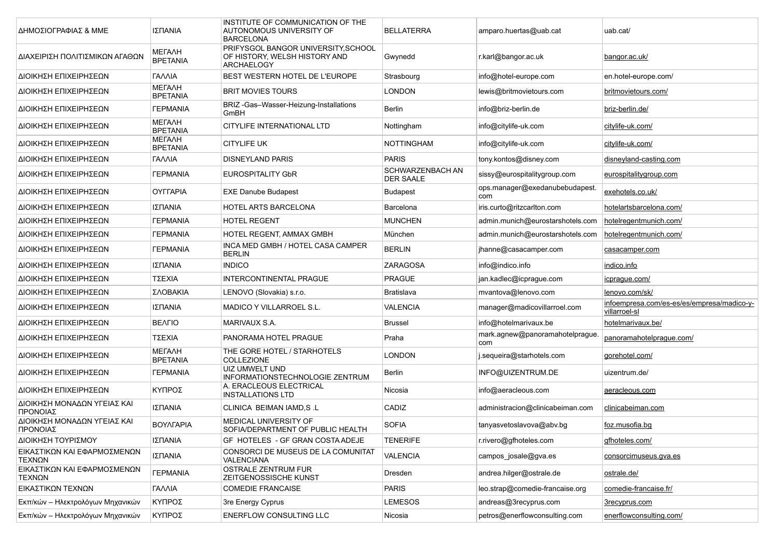| ΔΗΜΟΣΙΟΓΡΑΦΙΑΣ & ΜΜΕ                    | ΙΣΠΑΝΙΑ                          | INSTITUTE OF COMMUNICATION OF THE<br>AUTONOMOUS UNIVERSITY OF<br><b>BARCELONA</b>         | <b>BELLATERRA</b>                           | amparo.huertas@uab.cat                 | uab.cat/                                                    |
|-----------------------------------------|----------------------------------|-------------------------------------------------------------------------------------------|---------------------------------------------|----------------------------------------|-------------------------------------------------------------|
| ΔΙΑΧΕΙΡΙΣΗ ΠΟΛΙΤΙΣΜΙΚΩΝ ΑΓΑΘΩΝ          | МЕГАЛН<br><b>BPETANIA</b>        | PRIFYSGOL BANGOR UNIVERSITY, SCHOOL<br>OF HISTORY, WELSH HISTORY AND<br><b>ARCHAELOGY</b> | Gwynedd                                     | r.karl@bangor.ac.uk                    | bangor.ac.uk/                                               |
| ΔΙΟΙΚΗΣΗ ΕΠΙΧΕΙΡΗΣΕΩΝ                   | ΓΑΛΛΙΑ                           | BEST WESTERN HOTEL DE L'EUROPE                                                            | Strasbourg                                  | info@hotel-europe.com                  | en.hotel-europe.com/                                        |
| ΔΙΟΙΚΗΣΗ ΕΠΙΧΕΙΡΗΣΕΩΝ                   | <b>METAAH</b><br><b>BPETANIA</b> | <b>BRIT MOVIES TOURS</b>                                                                  | <b>LONDON</b>                               | lewis@britmovietours.com               | britmovietours.com/                                         |
| ΔΙΟΙΚΗΣΗ ΕΠΙΧΕΙΡΗΣΕΩΝ                   | <b><i>FEPMANIA</i></b>           | BRIZ-Gas-Wasser-Heizung-Installations<br>GmBH                                             | <b>Berlin</b>                               | info@briz-berlin.de                    | briz-berlin.de/                                             |
| ΔΙΟΙΚΗΣΗ ΕΠΙΧΕΙΡΗΣΕΩΝ                   | МЕГАЛН<br><b>BPETANIA</b>        | CITYLIFE INTERNATIONAL LTD                                                                | Nottingham                                  | info@citylife-uk.com                   | citylife-uk.com/                                            |
| ΔΙΟΙΚΗΣΗ ΕΠΙΧΕΙΡΗΣΕΩΝ                   | <b>METAAH</b><br><b>BPETANIA</b> | <b>CITYLIFE UK</b>                                                                        | <b>NOTTINGHAM</b>                           | info@citylife-uk.com                   | citylife-uk.com/                                            |
| ΔΙΟΙΚΗΣΗ ΕΠΙΧΕΙΡΗΣΕΩΝ                   | ΓΑΛΛΙΑ                           | <b>DISNEYLAND PARIS</b>                                                                   | <b>PARIS</b>                                | tony.kontos@disney.com                 | disneyland-casting.com                                      |
| ΔΙΟΙΚΗΣΗ ΕΠΙΧΕΙΡΗΣΕΩΝ                   | <b><i>FEPMANIA</i></b>           | <b>EUROSPITALITY GbR</b>                                                                  | <b>SCHWARZENBACH AN</b><br><b>DER SAALE</b> | sissy@eurospitalitygroup.com           | eurospitalitygroup.com                                      |
| ΔΙΟΙΚΗΣΗ ΕΠΙΧΕΙΡΗΣΕΩΝ                   | OYFFAPIA                         | <b>EXE Danube Budapest</b>                                                                | <b>Budapest</b>                             | ops.manager@exedanubebudapest.<br>com  | exehotels.co.uk/                                            |
| ΔΙΟΙΚΗΣΗ ΕΠΙΧΕΙΡΗΣΕΩΝ                   | ΙΣΠΑΝΙΑ                          | HOTEL ARTS BARCELONA                                                                      | Barcelona                                   | iris.curto@ritzcarlton.com             | hotelartsbarcelona.com/                                     |
| ΔΙΟΙΚΗΣΗ ΕΠΙΧΕΙΡΗΣΕΩΝ                   | <b><i>TEPMANIA</i></b>           | <b>HOTEL REGENT</b>                                                                       | <b>MUNCHEN</b>                              | admin.munich@eurostarshotels.com       | hotelregentmunich.com/                                      |
| ΔΙΟΙΚΗΣΗ ΕΠΙΧΕΙΡΗΣΕΩΝ                   | <b><i>FEPMANIA</i></b>           | HOTEL REGENT, AMMAX GMBH                                                                  | München                                     | admin.munich@eurostarshotels.com       | hotelregentmunich.com/                                      |
| ΔΙΟΙΚΗΣΗ ΕΠΙΧΕΙΡΗΣΕΩΝ                   | <b><i>FEPMANIA</i></b>           | INCA MED GMBH / HOTEL CASA CAMPER<br><b>BERLIN</b>                                        | <b>BERLIN</b>                               | jhanne@casacamper.com                  | casacamper.com                                              |
| ΔΙΟΙΚΗΣΗ ΕΠΙΧΕΙΡΗΣΕΩΝ                   | ΙΣΠΑΝΙΑ                          | <b>INDICO</b>                                                                             | ZARAGOSA                                    | info@indico.info                       | indico.info                                                 |
| ΔΙΟΙΚΗΣΗ ΕΠΙΧΕΙΡΗΣΕΩΝ                   | ΤΣΕΧΙΑ                           | <b>INTERCONTINENTAL PRAGUE</b>                                                            | <b>PRAGUE</b>                               | jan.kadlec@icprague.com                | icprague.com/                                               |
| ΔΙΟΙΚΗΣΗ ΕΠΙΧΕΙΡΗΣΕΩΝ                   | ΣΛΟΒΑΚΙΑ                         | LENOVO (Slovakia) s.r.o.                                                                  | <b>Bratislava</b>                           | mvantova@lenovo.com                    | lenovo.com/sk/                                              |
| ΔΙΟΙΚΗΣΗ ΕΠΙΧΕΙΡΗΣΕΩΝ                   | ΙΣΠΑΝΙΑ                          | <b>MADICO Y VILLARROEL S.L.</b>                                                           | <b>VALENCIA</b>                             | manager@madicovillarroel.com           | infoempresa.com/es-es/es/empresa/madico-y-<br>villarroel-sl |
| ΔΙΟΙΚΗΣΗ ΕΠΙΧΕΙΡΗΣΕΩΝ                   | <b>BEAFIO</b>                    | MARIVAUX S.A.                                                                             | <b>Brussel</b>                              | info@hotelmarivaux.be                  | hotelmarivaux.be/                                           |
| ΔΙΟΙΚΗΣΗ ΕΠΙΧΕΙΡΗΣΕΩΝ                   | ΤΣΕΧΙΑ                           | PANORAMA HOTEL PRAGUE                                                                     | Praha                                       | mark.agnew@panoramahotelprague.<br>com | panoramahotelpraque.com/                                    |
| ΔΙΟΙΚΗΣΗ ΕΠΙΧΕΙΡΗΣΕΩΝ                   | <b>METAAH</b><br><b>BPETANIA</b> | THE GORE HOTEL / STARHOTELS<br>COLLEZIONE                                                 | <b>LONDON</b>                               | j.sequeira@starhotels.com              | gorehotel.com/                                              |
| ΔΙΟΙΚΗΣΗ ΕΠΙΧΕΙΡΗΣΕΩΝ                   | <b><i>FEPMANIA</i></b>           | UIZ UMWELT UND<br>INFORMATIONSTECHNOLOGIE ZENTRUM                                         | Berlin                                      | INFO@UIZENTRUM.DE                      | uizentrum.de/                                               |
| ΔΙΟΙΚΗΣΗ ΕΠΙΧΕΙΡΗΣΕΩΝ                   | ΚΥΠΡΟΣ                           | A. ERACLEOUS ELECTRICAL<br><b>INSTALLATIONS LTD</b>                                       | Nicosia                                     | info@aeracleous.com                    | aeracleous.com                                              |
| ΔΙΟΙΚΗΣΗ ΜΟΝΑΔΩΝ ΥΓΕΙΑΣ ΚΑΙ<br>ΠΡΟΝΟΙΑΣ | ΙΣΠΑΝΙΑ                          | CLINICA BEIMAN IAMD,S .L                                                                  | CADIZ                                       | administracion@clinicabeiman.com       | clinicabeiman.com                                           |
| ΔΙΟΙΚΗΣΗ ΜΟΝΑΔΩΝ ΥΓΕΙΑΣ ΚΑΙ<br>ΠΡΟΝΟΙΑΣ | ΒΟΥΛΓΑΡΙΑ                        | MEDICAL UNIVERSITY OF<br>SOFIA/DEPARTMENT OF PUBLIC HEALTH                                | <b>SOFIA</b>                                | tanyasvetoslavova@abv.bg               | foz.musofia.bg                                              |
| ΔΙΟΙΚΗΣΗ ΤΟΥΡΙΣΜΟΥ                      | ΙΣΠΑΝΙΑ                          | GF HOTELES - GF GRAN COSTA ADEJE                                                          | <b>TENERIFE</b>                             | r.rivero@gfhoteles.com                 | gfhoteles.com/                                              |
| ΕΙΚΑΣΤΙΚΩΝ ΚΑΙ ΕΦΑΡΜΟΣΜΕΝΩΝ<br>ΤΕΧΝΩΝ   | ΙΣΠΑΝΙΑ                          | CONSORCI DE MUSEUS DE LA COMUNITAT<br><b>VALENCIANA</b>                                   | <b>VALENCIA</b>                             | campos josale@gva.es                   | consorcimuseus.gva.es                                       |
| ΕΙΚΑΣΤΙΚΩΝ ΚΑΙ ΕΦΑΡΜΟΣΜΕΝΩΝ<br>ΤΕΧΝΩΝ   | <b><i>TEPMANIA</i></b>           | <b>OSTRALE ZENTRUM FUR</b><br>ZEITGENOSSISCHE KUNST                                       | Dresden                                     | andrea.hilger@ostrale.de               | ostrale.de/                                                 |
| ΕΙΚΑΣΤΙΚΩΝ ΤΕΧΝΩΝ                       | ΓΑΛΛΙΑ                           | <b>COMEDIE FRANCAISE</b>                                                                  | <b>PARIS</b>                                | leo.strap@comedie-francaise.org        | comedie-francaise.fr/                                       |
| Εκπ/κών - Ηλεκτρολόγων Μηχανικών        | ΚΥΠΡΟΣ                           | 3re Energy Cyprus                                                                         | <b>LEMESOS</b>                              | andreas@3recyprus.com                  | 3recyprus.com                                               |
| Εκπ/κών - Ηλεκτρολόγων Μηχανικών        | ΚΥΠΡΟΣ                           | ENERFLOW CONSULTING LLC                                                                   | Nicosia                                     | petros@enerflowconsulting.com          | enerflowconsulting.com/                                     |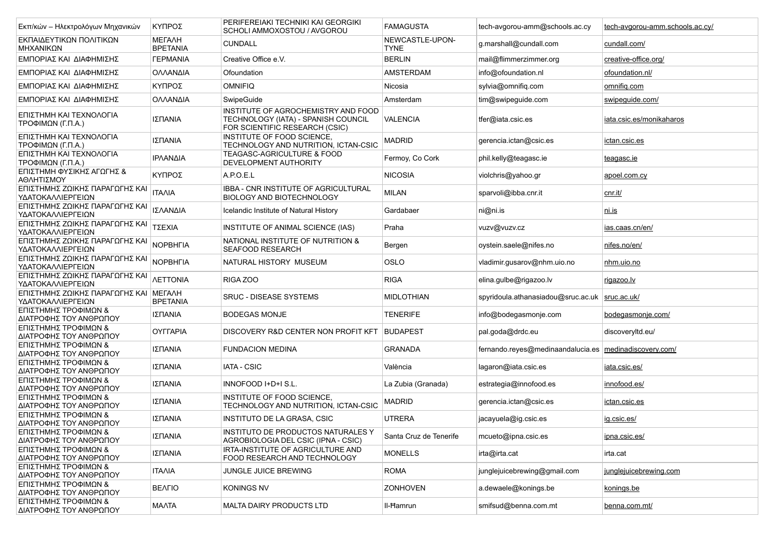| Εκπ/κών – Ηλεκτρολόγων Μηχανικών                    | ΚΥΠΡΟΣ                           | PERIFEREIAKI TECHNIKI KAI GEORGIKI<br>SCHOLI AMMOXOSTOU / AVGOROU                                            | <b>FAMAGUSTA</b>               | tech-avgorou-amm@schools.ac.cy                           | tech-avgorou-amm.schools.ac.cy/ |
|-----------------------------------------------------|----------------------------------|--------------------------------------------------------------------------------------------------------------|--------------------------------|----------------------------------------------------------|---------------------------------|
| ΕΚΠΑΙΔΕΥΤΙΚΩΝ ΠΟΛΙΤΙΚΩΝ<br>ΜΗΧΑΝΙΚΩΝ                | МЕГАЛН<br><b>BPETANIA</b>        | <b>CUNDALL</b>                                                                                               | NEWCASTLE-UPON-<br><b>TYNE</b> | g.marshall@cundall.com                                   | cundall.com/                    |
| ΕΜΠΟΡΙΑΣ ΚΑΙ ΔΙΑΦΗΜΙΣΗΣ                             | <b><i>TEPMANIA</i></b>           | Creative Office e.V.                                                                                         | <b>BERLIN</b>                  | mail@flimmerzimmer.org                                   | creative-office.org/            |
| ΕΜΠΟΡΙΑΣ ΚΑΙ ΔΙΑΦΗΜΙΣΗΣ                             | ΟΛΛΑΝΔΙΑ                         | Ofoundation                                                                                                  | AMSTERDAM                      | info@ofoundation.nl                                      | ofoundation.nl/                 |
| ΕΜΠΟΡΙΑΣ ΚΑΙ ΔΙΑΦΗΜΙΣΗΣ                             | ΚΥΠΡΟΣ                           | <b>OMNIFIQ</b>                                                                                               | Nicosia                        | sylvia@omnifiq.com                                       | omnifiq.com                     |
| ΕΜΠΟΡΙΑΣ ΚΑΙ ΔΙΑΦΗΜΙΣΗΣ                             | ΟΛΛΑΝΔΙΑ                         | SwipeGuide                                                                                                   | Amsterdam                      | tim@swipeguide.com                                       | swipeguide.com/                 |
| ΕΠΙΣΤΗΜΗ ΚΑΙ ΤΕΧΝΟΛΟΓΙΑ<br>ΤΡΟΦΙΜΩΝ (Γ.Π.Α.)        | ΙΣΠΑΝΙΑ                          | INSTITUTE OF AGROCHEMISTRY AND FOOD<br>TECHNOLOGY (IATA) - SPANISH COUNCIL<br>FOR SCIENTIFIC RESEARCH (CSIC) | <b>VALENCIA</b>                | tfer@iata.csic.es                                        | iata.csic.es/monikaharos        |
| ΕΠΙΣΤΗΜΗ ΚΑΙ ΤΕΧΝΟΛΟΓΙΑ<br>ΤΡΟΦΙΜΩΝ (Γ.Π.Α.)        | ΙΣΠΑΝΙΑ                          | INSTITUTE OF FOOD SCIENCE,<br>TECHNOLOGY AND NUTRITION. ICTAN-CSIC                                           | <b>MADRID</b>                  | gerencia.ictan@csic.es                                   | ictan.csic.es                   |
| ΕΠΙΣΤΗΜΗ ΚΑΙ ΤΕΧΝΟΛΟΓΙΑ<br>ΤΡΟΦΙΜΩΝ (Γ.Π.Α.)        | ΙΡΛΑΝΔΙΑ                         | <b>TEAGASC-AGRICULTURE &amp; FOOD</b><br>DEVELOPMENT AUTHORITY                                               | Fermoy, Co Cork                | phil.kelly@teagasc.ie                                    | teagasc.ie                      |
| ΕΠΙΣΤΗΜΗ ΦΥΣΙΚΗΣ ΑΓΩΓΗΣ &<br>ΑΘΛΗΤΙΣΜΟΥ             | ΚΥΠΡΟΣ                           | A.P.O.E.L                                                                                                    | <b>NICOSIA</b>                 | violchris@yahoo.gr                                       | apoel.com.cy                    |
| ΕΠΙΣΤΗΜΗΣ ΖΩΙΚΗΣ ΠΑΡΑΓΩΓΗΣ ΚΑΙ<br>ΥΔΑΤΟΚΑΛΛΙΕΡΓΕΙΩΝ | <b>ITAAIA</b>                    | <b>IBBA - CNR INSTITUTE OF AGRICULTURAL</b><br><b>BIOLOGY AND BIOTECHNOLOGY</b>                              | <b>MILAN</b>                   | sparvoli@ibba.cnr.it                                     | cnr.it/                         |
| ΕΠΙΣΤΗΜΗΣ ΖΩΙΚΗΣ ΠΑΡΑΓΩΓΗΣ ΚΑΙ<br>ΥΔΑΤΟΚΑΛΛΙΕΡΓΕΙΩΝ | ΙΣΛΑΝΔΙΑ                         | Icelandic Institute of Natural History                                                                       | Gardabaer                      | ni@ni.is                                                 | <u>ni.is</u>                    |
| ΕΠΙΣΤΗΜΗΣ ΖΩΙΚΗΣ ΠΑΡΑΓΩΓΗΣ ΚΑΙ<br>ΥΔΑΤΟΚΑΛΛΙΕΡΓΕΙΩΝ | ΤΣΕΧΙΑ                           | INSTITUTE OF ANIMAL SCIENCE (IAS)                                                                            | Praha                          | vuzv@vuzv.cz                                             | ias.caas.cn/en/                 |
| ΕΠΙΣΤΗΜΗΣ ΖΩΙΚΗΣ ΠΑΡΑΓΩΓΗΣ ΚΑΙ<br>ΥΔΑΤΟΚΑΛΛΙΕΡΓΕΙΩΝ | <b>NOPBHFIA</b>                  | NATIONAL INSTITUTE OF NUTRITION &<br><b>SEAFOOD RESEARCH</b>                                                 | Bergen                         | oystein.saele@nifes.no                                   | nifes.no/en/                    |
| ΕΠΙΣΤΗΜΗΣ ΖΩΙΚΗΣ ΠΑΡΑΓΩΓΗΣ ΚΑΙ<br>ΥΔΑΤΟΚΑΛΛΙΕΡΓΕΙΩΝ | <b>NOPBHFIA</b>                  | NATURAL HISTORY MUSEUM                                                                                       | <b>OSLO</b>                    | vladimir.qusarov@nhm.uio.no                              | nhm uio no                      |
| ΕΠΙΣΤΗΜΗΣ ΖΩΙΚΗΣ ΠΑΡΑΓΩΓΗΣ ΚΑΙ<br>ΥΔΑΤΟΚΑΛΛΙΕΡΓΕΙΩΝ | <b><i>NETTONIA</i></b>           | RIGA ZOO                                                                                                     | <b>RIGA</b>                    | elina.gulbe@rigazoo.lv                                   | rigazoo.lv                      |
| ΕΠΙΣΤΗΜΗΣ ΖΩΙΚΗΣ ΠΑΡΑΓΩΓΗΣ ΚΑΙ<br>ΥΔΑΤΟΚΑΛΛΙΕΡΓΕΙΩΝ | <b>METAAH</b><br><b>BPETANIA</b> | <b>SRUC - DISEASE SYSTEMS</b>                                                                                | <b>MIDLOTHIAN</b>              | spyridoula.athanasiadou@sruc.ac.uk                       | sruc.ac.uk/                     |
| ΕΠΙΣΤΗΜΗΣ ΤΡΟΦΙΜΩΝ &<br>ΔΙΑΤΡΟΦΗΣ ΤΟΥ ΑΝΘΡΩΠΟΥ      | ΙΣΠΑΝΙΑ                          | <b>BODEGAS MONJE</b>                                                                                         | <b>TENERIFE</b>                | info@bodegasmonje.com                                    | bodegasmonje.com/               |
| ΕΠΙΣΤΗΜΗΣ ΤΡΟΦΙΜΩΝ &<br>ΔΙΑΤΡΟΦΗΣ ΤΟΥ ΑΝΘΡΩΠΟΥ      | <b>OYFFAPIA</b>                  | DISCOVERY R&D CENTER NON PROFIT KFT                                                                          | <b>BUDAPEST</b>                | pal.goda@drdc.eu                                         | discoveryltd.eu/                |
| ΕΠΙΣΤΗΜΗΣ ΤΡΟΦΙΜΩΝ &<br>ΔΙΑΤΡΟΦΗΣ ΤΟΥ ΑΝΘΡΩΠΟΥ      | ΙΣΠΑΝΙΑ                          | <b>FUNDACION MEDINA</b>                                                                                      | <b>GRANADA</b>                 | fernando.reyes@medinaandalucia.es   medinadiscovery.com/ |                                 |
| ΕΠΙΣΤΗΜΗΣ ΤΡΟΦΙΜΩΝ &<br>ΔΙΑΤΡΟΦΗΣ ΤΟΥ ΑΝΘΡΩΠΟΥ      | ΙΣΠΑΝΙΑ                          | <b>IATA - CSIC</b>                                                                                           | València                       | lagaron@iata.csic.es                                     | <u>iata.csic.es/</u>            |
| ΕΠΙΣΤΗΜΗΣ ΤΡΟΦΙΜΩΝ &<br>ΔΙΑΤΡΟΦΗΣ ΤΟΥ ΑΝΘΡΩΠΟΥ      | ΙΣΠΑΝΙΑ                          | INNOFOOD I+D+I S.L.                                                                                          | La Zubia (Granada)             | estrategia@innofood.es                                   | innofood.es/                    |
| ΕΠΙΣΤΗΜΗΣ ΤΡΟΦΙΜΩΝ &<br>ΔΙΑΤΡΟΦΗΣ ΤΟΥ ΑΝΘΡΩΠΟΥ      | ΙΣΠΑΝΙΑ                          | INSTITUTE OF FOOD SCIENCE,<br>TECHNOLOGY AND NUTRITION, ICTAN-CSIC                                           | <b>MADRID</b>                  | gerencia.ictan@csic.es                                   | ictan.csic.es                   |
| ΕΠΙΣΤΗΜΗΣ ΤΡΟΦΙΜΩΝ &<br>ΔΙΑΤΡΟΦΗΣ ΤΟΥ ΑΝΘΡΩΠΟΥ      | ΙΣΠΑΝΙΑ                          | INSTITUTO DE LA GRASA, CSIC                                                                                  | <b>UTRERA</b>                  | jacayuela@ig.csic.es                                     | ig.csic.es/                     |
| ΕΠΙΣΤΗΜΗΣ ΤΡΟΦΙΜΩΝ &<br>ΔΙΑΤΡΟΦΗΣ ΤΟΥ ΑΝΘΡΩΠΟΥ      | ΙΣΠΑΝΙΑ                          | <b>INSTITUTO DE PRODUCTOS NATURALES Y</b><br>AGROBIOLOGIA DEL CSIC (IPNA - CSIC)                             | Santa Cruz de Tenerife         | mcueto@ipna.csic.es                                      | ipna.csic.es/                   |
| ΕΠΙΣΤΗΜΗΣ ΤΡΟΦΙΜΩΝ &<br>ΔΙΑΤΡΟΦΗΣ ΤΟΥ ΑΝΘΡΩΠΟΥ      | ΙΣΠΑΝΙΑ                          | IRTA-INSTITUTE OF AGRICULTURE AND<br>FOOD RESEARCH AND TECHNOLOGY                                            | <b>MONELLS</b>                 | irta@irta.cat                                            | irta.cat                        |
| ΕΠΙΣΤΗΜΗΣ ΤΡΟΦΙΜΩΝ &<br>ΔΙΑΤΡΟΦΗΣ ΤΟΥ ΑΝΘΡΩΠΟΥ      | <b>ITAAIA</b>                    | JUNGLE JUICE BREWING                                                                                         | <b>ROMA</b>                    | junglejuicebrewing@gmail.com                             | junglejuicebrewing.com          |
| ΕΠΙΣΤΗΜΗΣ ΤΡΟΦΙΜΩΝ &<br>ΔΙΑΤΡΟΦΗΣ ΤΟΥ ΑΝΘΡΩΠΟΥ      | <b>BEAFIO</b>                    | <b>KONINGS NV</b>                                                                                            | <b>ZONHOVEN</b>                | a.dewaele@konings.be                                     | konings.be                      |
| ΕΠΙΣΤΗΜΗΣ ΤΡΟΦΙΜΩΝ &<br>ΔΙΑΤΡΟΦΗΣ ΤΟΥ ΑΝΘΡΩΠΟΥ      | <b>MAATA</b>                     | MALTA DAIRY PRODUCTS LTD                                                                                     | II-Hamrun                      | smifsud@benna.com.mt                                     | benna.com.mt/                   |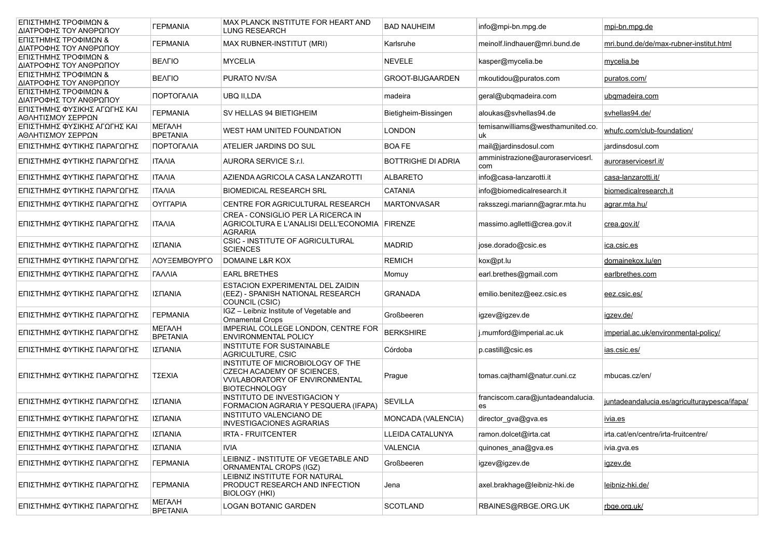| ΕΠΙΣΤΗΜΗΣ ΤΡΟΦΙΜΩΝ &<br>ΔΙΑΤΡΟΦΗΣ ΤΟΥ ΑΝΘΡΩΠΟΥ    | <b><i><u>TEPMANIA</u></i></b>    | MAX PLANCK INSTITUTE FOR HEART AND<br><b>LUNG RESEARCH</b>                                                                       | <b>BAD NAUHEIM</b>        | info@mpi-bn.mpg.de                       | mpi-bn.mpg.de                                |
|---------------------------------------------------|----------------------------------|----------------------------------------------------------------------------------------------------------------------------------|---------------------------|------------------------------------------|----------------------------------------------|
| ΕΠΙΣΤΗΜΗΣ ΤΡΟΦΙΜΩΝ &<br>ΔΙΑΤΡΟΦΗΣ ΤΟΥ ΑΝΘΡΩΠΟΥ    | <b><i><u>TEPMANIA</u></i></b>    | <b>MAX RUBNER-INSTITUT (MRI)</b>                                                                                                 | Karlsruhe                 | meinolf.lindhauer@mri.bund.de            | mri.bund.de/de/max-rubner-institut.html      |
| ΕΠΙΣΤΗΜΗΣ ΤΡΟΦΙΜΩΝ &<br>ΔΙΑΤΡΟΦΗΣ ΤΟΥ ΑΝΘΡΩΠΟΥ    | <b>BEAFIO</b>                    | <b>MYCELIA</b>                                                                                                                   | <b>NEVELE</b>             | kasper@mycelia.be                        | mycelia.be                                   |
| ΕΠΙΣΤΗΜΗΣ ΤΡΟΦΙΜΩΝ &<br>ΔΙΑΤΡΟΦΗΣ ΤΟΥ ΑΝΘΡΩΠΟΥ    | <b>BEAFIO</b>                    | PURATO NV/SA                                                                                                                     | <b>GROOT-BIJGAARDEN</b>   | mkoutidou@puratos.com                    | puratos.com/                                 |
| ΕΠΙΣΤΗΜΗΣ ΤΡΟΦΙΜΩΝ &<br>ΔΙΑΤΡΟΦΗΣ ΤΟΥ ΑΝΘΡΩΠΟΥ    | ΠΟΡΤΟΓΑΛΙΑ                       | UBQ II,LDA                                                                                                                       | madeira                   | geral@ubqmadeira.com                     | ubgmadeira.com                               |
| ΕΠΙΣΤΗΜΗΣ ΦΥΣΙΚΗΣ ΑΓΩΓΗΣ ΚΑΙ<br>ΑΘΛΗΤΙΣΜΟΥ ΣΕΡΡΩΝ | <b><i>TEPMANIA</i></b>           | SV HELLAS 94 BIETIGHEIM                                                                                                          | Bietigheim-Bissingen      | aloukas@svhellas94.de                    | svhellas94.de/                               |
| ΕΠΙΣΤΗΜΗΣ ΦΥΣΙΚΗΣ ΑΓΩΓΗΣ ΚΑΙ<br>ΑΘΛΗΤΙΣΜΟΥ ΣΕΡΡΩΝ | <b>METAAH</b><br><b>BPETANIA</b> | WEST HAM UNITED FOUNDATION                                                                                                       | <b>LONDON</b>             | temisanwilliams@westhamunited.co.<br>uk  | whufc.com/club-foundation/                   |
| ΕΠΙΣΤΗΜΗΣ ΦΥΤΙΚΗΣ ΠΑΡΑΓΩΓΗΣ                       | ΠΟΡΤΟΓΑΛΙΑ                       | ATELIER JARDINS DO SUL                                                                                                           | <b>BOAFE</b>              | mail@jardinsdosul.com                    | jardinsdosul.com                             |
| ΕΠΙΣΤΗΜΗΣ ΦΥΤΙΚΗΣ ΠΑΡΑΓΩΓΗΣ                       | <b>ITAAIA</b>                    | AURORA SERVICE S.r.I.                                                                                                            | <b>BOTTRIGHE DI ADRIA</b> | amministrazione@auroraservicesrl.<br>com | auroraservicesrl.it/                         |
| ΕΠΙΣΤΗΜΗΣ ΦΥΤΙΚΗΣ ΠΑΡΑΓΩΓΗΣ                       | <b>ITAAIA</b>                    | AZIENDA AGRICOLA CASA LANZAROTTI                                                                                                 | <b>ALBARETO</b>           | info@casa-lanzarotti.it                  | casa-lanzarotti.it/                          |
| ΕΠΙΣΤΗΜΗΣ ΦΥΤΙΚΗΣ ΠΑΡΑΓΩΓΗΣ                       | <b>ITAAIA</b>                    | <b>BIOMEDICAL RESEARCH SRL</b>                                                                                                   | <b>CATANIA</b>            | info@biomedicalresearch.it               | biomedicalresearch.it                        |
| ΕΠΙΣΤΗΜΗΣ ΦΥΤΙΚΗΣ ΠΑΡΑΓΩΓΗΣ                       | <b>OYFFAPIA</b>                  | CENTRE FOR AGRICULTURAL RESEARCH                                                                                                 | <b>MARTONVASAR</b>        | raksszegi.mariann@agrar.mta.hu           | agrar.mta.hu/                                |
| ΕΠΙΣΤΗΜΗΣ ΦΥΤΙΚΗΣ ΠΑΡΑΓΩΓΗΣ                       | <b>ITAAIA</b>                    | CREA - CONSIGLIO PER LA RICERCA IN<br>AGRICOLTURA E L'ANALISI DELL'ECONOMIA FIRENZE<br><b>AGRARIA</b>                            |                           | massimo.aglletti@crea.gov.it             | crea.gov.it/                                 |
| ΕΠΙΣΤΗΜΗΣ ΦΥΤΙΚΗΣ ΠΑΡΑΓΩΓΗΣ                       | ΙΣΠΑΝΙΑ                          | <b>CSIC - INSTITUTE OF AGRICULTURAL</b><br><b>SCIENCES</b>                                                                       | <b>MADRID</b>             | jose.dorado@csic.es                      | <u>ica.csic.es</u>                           |
| ΕΠΙΣΤΗΜΗΣ ΦΥΤΙΚΗΣ ΠΑΡΑΓΩΓΗΣ                       | ΛΟΥΞΕΜΒΟΥΡΓΟ                     | DOMAINE L&R KOX                                                                                                                  | <b>REMICH</b>             | kox@pt.lu                                | domainekox.lu/en                             |
| ΕΠΙΣΤΗΜΗΣ ΦΥΤΙΚΗΣ ΠΑΡΑΓΩΓΗΣ                       | ΓΑΛΛΙΑ                           | <b>EARL BRETHES</b>                                                                                                              | Momuy                     | earl.brethes@gmail.com                   | earlbrethes.com                              |
| ΕΠΙΣΤΗΜΗΣ ΦΥΤΙΚΗΣ ΠΑΡΑΓΩΓΗΣ                       | ΙΣΠΑΝΙΑ                          | ESTACION EXPERIMENTAL DEL ZAIDIN<br>(EEZ) - SPANISH NATIONAL RESEARCH<br>COUNCIL (CSIC)                                          | <b>GRANADA</b>            | emilio.benitez@eez.csic.es               | eez.csic.es/                                 |
| ΕΠΙΣΤΗΜΗΣ ΦΥΤΙΚΗΣ ΠΑΡΑΓΩΓΗΣ                       | <b><i>TEPMANIA</i></b>           | IGZ - Leibniz Institute of Vegetable and<br><b>Ornamental Crops</b>                                                              | Großbeeren                | igzev@igzev.de                           | <u>igzev.de/</u>                             |
| ΕΠΙΣΤΗΜΗΣ ΦΥΤΙΚΗΣ ΠΑΡΑΓΩΓΗΣ                       | <b>METAAH</b><br><b>BPETANIA</b> | IMPERIAL COLLEGE LONDON, CENTRE FOR<br><b>ENVIRONMENTAL POLICY</b>                                                               | <b>BERKSHIRE</b>          | j.mumford@imperial.ac.uk                 | imperial.ac.uk/environmental-policy/         |
| ΕΠΙΣΤΗΜΗΣ ΦΥΤΙΚΗΣ ΠΑΡΑΓΩΓΗΣ                       | ΙΣΠΑΝΙΑ                          | <b>INSTITUTE FOR SUSTAINABLE</b><br>AGRICULTURE, CSIC                                                                            | Córdoba                   | p.castill@csic.es                        | <u>ias.csic.es/</u>                          |
| ΕΠΙΣΤΗΜΗΣ ΦΥΤΙΚΗΣ ΠΑΡΑΓΩΓΗΣ                       | ΤΣΕΧΙΑ                           | INSTITUTE OF MICROBIOLOGY OF THE<br>CZECH ACADEMY OF SCIENCES.<br><b>VVI/LABORATORY OF ENVIRONMENTAL</b><br><b>BIOTECHNOLOGY</b> | Prague                    | tomas.cajthaml@natur.cuni.cz             | mbucas.cz/en/                                |
| ΕΠΙΣΤΗΜΗΣ ΦΥΤΙΚΗΣ ΠΑΡΑΓΩΓΗΣ                       | ΙΣΠΑΝΙΑ                          | <b>INSTITUTO DE INVESTIGACION Y</b><br>FORMACION AGRARIA Y PESQUERA (IFAPA)                                                      | <b>SEVILLA</b>            | franciscom.cara@juntadeandalucia.<br>es  | juntadeandalucia.es/agriculturaypesca/ifapa/ |
| ΕΠΙΣΤΗΜΗΣ ΦΥΤΙΚΗΣ ΠΑΡΑΓΩΓΗΣ                       | ΙΣΠΑΝΙΑ                          | INSTITUTO VALENCIANO DE<br><b>INVESTIGACIONES AGRARIAS</b>                                                                       | <b>MONCADA (VALENCIA)</b> | director_gva@gva.es                      | <u>ivia.es</u>                               |
| ΕΠΙΣΤΗΜΗΣ ΦΥΤΙΚΗΣ ΠΑΡΑΓΩΓΗΣ                       | ΙΣΠΑΝΙΑ                          | IRTA - FRUITCENTER                                                                                                               | LLEIDA CATALUNYA          | ramon.dolcet@irta.cat                    | irta.cat/en/centre/irta-fruitcentre/         |
| ΕΠΙΣΤΗΜΗΣ ΦΥΤΙΚΗΣ ΠΑΡΑΓΩΓΗΣ                       | ΙΣΠΑΝΙΑ                          | <b>IVIA</b>                                                                                                                      | <b>VALENCIA</b>           | quinones_ana@gva.es                      | ivia.gva.es                                  |
| ΕΠΙΣΤΗΜΗΣ ΦΥΤΙΚΗΣ ΠΑΡΑΓΩΓΗΣ                       | <b><i>TEPMANIA</i></b>           | LEIBNIZ - INSTITUTE OF VEGETABLE AND<br>ORNAMENTAL CROPS (IGZ)                                                                   | Großbeeren                | igzev@igzev.de                           | igzev.de                                     |
| ΕΠΙΣΤΗΜΗΣ ΦΥΤΙΚΗΣ ΠΑΡΑΓΩΓΗΣ                       | <b><i>TEPMANIA</i></b>           | LEIBNIZ INSTITUTE FOR NATURAL<br>PRODUCT RESEARCH AND INFECTION<br><b>BIOLOGY (HKI)</b>                                          | Jena                      | axel.brakhage@leibniz-hki.de             | leibniz-hki.de/                              |
| ΕΠΙΣΤΗΜΗΣ ΦΥΤΙΚΗΣ ΠΑΡΑΓΩΓΗΣ                       | <b>METAAH</b><br><b>BPETANIA</b> | LOGAN BOTANIC GARDEN                                                                                                             | <b>SCOTLAND</b>           | RBAINES@RBGE.ORG.UK                      | rbge.org.uk/                                 |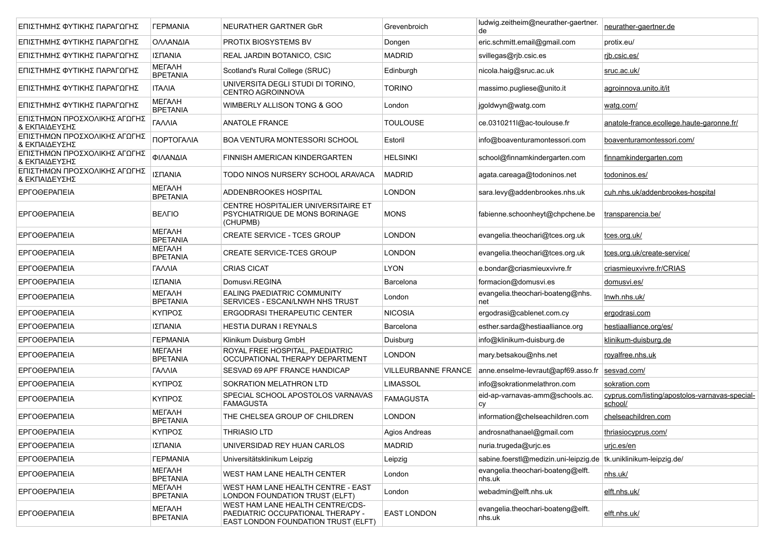| ΕΠΙΣΤΗΜΗΣ ΦΥΤΙΚΗΣ ΠΑΡΑΓΩΓΗΣ                   | <b><i><u>TEPMANIA</u></i></b>    | NEURATHER GARTNER GbR                                                                                        | Grevenbroich               | ludwig.zeitheim@neurather-gaertner.<br>de                          | neurather-gaertner.de                                     |
|-----------------------------------------------|----------------------------------|--------------------------------------------------------------------------------------------------------------|----------------------------|--------------------------------------------------------------------|-----------------------------------------------------------|
| ΕΠΙΣΤΗΜΗΣ ΦΥΤΙΚΗΣ ΠΑΡΑΓΩΓΗΣ                   | ΟΛΛΑΝΔΙΑ                         | PROTIX BIOSYSTEMS BV                                                                                         | Dongen                     | eric.schmitt.email@gmail.com                                       | protix eu/                                                |
| ΕΠΙΣΤΗΜΗΣ ΦΥΤΙΚΗΣ ΠΑΡΑΓΩΓΗΣ                   | ΙΣΠΑΝΙΑ                          | REAL JARDIN BOTANICO, CSIC                                                                                   | <b>MADRID</b>              | svillegas@rjb.csic.es                                              | rib.csic.es/                                              |
| ΕΠΙΣΤΗΜΗΣ ΦΥΤΙΚΗΣ ΠΑΡΑΓΩΓΗΣ                   | <b>METAAH</b><br><b>BPETANIA</b> | Scotland's Rural College (SRUC)                                                                              | Edinburgh                  | nicola.haig@sruc.ac.uk                                             | sruc.ac.uk/                                               |
| ΕΠΙΣΤΗΜΗΣ ΦΥΤΙΚΗΣ ΠΑΡΑΓΩΓΗΣ                   | <b>ITAAIA</b>                    | UNIVERSITA DEGLI STUDI DI TORINO,<br>CENTRO AGROINNOVA                                                       | <b>TORINO</b>              | massimo pugliese@unito it                                          | agroinnova unito it/it                                    |
| ΕΠΙΣΤΗΜΗΣ ΦΥΤΙΚΗΣ ΠΑΡΑΓΩΓΗΣ                   | <b>METAAH</b><br><b>BPETANIA</b> | WIMBERLY ALLISON TONG & GOO                                                                                  | London                     | jgoldwyn@watg.com                                                  | watg.com/                                                 |
| ΕΠΙΣΤΗΜΩΝ ΠΡΟΣΧΟΛΙΚΗΣ ΑΓΩΓΗΣ<br>& ΕΚΠΑΙΔΕΥΣΗΣ | ΓΑΛΛΙΑ                           | <b>ANATOLE FRANCE</b>                                                                                        | <b>TOULOUSE</b>            | ce.0310211I@ac-toulouse.fr                                         | anatole-france.ecollege.haute-garonne.fr/                 |
| ΕΠΙΣΤΗΜΩΝ ΠΡΟΣΧΟΛΙΚΗΣ ΑΓΩΓΗΣ<br>& ΕΚΠΑΙΔΕΥΣΗΣ | ΠΟΡΤΟΓΑΛΙΑ                       | BOA VENTURA MONTESSORI SCHOOL                                                                                | Estoril                    | info@boaventuramontessori.com                                      | boaventuramontessori.com/                                 |
| ΕΠΙΣΤΗΜΩΝ ΠΡΟΣΧΟΛΙΚΗΣ ΑΓΩΓΗΣ<br>& ΕΚΠΑΙΔΕΥΣΗΣ | <b>ΦΙΛΑΝΔΙΑ</b>                  | FINNISH AMERICAN KINDERGARTEN                                                                                | <b>HELSINKI</b>            | school@finnamkindergarten.com                                      | finnamkindergarten.com                                    |
| ΕΠΙΣΤΗΜΩΝ ΠΡΟΣΧΟΛΙΚΗΣ ΑΓΩΓΗΣ<br>& ΕΚΠΑΙΔΕΥΣΗΣ | ΙΣΠΑΝΙΑ                          | TODO NINOS NURSERY SCHOOL ARAVACA                                                                            | <b>MADRID</b>              | agata.careaga@todoninos.net                                        | todoninos.es/                                             |
| ΕΡΓΟΘΕΡΑΠΕΙΑ                                  | <b>METAAH</b><br><b>BPETANIA</b> | ADDENBROOKES HOSPITAL                                                                                        | <b>LONDON</b>              | sara.levy@addenbrookes.nhs.uk                                      | cuh.nhs.uk/addenbrookes-hospital                          |
| <b>EPFOGEPANEIA</b>                           | <b>BEAFIO</b>                    | CENTRE HOSPITALIER UNIVERSITAIRE ET<br>PSYCHIATRIQUE DE MONS BORINAGE<br>(CHUPMB)                            | <b>MONS</b>                | fabienne.schoonheyt@chpchene.be                                    | transparencia.be/                                         |
| <b>EPFOGEPANEIA</b>                           | <b>METAAH</b><br><b>BPETANIA</b> | <b>CREATE SERVICE - TCES GROUP</b>                                                                           | <b>LONDON</b>              | evangelia.theochari@tces.org.uk                                    | tces.org.uk/                                              |
| <b>EPFOGEPANEIA</b>                           | <b>METAAH</b><br><b>BPETANIA</b> | <b>CREATE SERVICE-TCES GROUP</b>                                                                             | <b>LONDON</b>              | evangelia.theochari@tces.org.uk                                    | tces.org.uk/create-service/                               |
| <b>EPFOGEPANEIA</b>                           | ΓΑΛΛΙΑ                           | <b>CRIAS CICAT</b>                                                                                           | <b>LYON</b>                | e.bondar@criasmieuxvivre.fr                                        | criasmieuxvivre.fr/CRIAS                                  |
| <b>EPFOGEPANEIA</b>                           | ΙΣΠΑΝΙΑ                          | Domusvi.REGINA                                                                                               | Barcelona                  | formacion@domusvi.es                                               | domusvi.es/                                               |
| <b>EPFOGEPANEIA</b>                           | <b>METAAH</b><br><b>BPETANIA</b> | EALING PAEDIATRIC COMMUNITY<br>SERVICES - ESCAN/LNWH NHS TRUST                                               | London                     | evangelia.theochari-boateng@nhs.<br>net                            | <u>Inwh.nhs.uk/</u>                                       |
| <b>EPFOGEPANEIA</b>                           | ΚΥΠΡΟΣ                           | <b>ERGODRASI THERAPEUTIC CENTER</b>                                                                          | <b>NICOSIA</b>             | ergodrasi@cablenet.com.cy                                          | ergodrasi.com                                             |
| <b>EPFOGEPANEIA</b>                           | ΙΣΠΑΝΙΑ                          | <b>HESTIA DURAN I REYNALS</b>                                                                                | Barcelona                  | esther.sarda@hestiaalliance.org                                    | hestiaalliance.org/es/                                    |
| <b>EPFOGEPANEIA</b>                           | <b><i>TEPMANIA</i></b>           | Klinikum Duisburg GmbH                                                                                       | Duisburg                   | info@klinikum-duisburg.de                                          | klinikum-duisburg.de                                      |
| <b>EPFOGEPANEIA</b>                           | <b>METAAH</b><br><b>BPETANIA</b> | ROYAL FREE HOSPITAL, PAEDIATRIC<br>OCCUPATIONAL THERAPY DEPARTMENT                                           | <b>LONDON</b>              | mary.betsakou@nhs.net                                              | royalfree.nhs.uk                                          |
| ΕΡΓΟΘΕΡΑΠΕΙΑ                                  | ΓΑΛΛΙΑ                           | SESVAD 69 APF FRANCE HANDICAP                                                                                | <b>VILLEURBANNE FRANCE</b> | anne.enselme-levraut@apf69.asso.fr                                 | sesvad.com/                                               |
| <b>EPFOGEPANEIA</b>                           | ΚΥΠΡΟΣ                           | SOKRATION MELATHRON LTD                                                                                      | <b>LIMASSOL</b>            | info@sokrationmelathron.com                                        | sokration.com                                             |
| <b>EPFOGEPANEIA</b>                           | ΚΥΠΡΟΣ                           | SPECIAL SCHOOL APOSTOLOS VARNAVAS<br><b>FAMAGUSTA</b>                                                        | <b>FAMAGUSTA</b>           | eid-ap-varnavas-amm@schools.ac.<br>CV                              | cyprus.com/listing/apostolos-varnavas-special-<br>school/ |
| <b>EPFOGEPANEIA</b>                           | <b>METAAH</b><br><b>BPETANIA</b> | THE CHELSEA GROUP OF CHILDREN                                                                                | LONDON                     | information@chelseachildren.com                                    | chelseachildren.com                                       |
| <b>EPFOGEPATEIA</b>                           | ΚΥΠΡΟΣ                           | <b>THRIASIO LTD</b>                                                                                          | Agios Andreas              | androsnathanael@gmail.com                                          | thriasiocyprus.com/                                       |
| <b>EPFOGEPATEIA</b>                           | ΙΣΠΑΝΙΑ                          | UNIVERSIDAD REY HUAN CARLOS                                                                                  | <b>MADRID</b>              | nuria.trugeda@urjc.es                                              | uric.es/en                                                |
| ΕΡΓΟΘΕΡΑΠΕΙΑ                                  | <b><i>TEPMANIA</i></b>           | Universitätsklinikum Leipzig                                                                                 | Leipzig                    | sabine.foerstl@medizin.uni-leipzig.de   tk.uniklinikum-leipzig.de/ |                                                           |
| <b>EPFOGEPATEIA</b>                           | МЕГАЛН<br><b>BPETANIA</b>        | WEST HAM LANE HEALTH CENTER                                                                                  | London                     | evangelia.theochari-boateng@elft.<br>nhs.uk                        | nhs.uk/                                                   |
| <b>EPFOGEPATEIA</b>                           | МЕГАЛН<br><b>BPETANIA</b>        | WEST HAM LANE HEALTH CENTRE - EAST<br>LONDON FOUNDATION TRUST (ELFT)                                         | London                     | webadmin@elft.nhs.uk                                               | elft.nhs.uk/                                              |
| <b>EPFOGEPATEIA</b>                           | МЕГАЛН<br><b>BPETANIA</b>        | WEST HAM LANE HEALTH CENTRE/CDS-<br>PAEDIATRIC OCCUPATIONAL THERAPY -<br>EAST LONDON FOUNDATION TRUST (ELFT) | <b>EAST LONDON</b>         | evangelia.theochari-boateng@elft.<br>nhs.uk                        | elft.nhs.uk/                                              |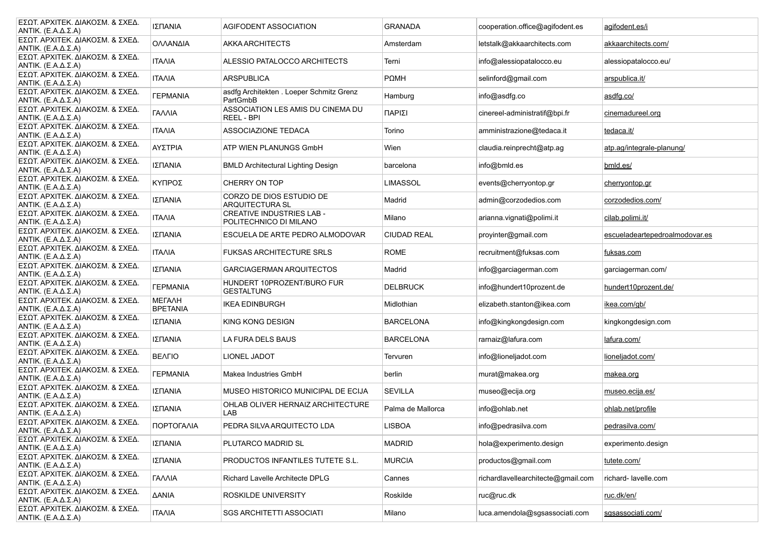| ΕΣΩΤ. ΑΡΧΙΤΕΚ. ΔΙΑΚΟΣΜ. & ΣΧΕΔ.<br>ANTIK. $(E.A.A.\Sigma.A)$   | ΙΣΠΑΝΙΑ                          | AGIFODENT ASSOCIATION                                      | <b>GRANADA</b>     | cooperation.office@agifodent.es    | agifodent.es/i                 |
|----------------------------------------------------------------|----------------------------------|------------------------------------------------------------|--------------------|------------------------------------|--------------------------------|
| ΕΣΩΤ. ΑΡΧΙΤΕΚ. ΔΙΑΚΟΣΜ. & ΣΧΕΔ.<br>ANTIK. $(E.A.A.\Sigma.A)$   | ΟΛΛΑΝΔΙΑ                         | <b>AKKA ARCHITECTS</b>                                     | Amsterdam          | letstalk@akkaarchitects.com        | akkaarchitects.com/            |
| ΕΣΩΤ. ΑΡΧΙΤΕΚ. ΔΙΑΚΟΣΜ. & ΣΧΕΔ.<br>ANTIK. $(E.A.A.\Sigma.A)$   | <b>ITAAIA</b>                    | ALESSIO PATALOCCO ARCHITECTS                               | Terni              | info@alessiopatalocco.eu           | alessiopatalocco.eu/           |
| ΕΣΩΤ. ΑΡΧΙΤΕΚ. ΔΙΑΚΟΣΜ. & ΣΧΕΔ.<br>ANTIK. (Ε.Α.Δ.Σ.Α)          | <b>ITAAIA</b>                    | <b>ARSPUBLICA</b>                                          | $P\Omega MH$       | selinford@gmail.com                | arspublica.it/                 |
| ΕΣΩΤ. ΑΡΧΙΤΕΚ. ΔΙΑΚΟΣΜ. & ΣΧΕΔ.<br>ANTIK. $(E.A.A.\Sigma.A)$   | <b><i>FEPMANIA</i></b>           | asdfg Architekten . Loeper Schmitz Grenz<br>PartGmbB       | Hamburg            | info@asdfg.co                      | asdfg.co/                      |
| ΕΣΩΤ. ΑΡΧΙΤΕΚ. ΔΙΑΚΟΣΜ. & ΣΧΕΔ.<br>ANTIK. $(E.A.A.\Sigma.A)$   | ΓΑΛΛΙΑ                           | ASSOCIATION LES AMIS DU CINEMA DU<br>REEL - BPI            | ΠΑΡΙΣΙ             | cinereel-administratif@bpi.fr      | cinemadureel.org               |
| ΕΣΩΤ. ΑΡΧΙΤΕΚ. ΔΙΑΚΟΣΜ. & ΣΧΕΔ.<br>ANTIK. $(E.A.A.\Sigma.A)$   | <b>ITAAIA</b>                    | ASSOCIAZIONE TEDACA                                        | Torino             | amministrazione@tedaca.it          | tedaca.it/                     |
| ΕΣΩΤ. ΑΡΧΙΤΕΚ. ΔΙΑΚΟΣΜ. & ΣΧΕΔ.<br>ANTIK. $(E.A.A.\Sigma.A)$   | ΑΥΣΤΡΙΑ                          | ATP WIEN PLANUNGS GmbH                                     | Wien               | claudia.reinprecht@atp.aq          | atp.ag/integrale-planung/      |
| ΕΣΩΤ. ΑΡΧΙΤΕΚ. ΔΙΑΚΟΣΜ. & ΣΧΕΔ.<br>ANTIK. $(E.A.A.\Sigma.A)$   | ΙΣΠΑΝΙΑ                          | <b>BMLD Architectural Lighting Design</b>                  | barcelona          | info@bmld.es                       | bmld.es/                       |
| ΕΣΩΤ. ΑΡΧΙΤΕΚ. ΔΙΑΚΟΣΜ. & ΣΧΕΔ.<br>ANTIK. $(E.A.A.\Sigma.A)$   | ΚΥΠΡΟΣ                           | CHERRY ON TOP                                              | <b>LIMASSOL</b>    | events@cherryontop.gr              | cherryontop.gr                 |
| ΕΣΩΤ. ΑΡΧΙΤΕΚ. ΔΙΑΚΟΣΜ. & ΣΧΕΔ.<br>ANTIK. $(E.A.A.\Sigma.A)$   | ΙΣΠΑΝΙΑ                          | CORZO DE DIOS ESTUDIO DE<br>ARQUITECTURA SL                | Madrid             | admin@corzodedios.com              | corzodedios.com/               |
| ΕΣΩΤ. ΑΡΧΙΤΕΚ. ΔΙΑΚΟΣΜ. & ΣΧΕΔ.<br>ANTIK. $(E.A.A.\Sigma.A)$   | <b>ITAAIA</b>                    | <b>CREATIVE INDUSTRIES LAB -</b><br>POLITECHNICO DI MILANO | Milano             | arianna.vignati@polimi.it          | cilab.polimi.it/               |
| ΕΣΩΤ. ΑΡΧΙΤΕΚ. ΔΙΑΚΟΣΜ. & ΣΧΕΔ.<br>ANTIK. (Ε.Α.Δ.Σ.Α)          | ΙΣΠΑΝΙΑ                          | ESCUELA DE ARTE PEDRO ALMODOVAR                            | <b>CIUDAD REAL</b> | proyinter@gmail.com                | escueladeartepedroalmodovar.es |
| ΕΣΩΤ. ΑΡΧΙΤΕΚ. ΔΙΑΚΟΣΜ. & ΣΧΕΔ.<br>ANTIK. $(E.A.A.\Sigma.A)$   | <b>ITAAIA</b>                    | <b>FUKSAS ARCHITECTURE SRLS</b>                            | <b>ROME</b>        | recruitment@fuksas.com             | fuksas.com                     |
| ΕΣΩΤ. ΑΡΧΙΤΕΚ. ΔΙΑΚΟΣΜ. & ΣΧΕΔ.<br>ANTIK. $(E.A.A.\Sigma.A)$   | ΙΣΠΑΝΙΑ                          | GARCIAGERMAN ARQUITECTOS                                   | Madrid             | info@garciagerman.com              | garciagerman.com/              |
| ΕΣΩΤ. ΑΡΧΙΤΕΚ. ΔΙΑΚΟΣΜ. & ΣΧΕΔ.<br>ANTIK. $(E.A.A.\Sigma.A)$   | <b><i>TEPMANIA</i></b>           | HUNDERT 10PROZENT/BURO FUR<br><b>GESTALTUNG</b>            | <b>DELBRUCK</b>    | info@hundert10prozent.de           | hundert10prozent.de/           |
| ΕΣΩΤ. ΑΡΧΙΤΕΚ. ΔΙΑΚΟΣΜ. & ΣΧΕΔ.<br>ANTIK. $(E.A.A.\Sigma.A)$   | <b>METAAH</b><br><b>BPETANIA</b> | <b>IKEA EDINBURGH</b>                                      | Midlothian         | elizabeth.stanton@ikea.com         | ikea.com/gb/                   |
| ΕΣΩΤ. ΑΡΧΙΤΕΚ. ΔΙΑΚΟΣΜ. & ΣΧΕΔ.<br>ANTIK. $(E.A.A.\Sigma.A)$   | ΙΣΠΑΝΙΑ                          | KING KONG DESIGN                                           | <b>BARCELONA</b>   | info@kingkongdesign.com            | kingkongdesign.com             |
| ΕΣΩΤ. ΑΡΧΙΤΕΚ. ΔΙΑΚΟΣΜ. & ΣΧΕΔ.<br>ANTIK. $(E.A.A.\Sigma.A)$   | ΙΣΠΑΝΙΑ                          | LA FURA DELS BAUS                                          | <b>BARCELONA</b>   | rarnaiz@lafura.com                 | lafura.com/                    |
| ΕΣΩΤ. ΑΡΧΙΤΕΚ. ΔΙΑΚΟΣΜ. & ΣΧΕΔ.<br>ANTIK. $(E.A.A.\Sigma.A)$   | <b>BEAFIO</b>                    | <b>LIONEL JADOT</b>                                        | Tervuren           | info@lioneljadot.com               | lioneljadot.com/               |
| ΕΣΩΤ. ΑΡΧΙΤΕΚ. ΔΙΑΚΟΣΜ. & ΣΧΕΔ.<br>ANTIK. $(E.A.A.\Sigma.A)$   | <b><i>FEPMANIA</i></b>           | Makea Industries GmbH                                      | berlin             | murat@makea.org                    | makea.org                      |
| ΕΣΩΤ. ΑΡΧΙΤΕΚ. ΔΙΑΚΟΣΜ. & ΣΧΕΔ.<br>ANTIK. $(E.A.A.\Sigma.A)$   | ΙΣΠΑΝΙΑ                          | MUSEO HISTORICO MUNICIPAL DE ECIJA                         | <b>SEVILLA</b>     | museo@ecija.org                    | museo.ecija.es/                |
| ΕΣΩΤ. ΑΡΧΙΤΕΚ. ΔΙΑΚΟΣΜ. & ΣΧΕΔ.<br>ANTIK. $(E.A.A.\Sigma.A)$   | ΙΣΠΑΝΙΑ                          | OHLAB OLIVER HERNAIZ ARCHITECTURE<br>LAB                   | Palma de Mallorca  | info@ohlab.net                     | ohlab.net/profile              |
| ΕΣΩΤ. ΑΡΧΙΤΕΚ. ΔΙΑΚΟΣΜ. & ΣΧΕΔ.<br>ANTIK. $(E.A.A.\Sigma.A)$   | ΠΟΡΤΟΓΑΛΙΑ                       | PEDRA SILVA ARQUITECTO LDA                                 | <b>LISBOA</b>      | info@pedrasilva.com                | pedrasilva.com/                |
| ΕΣΩΤ. ΑΡΧΙΤΕΚ. ΔΙΑΚΟΣΜ. & ΣΧΕΔ.<br>$ANTIK. (E.A.A. \Sigma.A)$  | ΙΣΠΑΝΙΑ                          | PLUTARCO MADRID SL                                         | <b>MADRID</b>      | hola@experimento.design            | experimento.design             |
| ΕΣΩΤ. ΑΡΧΙΤΕΚ. ΔΙΑΚΟΣΜ. & ΣΧΕΔ.<br>ANTIK. $(E.A.A.\Sigma.A)$   | ΙΣΠΑΝΙΑ                          | PRODUCTOS INFANTILES TUTETE S.L.                           | <b>MURCIA</b>      | productos@gmail.com                | tutete.com/                    |
| ΕΣΩΤ. ΑΡΧΙΤΕΚ. ΔΙΑΚΟΣΜ. & ΣΧΕΔ.<br>ANTIK. $(E.A.A.\Sigma.A)$   | ΓΑΛΛΙΑ                           | Richard Lavelle Architecte DPLG                            | Cannes             | richardlavellearchitecte@gmail.com | richard-lavelle.com            |
| ΕΣΩΤ. ΑΡΧΙΤΕΚ. ΔΙΑΚΟΣΜ. & ΣΧΕΔ.<br>ANTIK. (Ε.Α.Δ.Σ.Α)          | <b>AANIA</b>                     | ROSKILDE UNIVERSITY                                        | Roskilde           | ruc@ruc.dk                         | ruc.dk/en/                     |
| ΕΣΩΤ. ΑΡΧΙΤΕΚ. ΔΙΑΚΟΣΜ. & ΣΧΕΔ.<br>$ ANTIK. (E.A.A. \Sigma.A)$ | <b>ITAAIA</b>                    | <b>SGS ARCHITETTI ASSOCIATI</b>                            | Milano             | luca.amendola@sgsassociati.com     | sqsassociati.com/              |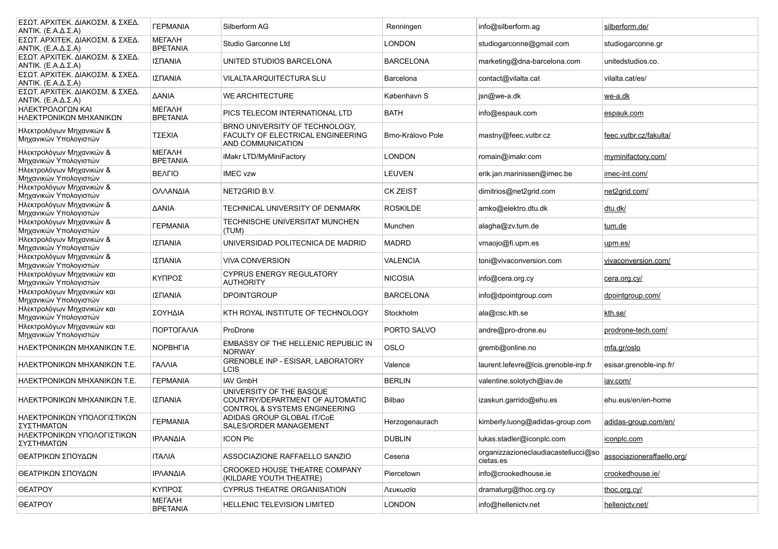| ΕΣΩΤ. ΑΡΧΙΤΕΚ. ΔΙΑΚΟΣΜ. & ΣΧΕΔ.<br>ANTIK. (Ε.Α.Δ.Σ.Α)        | <b><i>TEPMANIA</i></b>           | Silberform AG                                                                                           | Renningen         | info@silberform.ag                               | silberform.de/             |
|--------------------------------------------------------------|----------------------------------|---------------------------------------------------------------------------------------------------------|-------------------|--------------------------------------------------|----------------------------|
| ΕΣΩΤ. ΑΡΧΙΤΕΚ. ΔΙΑΚΟΣΜ. & ΣΧΕΔ.<br>ANTIK. $(E.A.A.\Sigma.A)$ | <b>METAAH</b><br><b>BPETANIA</b> | Studio Garconne Ltd                                                                                     | <b>LONDON</b>     | studiogarconne@gmail.com                         | studiogarconne.gr          |
| ΕΣΩΤ. ΑΡΧΙΤΕΚ. ΔΙΑΚΟΣΜ. & ΣΧΕΔ.<br>ANTIK. (Ε.Α.Δ.Σ.Α)        | ΙΣΠΑΝΙΑ                          | UNITED STUDIOS BARCELONA                                                                                | <b>BARCELONA</b>  | marketing@dna-barcelona.com                      | unitedstudios.co.          |
| ΕΣΩΤ. ΑΡΧΙΤΕΚ. ΔΙΑΚΟΣΜ. & ΣΧΕΔ.<br>ANTIK. $(E.A.A.\Sigma.A)$ | ΙΣΠΑΝΙΑ                          | VILALTA ARQUITECTURA SLU                                                                                | Barcelona         | contact@vilalta.cat                              | vilalta.cat/es/            |
| ΕΣΩΤ. ΑΡΧΙΤΕΚ. ΔΙΑΚΟΣΜ. & ΣΧΕΔ.<br>ANTIK. (Ε.Α.Δ.Σ.Α)        | <b>AANIA</b>                     | WE ARCHITECTURE                                                                                         | København S       | jsn@we-a.dk                                      | we-a.dk                    |
| ΗΛΕΚΤΡΟΛΟΓΩΝ ΚΑΙ<br>ΗΛΕΚΤΡΟΝΙΚΩΝ ΜΗΧΑΝΙΚΩΝ                   | <b>METAAH</b><br><b>BPETANIA</b> | PICS TELECOM INTERNATIONAL LTD                                                                          | <b>BATH</b>       | info@espauk.com                                  | espauk.com                 |
| Ηλεκτρολόγων Μηχανικών &<br>Μηχανικών Υπολογιστών            | ΤΣΕΧΙΑ                           | BRNO UNIVERSITY OF TECHNOLOGY,<br>FACULTY OF ELECTRICAL ENGINEERING<br>AND COMMUNICATION                | Brno-Královo Pole | mastny@feec.vutbr.cz                             | feec.vutbr.cz/fakulta/     |
| Ηλεκτρολόγων Μηχανικών &<br>Μηχανικών Υπολογιστών            | <b>МЕГАЛН</b><br><b>BPETANIA</b> | iMakr LTD/MyMiniFactory                                                                                 | LONDON            | romain@imakr.com                                 | myminifactory.com/         |
| Ηλεκτρολόγων Μηχανικών &<br>Μηχανικών Υπολογιστών            | <b>BEAFIO</b>                    | <b>IMEC vzw</b>                                                                                         | LEUVEN            | erik.jan.marinissen@imec.be                      | imec-int.com/              |
| Ηλεκτρολόγων Μηχανικών &<br>Μηχανικών Υπολογιστών            | ΟΛΛΑΝΔΙΑ                         | NET2GRID B.V.                                                                                           | <b>CK ZEIST</b>   | dimitrios@net2grid.com                           | net2grid.com/              |
| Ηλεκτρολόγων Μηχανικών &<br>Μηχανικών Υπολογιστών            | <b>AANIA</b>                     | TECHNICAL UNIVERSITY OF DENMARK                                                                         | <b>ROSKILDE</b>   | amko@elektro.dtu.dk                              | dtu.dk/                    |
| Ηλεκτρολόγων Μηχανικών &<br>Μηχανικών Υπολογιστών            | <b><i>TEPMANIA</i></b>           | TECHNISCHE UNIVERSITAT MUNCHEN<br>(TUM)                                                                 | Munchen           | alagha@zv.tum.de                                 | tum.de                     |
| Ηλεκτρολόγων Μηχανικών &<br>Μηχανικών Υπολογιστών            | ΙΣΠΑΝΙΑ                          | UNIVERSIDAD POLITECNICA DE MADRID                                                                       | <b>MADRD</b>      | vmaojo@fi.upm.es                                 | upm.es/                    |
| Ηλεκτρολόγων Μηχανικών &<br>Μηχανικών Υπολογιστών            | ΙΣΠΑΝΙΑ                          | <b>VIVA CONVERSION</b>                                                                                  | <b>VALENCIA</b>   | toni@vivaconversion.com                          | vivaconversion.com/        |
| Ηλεκτρολόγων Μηχανικών και<br>Μηχανικών Υπολογιστών          | ΚΥΠΡΟΣ                           | <b>CYPRUS ENERGY REGULATORY</b><br><b>AUTHORITY</b>                                                     | <b>NICOSIA</b>    | info@cera.org.cy                                 | cera.org.cy/               |
| Ηλεκτρολόγων Μηχανικών και<br>Μηχανικών Υπολογιστών          | ΙΣΠΑΝΙΑ                          | <b>DPOINTGROUP</b>                                                                                      | <b>BARCELONA</b>  | info@dpointgroup.com                             | dpointgroup.com/           |
| Ηλεκτρολόγων Μηχανικών και<br>Μηχανικών Υπολογιστών          | ΣΟΥΗΔΙΑ                          | KTH ROYAL INSTITUTE OF TECHNOLOGY                                                                       | Stockholm         | ala@csc.kth.se                                   | kth.se/                    |
| Ηλεκτρολόγων Μηχανικών και<br>Μηχανικών Υπολογιστών          | ΠΟΡΤΟΓΑΛΙΑ                       | ProDrone                                                                                                | PORTO SALVO       | andre@pro-drone.eu                               | prodrone-tech.com/         |
| ΗΛΕΚΤΡΟΝΙΚΩΝ ΜΗΧΑΝΙΚΩΝ Τ.Ε.                                  | <b>NOPBHFIA</b>                  | EMBASSY OF THE HELLENIC REPUBLIC IN<br><b>NORWAY</b>                                                    | OSLO              | gremb@online.no                                  | mfa.gr/oslo                |
| ΗΛΕΚΤΡΟΝΙΚΩΝ ΜΗΧΑΝΙΚΩΝ Τ.Ε.                                  | <b><i>FAAAIA</i></b>             | GRENOBLE INP - ESISAR, LABORATORY<br><b>LCIS</b>                                                        | Valence           | laurent.lefevre@lcis.grenoble-inp.fr             | esisar.grenoble-inp.fr/    |
| ΗΛΕΚΤΡΟΝΙΚΩΝ ΜΗΧΑΝΙΚΩΝ Τ.Ε.                                  | <b><i>TEPMANIA</i></b>           | <b>IAV GmbH</b>                                                                                         | <b>BERLIN</b>     | valentine.solotych@iav.de                        | iav.com/                   |
| ΗΛΕΚΤΡΟΝΙΚΩΝ ΜΗΧΑΝΙΚΩΝ Τ.Ε.                                  | ΙΣΠΑΝΙΑ                          | UNIVERSITY OF THE BASQUE<br>COUNTRY/DEPARTMENT OF AUTOMATIC<br><b>CONTROL &amp; SYSTEMS ENGINEERING</b> | Bilbao            | izaskun.garrido@ehu.es                           | ehu.eus/en/en-home         |
| ΗΛΕΚΤΡΟΝΙΚΩΝ ΥΠΟΛΟΓΙΣΤΙΚΩΝ<br>ΣΥΣΤΗΜΑΤΩΝ                     | <b><i>TEPMANIA</i></b>           | ADIDAS GROUP GLOBAL IT/CoE<br>SALES/ORDER MANAGEMENT                                                    | Herzogenaurach    | kimberly.luong@adidas-group.com                  | adidas-group.com/en/       |
| ΗΛΕΚΤΡΟΝΙΚΩΝ ΥΠΟΛΟΓΙΣΤΙΚΩΝ<br>ΣΥΣΤΗΜΑΤΩΝ                     | ΙΡΛΑΝΔΙΑ                         | <b>ICON PIC</b>                                                                                         | <b>DUBLIN</b>     | lukas.stadler@iconplc.com                        | iconplc.com                |
| ΘΕΑΤΡΙΚΩΝ ΣΠΟΥΔΩΝ                                            | <b>ITAAIA</b>                    | ASSOCIAZIONE RAFFAELLO SANZIO                                                                           | Cesena            | organizzazioneclaudiacastellucci@so<br>cietas.es | associazioneraffaello.org/ |
| ΘΕΑΤΡΙΚΩΝ ΣΠΟΥΔΩΝ                                            | ΙΡΛΑΝΔΙΑ                         | CROOKED HOUSE THEATRE COMPANY<br>(KILDARE YOUTH THEATRE)                                                | Piercetown        | info@crookedhouse.ie                             | crookedhouse.ie/           |
| <b>OEATPOY</b>                                               | ΚΥΠΡΟΣ                           | <b>CYPRUS THEATRE ORGANISATION</b>                                                                      | Λευκωσία          | dramaturg@thoc.org.cy                            | thoc.org.cy/               |
| <b>OEATPOY</b>                                               | <b>METAAH</b><br><b>BPETANIA</b> | <b>HELLENIC TELEVISION LIMITED</b>                                                                      | <b>LONDON</b>     | info@hellenictv.net                              | hellenictv.net/            |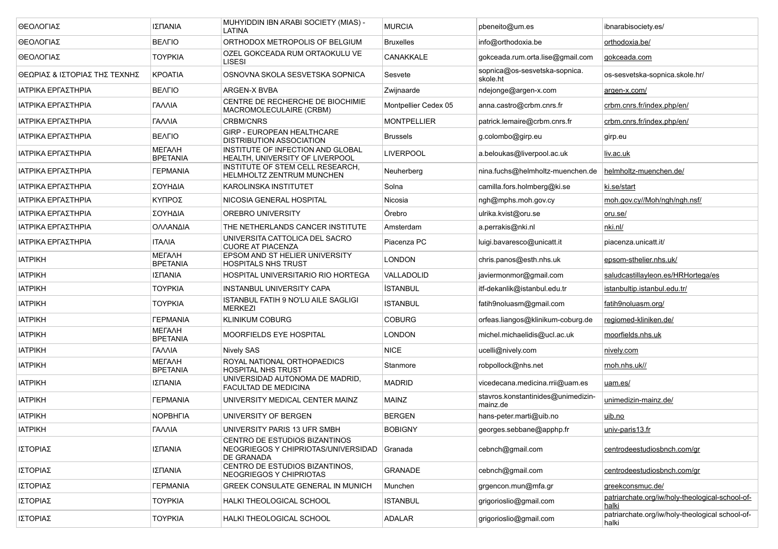| ΘΕΟΛΟΓΙΑΣ                     | ΙΣΠΑΝΙΑ                          | MUHYIDDIN IBN ARABI SOCIETY (MIAS) -<br>LATINA                                             | <b>MURCIA</b>        | pbeneito@um.es                                 | ibnarabisociety es/                                      |
|-------------------------------|----------------------------------|--------------------------------------------------------------------------------------------|----------------------|------------------------------------------------|----------------------------------------------------------|
| ΘΕΟΛΟΓΙΑΣ                     | <b>BEAFIO</b>                    | ORTHODOX METROPOLIS OF BELGIUM                                                             | <b>Bruxelles</b>     | info@orthodoxia.be                             | orthodoxia.be/                                           |
| ΘΕΟΛΟΓΙΑΣ                     | <b>TOYPKIA</b>                   | OZEL GOKCEADA RUM ORTAOKULU VE<br>LISESI                                                   | <b>CANAKKALE</b>     | gokceada.rum.orta.lise@gmail.com               | gokceada.com                                             |
| ΘΕΩΡΙΑΣ & ΙΣΤΟΡΙΑΣ ΤΗΣ ΤΕΧΝΗΣ | <b>KPOATIA</b>                   | OSNOVNA SKOLA SESVETSKA SOPNICA                                                            | Sesvete              | sopnica@os-sesvetska-sopnica.<br>skole.ht      | os-sesvetska-sopnica.skole.hr/                           |
| ΙΑΤΡΙΚΑ ΕΡΓΑΣΤΗΡΙΑ            | <b>BEAFIO</b>                    | ARGEN-X BVBA                                                                               | Zwijnaarde           | ndejonge@argen-x.com                           | argen-x.com/                                             |
| ΙΑΤΡΙΚΑ ΕΡΓΑΣΤΗΡΙΑ            | <b><i>FANNIA</i></b>             | CENTRE DE RECHERCHE DE BIOCHIMIE<br>MACROMOLECULAIRE (CRBM)                                | Montpellier Cedex 05 | anna.castro@crbm.cnrs.fr                       | crbm.cnrs.fr/index.php/en/                               |
| ΙΑΤΡΙΚΑ ΕΡΓΑΣΤΗΡΙΑ            | ΓΑΛΛΙΑ                           | <b>CRBM/CNRS</b>                                                                           | <b>MONTPELLIER</b>   | patrick.lemaire@crbm.cnrs.fr                   | crbm.cnrs.fr/index.php/en/                               |
| ΙΑΤΡΙΚΑ ΕΡΓΑΣΤΗΡΙΑ            | <b>BEAFIO</b>                    | GIRP - EUROPEAN HEALTHCARE<br><b>DISTRIBUTION ASSOCIATION</b>                              | <b>Brussels</b>      | g.colombo@girp.eu                              | girp.eu                                                  |
| ΙΑΤΡΙΚΑ ΕΡΓΑΣΤΗΡΙΑ            | <b>METAAH</b><br><b>BPETANIA</b> | INSTITUTE OF INFECTION AND GLOBAL<br>HEALTH, UNIVERSITY OF LIVERPOOL                       | LIVERPOOL            | a.beloukas@liverpool.ac.uk                     | liv.ac.uk                                                |
| ΙΑΤΡΙΚΑ ΕΡΓΑΣΤΗΡΙΑ            | <b><i>TEPMANIA</i></b>           | INSTITUTE OF STEM CELL RESEARCH,<br>HELMHOLTZ ZENTRUM MUNCHEN                              | Neuherberg           | nina.fuchs@helmholtz-muenchen.de               | helmholtz-muenchen.de/                                   |
| ΙΑΤΡΙΚΑ ΕΡΓΑΣΤΗΡΙΑ            | ΣΟΥΗΔΙΑ                          | KAROLINSKA INSTITUTET                                                                      | Solna                | camilla.fors.holmberg@ki.se                    | ki.se/start                                              |
| ΙΑΤΡΙΚΑ ΕΡΓΑΣΤΗΡΙΑ            | ΚΥΠΡΟΣ                           | NICOSIA GENERAL HOSPITAL                                                                   | Nicosia              | ngh@mphs.moh.gov.cy                            | moh.gov.cy//Moh/ngh/ngh.nsf/                             |
| ΙΑΤΡΙΚΑ ΕΡΓΑΣΤΗΡΙΑ            | ΣΟΥΗΔΙΑ                          | <b>OREBRO UNIVERSITY</b>                                                                   | Örebro               | ulrika.kvist@oru.se                            | oru.se/                                                  |
| ΙΑΤΡΙΚΑ ΕΡΓΑΣΤΗΡΙΑ            | ΟΛΛΑΝΔΙΑ                         | THE NETHERLANDS CANCER INSTITUTE                                                           | Amsterdam            | a.perrakis@nki.nl                              | nki.nl/                                                  |
| ΙΑΤΡΙΚΑ ΕΡΓΑΣΤΗΡΙΑ            | <b>ITAAIA</b>                    | UNIVERSITA CATTOLICA DEL SACRO<br><b>CUORE AT PIACENZA</b>                                 | Piacenza PC          | luigi.bavaresco@unicatt.it                     | piacenza unicatt.it/                                     |
| <b>IATPIKH</b>                | <b>METAAH</b><br><b>BPETANIA</b> | EPSOM AND ST HELIER UNIVERSITY<br><b>HOSPITALS NHS TRUST</b>                               | <b>LONDON</b>        | chris.panos@esth.nhs.uk                        | epsom-sthelier.nhs.uk/                                   |
| <b>IATPIKH</b>                | ΙΣΠΑΝΙΑ                          | HOSPITAL UNIVERSITARIO RIO HORTEGA                                                         | VALLADOLID           | javiermonmor@gmail.com                         | saludcastillavleon.es/HRHortega/es                       |
| <b>IATPIKH</b>                | <b>TOYPKIA</b>                   | INSTANBUL UNIVERSITY CAPA                                                                  | <b>İSTANBUL</b>      | itf-dekanlik@istanbul.edu.tr                   | istanbultip.istanbul.edu.tr/                             |
| <b>IATPIKH</b>                | <b>TOYPKIA</b>                   | ISTANBUL FATIH 9 NO'LU AILE SAGLIGI<br><b>MERKEZI</b>                                      | <b>ISTANBUL</b>      | fatih9noluasm@gmail.com                        | fatih9noluasm.org/                                       |
| <b>IATPIKH</b>                | <b><i>TEPMANIA</i></b>           | <b>KLINIKUM COBURG</b>                                                                     | <b>COBURG</b>        | orfeas.liangos@klinikum-coburg.de              | regiomed-kliniken.de/                                    |
| <b>IATPIKH</b>                | <b>METAAH</b><br><b>BPETANIA</b> | <b>MOORFIELDS EYE HOSPITAL</b>                                                             | <b>LONDON</b>        | michel.michaelidis@ucl.ac.uk                   | moorfields.nhs.uk                                        |
| <b>IATPIKH</b>                | <b><i>FAAAIA</i></b>             | Nively SAS                                                                                 | <b>NICE</b>          | ucelli@nively.com                              | nively.com                                               |
| <b>IATPIKH</b>                | <b>METAAH</b><br><b>BPETANIA</b> | ROYAL NATIONAL ORTHOPAEDICS<br><b>HOSPITAL NHS TRUST</b>                                   | Stanmore             | robpollock@nhs.net                             | rnoh.nhs.uk//                                            |
| <b>IATPIKH</b>                | ΙΣΠΑΝΙΑ                          | UNIVERSIDAD AUTONOMA DE MADRID.<br>FACULTAD DE MEDICINA                                    | <b>MADRID</b>        | vicedecana.medicina.rrii@uam.es                | uam.es/                                                  |
| <b>IATPIKH</b>                | <b><i>TEPMANIA</i></b>           | UNIVERSITY MEDICAL CENTER MAINZ                                                            | <b>MAINZ</b>         | stavros.konstantinides@unimedizin-<br>mainz.de | unimedizin-mainz.de/                                     |
| <b>IATPIKH</b>                | <b>NOPBHFIA</b>                  | UNIVERSITY OF BERGEN                                                                       | <b>BERGEN</b>        | hans-peter.marti@uib.no                        | uib.no                                                   |
| <b>IATPIKH</b>                | ΓΑΛΛΙΑ                           | UNIVERSITY PARIS 13 UFR SMBH                                                               | <b>BOBIGNY</b>       | georges.sebbane@apphp.fr                       | univ-paris13.fr                                          |
| ΙΣΤΟΡΙΑΣ                      | ΙΣΠΑΝΙΑ                          | CENTRO DE ESTUDIOS BIZANTINOS<br>NEOGRIEGOS Y CHIPRIOTAS/UNIVERSIDAD Granada<br>DE GRANADA |                      | cebnch@gmail.com                               | centrodeestudiosbnch.com/gr                              |
| ΙΣΤΟΡΙΑΣ                      | ΙΣΠΑΝΙΑ                          | CENTRO DE ESTUDIOS BIZANTINOS,<br>NEOGRIEGOS Y CHIPRIOTAS                                  | <b>GRANADE</b>       | cebnch@gmail.com                               | centrodeestudiosbnch.com/gr                              |
| ΙΣΤΟΡΙΑΣ                      | <b><i>TEPMANIA</i></b>           | GREEK CONSULATE GENERAL IN MUNICH                                                          | Munchen              | grgencon.mun@mfa.gr                            | greekconsmuc.de/                                         |
| ΙΣΤΟΡΙΑΣ                      | <b>TOYPKIA</b>                   | HALKI THEOLOGICAL SCHOOL                                                                   | <b>ISTANBUL</b>      | grigorioslio@gmail.com                         | patriarchate.org/iw/holy-theological-school-of-<br>halki |
| ΙΣΤΟΡΙΑΣ                      | <b>TOYPKIA</b>                   | HALKI THEOLOGICAL SCHOOL                                                                   | <b>ADALAR</b>        | grigorioslio@gmail.com                         | patriarchate.org/iw/holy-theological school-of-<br>halki |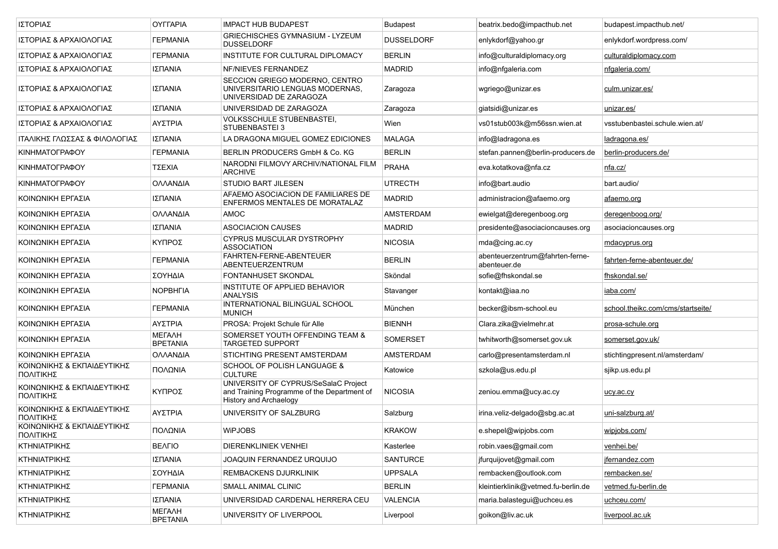| ΙΣΤΟΡΙΑΣ                                | <b>OYFFAPIA</b>                  | <b>IMPACT HUB BUDAPEST</b>                                                                                           | <b>Budapest</b>   | beatrix.bedo@impacthub.net                      | budapest.impacthub.net/           |
|-----------------------------------------|----------------------------------|----------------------------------------------------------------------------------------------------------------------|-------------------|-------------------------------------------------|-----------------------------------|
| ΙΣΤΟΡΙΑΣ & ΑΡΧΑΙΟΛΟΓΙΑΣ                 | <b><i>FEPMANIA</i></b>           | GRIECHISCHES GYMNASIUM - LYZEUM<br><b>DUSSELDORF</b>                                                                 | <b>DUSSELDORF</b> | enlykdorf@yahoo.gr                              | enlykdorf.wordpress.com/          |
| ΙΣΤΟΡΙΑΣ & ΑΡΧΑΙΟΛΟΓΙΑΣ                 | <b><i>FEPMANIA</i></b>           | INSTITUTE FOR CULTURAL DIPLOMACY                                                                                     | <b>BERLIN</b>     | info@culturaldiplomacy.org                      | culturaldiplomacy.com             |
| ΙΣΤΟΡΙΑΣ & ΑΡΧΑΙΟΛΟΓΙΑΣ                 | ΙΣΠΑΝΙΑ                          | NF/NIEVES FERNANDEZ                                                                                                  | <b>MADRID</b>     | info@nfgaleria.com                              | nfgaleria.com/                    |
| ΙΣΤΟΡΙΑΣ & ΑΡΧΑΙΟΛΟΓΙΑΣ                 | ΙΣΠΑΝΙΑ                          | SECCION GRIEGO MODERNO, CENTRO<br>UNIVERSITARIO LENGUAS MODERNAS,<br>UNIVERSIDAD DE ZARAGOZA                         | Zaragoza          | wgriego@unizar.es                               | culm.unizar.es/                   |
| ΙΣΤΟΡΙΑΣ & ΑΡΧΑΙΟΛΟΓΙΑΣ                 | ΙΣΠΑΝΙΑ                          | UNIVERSIDAD DE ZARAGOZA                                                                                              | Zaragoza          | giatsidi@unizar.es                              | unizar.es/                        |
| ΙΣΤΟΡΙΑΣ & ΑΡΧΑΙΟΛΟΓΙΑΣ                 | ΑΥΣΤΡΙΑ                          | VOLKSSCHULE STUBENBASTEI,<br>STUBENBASTEI 3                                                                          | Wien              | vs01stub003k@m56ssn.wien.at                     | vsstubenbastei schule wien at/    |
| ΙΤΑΛΙΚΗΣ ΓΛΩΣΣΑΣ & ΦΙΛΟΛΟΓΙΑΣ           | ΙΣΠΑΝΙΑ                          | LA DRAGONA MIGUEL GOMEZ EDICIONES                                                                                    | <b>MALAGA</b>     | info@ladragona.es                               | ladragona.es/                     |
| ΚΙΝΗΜΑΤΟΓΡΑΦΟΥ                          | <b><i>FEPMANIA</i></b>           | BERLIN PRODUCERS GmbH & Co. KG                                                                                       | <b>BERLIN</b>     | stefan.pannen@berlin-producers.de               | berlin-producers.de/              |
| KINHMATOFPAФOY                          | ΤΣΕΧΙΑ                           | NARODNI FILMOVY ARCHIV/NATIONAL FILM<br><b>ARCHIVE</b>                                                               | <b>PRAHA</b>      | eva.kotatkova@nfa.cz                            | nfa.cz/                           |
| KINHMATOFPAФOY                          | ΟΛΛΑΝΔΙΑ                         | <b>STUDIO BART JILESEN</b>                                                                                           | <b>UTRECTH</b>    | info@bart.audio                                 | bart.audio/                       |
| ΚΟΙΝΩΝΙΚΗ ΕΡΓΑΣΙΑ                       | ΙΣΠΑΝΙΑ                          | AFAEMO ASOCIACION DE FAMILIARES DE<br>ENFERMOS MENTALES DE MORATALAZ                                                 | <b>MADRID</b>     | administracion@afaemo.org                       | afaemo.org                        |
| ΚΟΙΝΩΝΙΚΗ ΕΡΓΑΣΙΑ                       | ΟΛΛΑΝΔΙΑ                         | <b>AMOC</b>                                                                                                          | <b>AMSTERDAM</b>  | ewielgat@deregenboog.org                        | deregenboog.org/                  |
| ΚΟΙΝΩΝΙΚΗ ΕΡΓΑΣΙΑ                       | ΙΣΠΑΝΙΑ                          | <b>ASOCIACION CAUSES</b>                                                                                             | <b>MADRID</b>     | presidente@asociacioncauses.org                 | asociacioncauses.org              |
| ΚΟΙΝΩΝΙΚΗ ΕΡΓΑΣΙΑ                       | ΚΥΠΡΟΣ                           | <b>CYPRUS MUSCULAR DYSTROPHY</b><br><b>ASSOCIATION</b>                                                               | <b>NICOSIA</b>    | mda@cing.ac.cy                                  | mdacyprus.org                     |
| ΚΟΙΝΩΝΙΚΗ ΕΡΓΑΣΙΑ                       | <b><i>FEPMANIA</i></b>           | FAHRTEN-FERNE-ABENTEUER<br>ABENTEUERZENTRUM                                                                          | <b>BERLIN</b>     | abenteuerzentrum@fahrten-ferne-<br>abenteuer.de | fahrten-ferne-abenteuer.de/       |
| ΚΟΙΝΩΝΙΚΗ ΕΡΓΑΣΙΑ                       | ΣΟΥΗΔΙΑ                          | <b>FONTANHUSET SKONDAL</b>                                                                                           | Sköndal           | sofie@fhskondal.se                              | fhskondal.se/                     |
| ΚΟΙΝΩΝΙΚΗ ΕΡΓΑΣΙΑ                       | <b>NOPBHFIA</b>                  | INSTITUTE OF APPLIED BEHAVIOR<br><b>ANALYSIS</b>                                                                     | Stavanger         | kontakt@iaa.no                                  | iaba.com/                         |
| ΚΟΙΝΩΝΙΚΗ ΕΡΓΑΣΙΑ                       | <b>ΓΕΡΜΑΝΙΑ</b>                  | INTERNATIONAL BILINGUAL SCHOOL<br><b>MUNICH</b>                                                                      | München           | becker@ibsm-school.eu                           | school.theikc.com/cms/startseite/ |
| ΚΟΙΝΩΝΙΚΗ ΕΡΓΑΣΙΑ                       | ΑΥΣΤΡΙΑ                          | PROSA: Projekt Schule für Alle                                                                                       | <b>BIENNH</b>     | Clara.zika@vielmehr.at                          | prosa-schule.org                  |
| ΚΟΙΝΩΝΙΚΗ ΕΡΓΑΣΙΑ                       | <b>METAAH</b><br><b>BPETANIA</b> | SOMERSET YOUTH OFFENDING TEAM &<br><b>TARGETED SUPPORT</b>                                                           | <b>SOMERSET</b>   | twhitworth@somerset.gov.uk                      | somerset.gov.uk/                  |
| ΚΟΙΝΩΝΙΚΗ ΕΡΓΑΣΙΑ                       | ΟΛΛΑΝΔΙΑ                         | STICHTING PRESENT AMSTERDAM                                                                                          | <b>AMSTERDAM</b>  | carlo@presentamsterdam.nl                       | stichtingpresent.nl/amsterdam/    |
| ΚΟΙΝΩΝΙΚΗΣ & ΕΚΠΑΙΔΕΥΤΙΚΗΣ<br>ΠΟΛΙΤΙΚΗΣ | ΠΟΛΩΝΙΑ                          | SCHOOL OF POLISH LANGUAGE &<br><b>CULTURE</b>                                                                        | Katowice          | szkola@us.edu.pl                                | sjikp.us.edu.pl                   |
| ΚΟΙΝΩΝΙΚΗΣ & ΕΚΠΑΙΔΕΥΤΙΚΗΣ<br>ΠΟΛΙΤΙΚΗΣ | ΚΥΠΡΟΣ                           | UNIVERSITY OF CYPRUS/SeSalaC Project<br>and Training Programme of the Department of<br><b>History and Archaelogy</b> | <b>NICOSIA</b>    | zeniou.emma@ucy.ac.cy                           | ucy.ac.cy                         |
| ΚΟΙΝΩΝΙΚΗΣ & ΕΚΠΑΙΔΕΥΤΙΚΗΣ<br>ΠΟΛΙΤΙΚΗΣ | ΑΥΣΤΡΙΑ                          | UNIVERSITY OF SALZBURG                                                                                               | Salzburg          | irina.veliz-delgado@sbg.ac.at                   | uni-salzburg.at/                  |
| ΚΟΙΝΩΝΙΚΗΣ & ΕΚΠΑΙΔΕΥΤΙΚΗΣ<br>ΠΟΛΙΤΙΚΗΣ | ΠΟΛΩΝΙΑ                          | <b>WiPJOBS</b>                                                                                                       | <b>KRAKOW</b>     | e.shepel@wipjobs.com                            | wipjobs.com/                      |
| ΚΤΗΝΙΑΤΡΙΚΗΣ                            | <b>BEAFIO</b>                    | <b>DIERENKLINIEK VENHEI</b>                                                                                          | Kasterlee         | robin.vaes@gmail.com                            | venhei.be/                        |
| ΚΤΗΝΙΑΤΡΙΚΗΣ                            | ΙΣΠΑΝΙΑ                          | JOAQUIN FERNANDEZ URQUIJO                                                                                            | <b>SANTURCE</b>   | jfurquijovet@gmail.com                          | jfernandez.com                    |
| ΚΤΗΝΙΑΤΡΙΚΗΣ                            | <b>ΣΟΥΗΔΙΑ</b>                   | REMBACKENS DJURKLINIK                                                                                                | <b>UPPSALA</b>    | rembacken@outlook.com                           | rembacken.se/                     |
| ΚΤΗΝΙΑΤΡΙΚΗΣ                            | <b><i>FEPMANIA</i></b>           | SMALL ANIMAL CLINIC                                                                                                  | <b>BERLIN</b>     | kleintierklinik@vetmed.fu-berlin.de             | vetmed.fu-berlin.de               |
| ΚΤΗΝΙΑΤΡΙΚΗΣ                            | ΙΣΠΑΝΙΑ                          | UNIVERSIDAD CARDENAL HERRERA CEU                                                                                     | <b>VALENCIA</b>   | maria.balastegui@uchceu.es                      | uchceu.com/                       |
| ΚΤΗΝΙΑΤΡΙΚΗΣ                            | <b>METAAH</b><br><b>BPETANIA</b> | UNIVERSITY OF LIVERPOOL                                                                                              | Liverpool         | goikon@liv.ac.uk                                | liverpool.ac.uk                   |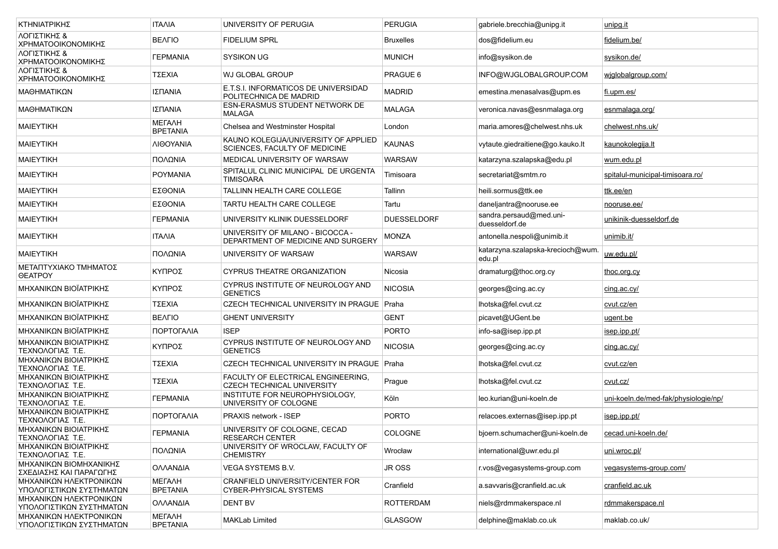| ΚΤΗΝΙΑΤΡΙΚΗΣ                                       | <b>ITAAIA</b>                    | UNIVERSITY OF PERUGIA                                                   | PERUGIA            | qabriele brecchia@unipq.it                  | unipg.it                             |
|----------------------------------------------------|----------------------------------|-------------------------------------------------------------------------|--------------------|---------------------------------------------|--------------------------------------|
| ΛΟΓΙΣΤΙΚΗΣ &<br>ΧΡΗΜΑΤΟΟΙΚΟΝΟΜΙΚΗΣ                 | <b>BEAFIO</b>                    | <b>FIDELIUM SPRL</b>                                                    | <b>Bruxelles</b>   | dos@fidelium.eu                             | fidelium.be/                         |
| ΛΟΓΙΣΤΙΚΗΣ &<br>ΧΡΗΜΑΤΟΟΙΚΟΝΟΜΙΚΗΣ                 | <b><i>TEPMANIA</i></b>           | SYSIKON UG                                                              | <b>MUNICH</b>      | info@sysikon.de                             | sysikon.de/                          |
| ΛΟΓΙΣΤΙΚΗΣ &<br>ΧΡΗΜΑΤΟΟΙΚΟΝΟΜΙΚΗΣ                 | ΤΣΕΧΙΑ                           | WJ GLOBAL GROUP                                                         | PRAGUE 6           | INFO@WJGLOBALGROUP.COM                      | wiglobalgroup.com/                   |
| ΜΑΘΗΜΑΤΙΚΩΝ                                        | ΙΣΠΑΝΙΑ                          | E.T.S.I. INFORMATICOS DE UNIVERSIDAD<br>POLITECHNICA DE MADRID          | <b>MADRID</b>      | emestina.menasalvas@upm.es                  | <u>fi.upm.es/</u>                    |
| ΜΑΘΗΜΑΤΙΚΩΝ                                        | ΙΣΠΑΝΙΑ                          | ESN-ERASMUS STUDENT NETWORK DE<br><b>MALAGA</b>                         | <b>MALAGA</b>      | veronica.navas@esnmalaga.org                | esnmalaga.org/                       |
| <b>MAIEYTIKH</b>                                   | МЕГАЛН<br><b>BPETANIA</b>        | Chelsea and Westminster Hospital                                        | London             | maria.amores@chelwest.nhs.uk                | chelwest.nhs.uk/                     |
| <b>MAIEYTIKH</b>                                   | ΛΙΘΟΥΑΝΙΑ                        | KAUNO KOLEGIJA/UNIVERSITY OF APPLIED<br>SCIENCES, FACULTY OF MEDICINE   | <b>KAUNAS</b>      | vytaute.giedraitiene@go.kauko.lt            | kaunokolegija.lt                     |
| <b>MAIEYTIKH</b>                                   | ΠΟΛΩΝΙΑ                          | MEDICAL UNIVERSITY OF WARSAW                                            | <b>WARSAW</b>      | katarzyna.szalapska@edu.pl                  | wum.edu.pl                           |
| <b>MAIEYTIKH</b>                                   | <b>POYMANIA</b>                  | SPITALUL CLINIC MUNICIPAL DE URGENTA<br>TIMISOARA                       | Timisoara          | secretariat@smtm.ro                         | spitalul-municipal-timisoara.ro/     |
| <b>MAIEYTIKH</b>                                   | ΕΣΘΟΝΙΑ                          | TALLINN HEALTH CARE COLLEGE                                             | Tallinn            | heili.sormus@ttk.ee                         | ttk.ee/en                            |
| <b>MAIEYTIKH</b>                                   | ΕΣΘΟΝΙΑ                          | TARTU HEALTH CARE COLLEGE                                               | Tartu              | daneljantra@nooruse.ee                      | nooruse.ee/                          |
| <b>MAIEYTIKH</b>                                   | <b><i>TEPMANIA</i></b>           | UNIVERSITY KLINIK DUESSELDORF                                           | <b>DUESSELDORF</b> | sandra.persaud@med.uni-<br>duesseldorf.de   | unikinik-duesseldorf.de              |
| <b>MAIEYTIKH</b>                                   | <b>ITAAIA</b>                    | UNIVERSITY OF MILANO - BICOCCA -<br>DEPARTMENT OF MEDICINE AND SURGERY  | <b>MONZA</b>       | antonella.nespoli@unimib.it                 | unimib.it/                           |
| <b>MAIEYTIKH</b>                                   | ΠΟΛΩΝΙΑ                          | UNIVERSITY OF WARSAW                                                    | WARSAW             | katarzyna.szalapska-krecioch@wum.<br>edu.pl | uw.edu.pl/                           |
| ΜΕΤΑΠΤΥΧΙΑΚΟ ΤΜΗΜΑΤΟΣ<br><b>OEATPOY</b>            | ΚΥΠΡΟΣ                           | <b>CYPRUS THEATRE ORGANIZATION</b>                                      | Nicosia            | dramaturg@thoc.org.cy                       | <u>thoc.org.cv</u>                   |
| ΜΗΧΑΝΙΚΩΝ ΒΙΟΪΑΤΡΙΚΗΣ                              | ΚΥΠΡΟΣ                           | CYPRUS INSTITUTE OF NEUROLOGY AND<br><b>GENETICS</b>                    | <b>NICOSIA</b>     | georges@cing.ac.cy                          | cing.ac.cy/                          |
| ΜΗΧΑΝΙΚΩΝ ΒΙΟΪΑΤΡΙΚΗΣ                              | ΤΣΕΧΙΑ                           | CZECH TECHNICAL UNIVERSITY IN PRAGUE Praha                              |                    | lhotska@fel.cvut.cz                         | cvut.cz/en                           |
| ΜΗΧΑΝΙΚΩΝ ΒΙΟΪΑΤΡΙΚΗΣ                              | <b>BEAFIO</b>                    | <b>GHENT UNIVERSITY</b>                                                 | <b>GENT</b>        | picavet@UGent.be                            | <u>ugent.be</u>                      |
| ΜΗΧΑΝΙΚΩΝ ΒΙΟΪΑΤΡΙΚΗΣ                              | ΠΟΡΤΟΓΑΛΙΑ                       | <b>ISEP</b>                                                             | <b>PORTO</b>       | info-sa@isep.ipp.pt                         | <u>isep.ipp.pt/</u>                  |
| ΜΗΧΑΝΙΚΩΝ ΒΙΟΙΑΤΡΙΚΗΣ<br>ΤΕΧΝΟΛΟΓΙΑΣ Τ.Ε.          | ΚΥΠΡΟΣ                           | CYPRUS INSTITUTE OF NEUROLOGY AND<br><b>GENETICS</b>                    | <b>NICOSIA</b>     | georges@cing.ac.cy                          | cing.ac.cy/                          |
| ΜΗΧΑΝΙΚΩΝ ΒΙΟΙΑΤΡΙΚΗΣ<br>ΤΕΧΝΟΛΟΓΙΑΣ Τ.Ε.          | ΤΣΕΧΙΑ                           | CZECH TECHNICAL UNIVERSITY IN PRAGUE Praha                              |                    | lhotska@fel.cvut.cz                         | cvut.cz/en                           |
| ΜΗΧΑΝΙΚΩΝ ΒΙΟΙΑΤΡΙΚΗΣ<br>ΤΕΧΝΟΛΟΓΙΑΣ Τ.Ε.          | ΤΣΕΧΙΑ                           | FACULTY OF ELECTRICAL ENGINEERING,<br><b>CZECH TECHNICAL UNIVERSITY</b> | Prague             | lhotska@fel.cvut.cz                         | cvut.cz/                             |
| ΜΗΧΑΝΙΚΩΝ ΒΙΟΙΑΤΡΙΚΗΣ<br>ΤΕΧΝΟΛΟΓΙΑΣ Τ.Ε.          | <b><i>TEPMANIA</i></b>           | INSTITUTE FOR NEUROPHYSIOLOGY,<br>UNIVERSITY OF COLOGNE                 | Köln               | leo.kurian@uni-koeln.de                     | uni-koeln.de/med-fak/physiologie/np/ |
| ΜΗΧΑΝΙΚΩΝ ΒΙΟΙΑΤΡΙΚΗΣ<br>ΤΕΧΝΟΛΟΓΙΑΣ Τ.Ε.          | ΠΟΡΤΟΓΑΛΙΑ                       | <b>PRAXIS network - ISEP</b>                                            | <b>PORTO</b>       | relacoes.externas@isep.ipp.pt               | <u>isep ipp pt/</u>                  |
| ΜΗΧΑΝΙΚΩΝ ΒΙΟΙΑΤΡΙΚΗΣ<br>ΤΕΧΝΟΛΟΓΙΑΣ Τ.Ε.          | <b><i>FEPMANIA</i></b>           | UNIVERSITY OF COLOGNE, CECAD<br><b>RESEARCH CENTER</b>                  | COLOGNE            | bjoern.schumacher@uni-koeln.de              | cecad.uni-koeln.de/                  |
| ΜΗΧΑΝΙΚΩΝ ΒΙΟΙΑΤΡΙΚΗΣ<br>ΤΕΧΝΟΛΟΓΙΑΣ Τ.Ε.          | ΠΟΛΩΝΙΑ                          | UNIVERSITY OF WROCLAW, FACULTY OF<br><b>CHEMISTRY</b>                   | Wrocław            | international@uwr.edu.pl                    | uni.wroc.pl/                         |
| ΜΗΧΑΝΙΚΩΝ ΒΙΟΜΗΧΑΝΙΚΗΣ<br>ΣΧΕΔΙΑΣΗΣ ΚΑΙ ΠΑΡΑΓΩΓΗΣ  | ΟΛΛΑΝΔΙΑ                         | VEGA SYSTEMS B.V.                                                       | JR OSS             | r.vos@vegasystems-group.com                 | vegasystems-group.com/               |
| ΜΗΧΑΝΙΚΩΝ ΗΛΕΚΤΡΟΝΙΚΩΝ<br>ΥΠΟΛΟΓΙΣΤΙΚΩΝ ΣΥΣΤΗΜΑΤΩΝ | МЕГАЛН<br><b>BPETANIA</b>        | CRANFIELD UNIVERSITY/CENTER FOR<br>CYBER-PHYSICAL SYSTEMS               | Cranfield          | a.savvaris@cranfield.ac.uk                  | cranfield.ac.uk                      |
| ΜΗΧΑΝΙΚΩΝ ΗΛΕΚΤΡΟΝΙΚΩΝ<br>ΥΠΟΛΟΓΙΣΤΙΚΩΝ ΣΥΣΤΗΜΑΤΩΝ | ΟΛΛΑΝΔΙΑ                         | DENT BV                                                                 | <b>ROTTERDAM</b>   | niels@rdmmakerspace.nl                      | rdmmakerspace.nl                     |
| ΜΗΧΑΝΙΚΩΝ ΗΛΕΚΤΡΟΝΙΚΩΝ<br>ΥΠΟΛΟΓΙΣΤΙΚΩΝ ΣΥΣΤΗΜΑΤΩΝ | <b>METAAH</b><br><b>BPETANIA</b> | <b>MAKLab Limited</b>                                                   | GLASGOW            | delphine@maklab.co.uk                       | maklab.co.uk/                        |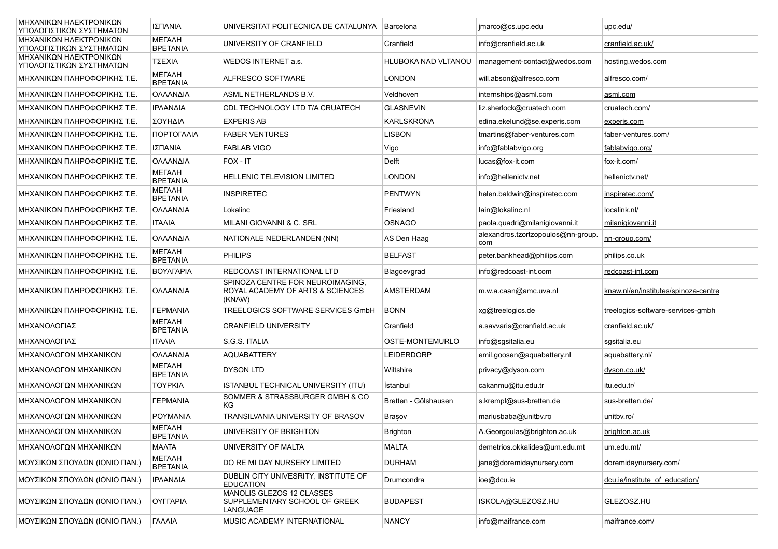| ΜΗΧΑΝΙΚΩΝ ΗΛΕΚΤΡΟΝΙΚΩΝ<br>ΥΠΟΛΟΓΙΣΤΙΚΩΝ ΣΥΣΤΗΜΑΤΩΝ | ΙΣΠΑΝΙΑ                          | UNIVERSITAT POLITECNICA DE CATALUNYA                                           | Barcelona            | jmarco@cs.upc.edu                         | upc.edu/                             |
|----------------------------------------------------|----------------------------------|--------------------------------------------------------------------------------|----------------------|-------------------------------------------|--------------------------------------|
| ΜΗΧΑΝΙΚΩΝ ΗΛΕΚΤΡΟΝΙΚΩΝ<br>ΥΠΟΛΟΓΙΣΤΙΚΩΝ ΣΥΣΤΗΜΑΤΩΝ | <b>METAAH</b><br><b>BPETANIA</b> | UNIVERSITY OF CRANFIELD                                                        | Cranfield            | info@cranfield.ac.uk                      | cranfield.ac.uk/                     |
| ΜΗΧΑΝΙΚΩΝ ΗΛΕΚΤΡΟΝΙΚΩΝ<br>ΥΠΟΛΟΓΙΣΤΙΚΩΝ ΣΥΣΤΗΜΑΤΩΝ | ΤΣΕΧΙΑ                           | WEDOS INTERNET a.s.                                                            | HLUBOKA NAD VLTANOU  | management-contact@wedos.com              | hosting.wedos.com                    |
| ΜΗΧΑΝΙΚΩΝ ΠΛΗΡΟΦΟΡΙΚΗΣ Τ.Ε.                        | МЕГАЛН<br><b>BPETANIA</b>        | ALFRESCO SOFTWARE                                                              | LONDON               | will.abson@alfresco.com                   | alfresco.com/                        |
| ΜΗΧΑΝΙΚΩΝ ΠΛΗΡΟΦΟΡΙΚΗΣ Τ.Ε.                        | ΟΛΛΑΝΔΙΑ                         | ASML NETHERLANDS B.V.                                                          | Veldhoven            | internships@asml.com                      | asml.com                             |
| ΜΗΧΑΝΙΚΩΝ ΠΛΗΡΟΦΟΡΙΚΗΣ Τ.Ε.                        | ΙΡΛΑΝΔΙΑ                         | CDL TECHNOLOGY LTD T/A CRUATECH                                                | <b>GLASNEVIN</b>     | liz.sherlock@cruatech.com                 | cruatech.com/                        |
| ΜΗΧΑΝΙΚΩΝ ΠΛΗΡΟΦΟΡΙΚΗΣ Τ.Ε.                        | ΣΟΥΗΔΙΑ                          | <b>EXPERIS AB</b>                                                              | <b>KARLSKRONA</b>    | edina.ekelund@se.experis.com              | experis.com                          |
| ΜΗΧΑΝΙΚΩΝ ΠΛΗΡΟΦΟΡΙΚΗΣ Τ.Ε.                        | ΠΟΡΤΟΓΑΛΙΑ                       | <b>FABER VENTURES</b>                                                          | <b>LISBON</b>        | tmartins@faber-ventures.com               | faber-ventures.com/                  |
| ΜΗΧΑΝΙΚΩΝ ΠΛΗΡΟΦΟΡΙΚΗΣ Τ.Ε.                        | ΙΣΠΑΝΙΑ                          | <b>FABLAB VIGO</b>                                                             | Vigo                 | info@fablabvigo.org                       | fablabvigo.org/                      |
| ΜΗΧΑΝΙΚΩΝ ΠΛΗΡΟΦΟΡΙΚΗΣ Τ.Ε.                        | ΟΛΛΑΝΔΙΑ                         | FOX - IT                                                                       | Delft                | lucas@fox-it.com                          | fox-it.com/                          |
| ΜΗΧΑΝΙΚΩΝ ΠΛΗΡΟΦΟΡΙΚΗΣ Τ.Ε.                        | <b>METAAH</b><br><b>BPETANIA</b> | <b>HELLENIC TELEVISION LIMITED</b>                                             | <b>LONDON</b>        | info@hellenictv.net                       | hellenicty.net/                      |
| ΜΗΧΑΝΙΚΩΝ ΠΛΗΡΟΦΟΡΙΚΗΣ Τ.Ε.                        | <b>METAAH</b><br><b>BPETANIA</b> | INSPIRETEC                                                                     | <b>PENTWYN</b>       | helen.baldwin@inspiretec.com              | inspiretec.com/                      |
| ΜΗΧΑΝΙΚΩΝ ΠΛΗΡΟΦΟΡΙΚΗΣ Τ.Ε.                        | ΟΛΛΑΝΔΙΑ                         | Lokalinc                                                                       | Friesland            | lain@lokalinc.nl                          | localink.nl/                         |
| ΜΗΧΑΝΙΚΩΝ ΠΛΗΡΟΦΟΡΙΚΗΣ Τ.Ε.                        | <b>ITAAIA</b>                    | MILANI GIOVANNI & C. SRL                                                       | <b>OSNAGO</b>        | paola.quadri@milanigiovanni.it            | milanigiovanni.it                    |
| ΜΗΧΑΝΙΚΩΝ ΠΛΗΡΟΦΟΡΙΚΗΣ Τ.Ε.                        | ΟΛΛΑΝΔΙΑ                         | NATIONALE NEDERLANDEN (NN)                                                     | AS Den Haag          | alexandros.tzortzopoulos@nn-group.<br>com | nn-group.com/                        |
| ΜΗΧΑΝΙΚΩΝ ΠΛΗΡΟΦΟΡΙΚΗΣ Τ.Ε.                        | МЕГАЛН<br><b>BPETANIA</b>        | <b>PHILIPS</b>                                                                 | <b>BELFAST</b>       | peter.bankhead@philips.com                | philips.co.uk                        |
| ΜΗΧΑΝΙΚΩΝ ΠΛΗΡΟΦΟΡΙΚΗΣ Τ.Ε.                        | ΒΟΥΛΓΑΡΙΑ                        | REDCOAST INTERNATIONAL LTD                                                     | Blagoevgrad          | info@redcoast-int.com                     | redcoast-int.com                     |
| ΜΗΧΑΝΙΚΩΝ ΠΛΗΡΟΦΟΡΙΚΗΣ Τ.Ε.                        | ΟΛΛΑΝΔΙΑ                         | SPINOZA CENTRE FOR NEUROIMAGING.<br>ROYAL ACADEMY OF ARTS & SCIENCES<br>(KNAW) | AMSTERDAM            | m.w.a.caan@amc.uva.nl                     | knaw.nl/en/institutes/spinoza-centre |
| ΜΗΧΑΝΙΚΩΝ ΠΛΗΡΟΦΟΡΙΚΗΣ Τ.Ε.                        | <b><i>TEPMANIA</i></b>           | TREELOGICS SOFTWARE SERVICES GmbH                                              | <b>BONN</b>          | xg@treelogics.de                          | treelogics-software-services-gmbh    |
| ΜΗΧΑΝΟΛΟΓΙΑΣ                                       | <b>METAAH</b><br><b>BPETANIA</b> | <b>CRANFIELD UNIVERSITY</b>                                                    | Cranfield            | a.savvaris@cranfield.ac.uk                | cranfield.ac.uk/                     |
| ΜΗΧΑΝΟΛΟΓΙΑΣ                                       | <b>ITAAIA</b>                    | S.G.S. ITALIA                                                                  | OSTE-MONTEMURLO      | info@sgsitalia.eu                         | sgsitalia.eu                         |
| ΜΗΧΑΝΟΛΟΓΩΝ ΜΗΧΑΝΙΚΩΝ                              | ΟΛΛΑΝΔΙΑ                         | <b>AQUABATTERY</b>                                                             | <b>LEIDERDORP</b>    | emil.goosen@aquabattery.nl                | aquabattery.nl/                      |
| ΜΗΧΑΝΟΛΟΓΩΝ ΜΗΧΑΝΙΚΩΝ                              | <b>METAAH</b><br><b>BPETANIA</b> | <b>DYSON LTD</b>                                                               | Wiltshire            | privacy@dyson.com                         | <u>dyson.co.uk/</u>                  |
| ΜΗΧΑΝΟΛΟΓΩΝ ΜΗΧΑΝΙΚΩΝ                              | <b>TOYPKIA</b>                   | ISTANBUL TECHNICAL UNIVERSITY (ITU)                                            | Istanbul             | cakanmu@itu.edu.tr                        | itu.edu.tr/                          |
| ΜΗΧΑΝΟΛΟΓΩΝ ΜΗΧΑΝΙΚΩΝ                              | <b><i>TEPMANIA</i></b>           | SOMMER & STRASSBURGER GMBH & CO<br>ΚG                                          | Bretten - Gölshausen | s.krempl@sus-bretten.de                   | sus-bretten.de/                      |
| ΜΗΧΑΝΟΛΟΓΩΝ ΜΗΧΑΝΙΚΩΝ                              | <b>POYMANIA</b>                  | TRANSILVANIA UNIVERSITY OF BRASOV                                              | Brașov               | mariusbaba@unitbv.ro                      | unitby.ro/                           |
| ΜΗΧΑΝΟΛΟΓΩΝ ΜΗΧΑΝΙΚΩΝ                              | <b>METAAH</b><br><b>BPETANIA</b> | UNIVERSITY OF BRIGHTON                                                         | <b>Brighton</b>      | A.Georgoulas@brighton.ac.uk               | brighton.ac.uk                       |
| ΜΗΧΑΝΟΛΟΓΩΝ ΜΗΧΑΝΙΚΩΝ                              | <b>MAATA</b>                     | UNIVERSITY OF MALTA                                                            | <b>MALTA</b>         | demetrios.okkalides@um.edu.mt             | um.edu.mt/                           |
| ΜΟΥΣΙΚΩΝ ΣΠΟΥΔΩΝ (ΙΟΝΙΟ ΠΑΝ.)                      | МЕГАЛН<br><b>BPETANIA</b>        | DO RE MI DAY NURSERY LIMITED                                                   | <b>DURHAM</b>        | jane@doremidaynursery.com                 | doremidaynursery.com/                |
| ΜΟΥΣΙΚΩΝ ΣΠΟΥΔΩΝ (ΙΟΝΙΟ ΠΑΝ.)                      | ΙΡΛΑΝΔΙΑ                         | DUBLIN CITY UNIVESRITY, INSTITUTE OF<br><b>EDUCATION</b>                       | Drumcondra           | ioe@dcu.ie                                | dcu.ie/institute of education/       |
| ΜΟΥΣΙΚΩΝ ΣΠΟΥΔΩΝ (ΙΟΝΙΟ ΠΑΝ.)                      | <b>OYFFAPIA</b>                  | MANOLIS GLEZOS 12 CLASSES<br>SUPPLEMENTARY SCHOOL OF GREEK<br>LANGUAGE         | <b>BUDAPEST</b>      | ISKOLA@GLEZOSZ.HU                         | GLEZOSZ.HU                           |
| ΜΟΥΣΙΚΩΝ ΣΠΟΥΔΩΝ (ΙΟΝΙΟ ΠΑΝ.)                      | <b><i>TANNIA</i></b>             | MUSIC ACADEMY INTERNATIONAL                                                    | <b>NANCY</b>         | info@maifrance.com                        | maifrance.com/                       |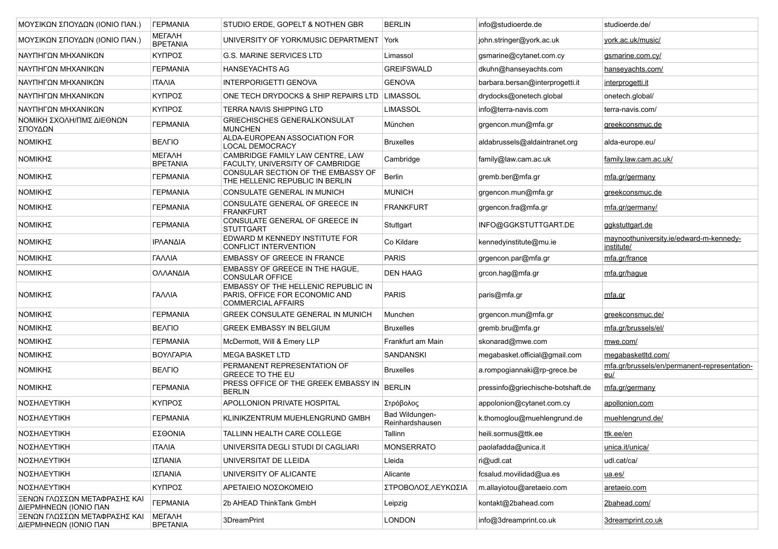| ΜΟΥΣΙΚΩΝ ΣΠΟΥΔΩΝ (ΙΟΝΙΟ ΠΑΝ.)                         | <b><i>TEPMANIA</i></b>           | STUDIO ERDE, GOPELT & NOTHEN GBR                                                                   | <b>BERLIN</b>                     | info@studioerde.de                | studioerde.de/                                        |
|-------------------------------------------------------|----------------------------------|----------------------------------------------------------------------------------------------------|-----------------------------------|-----------------------------------|-------------------------------------------------------|
| ΜΟΥΣΙΚΩΝ ΣΠΟΥΔΩΝ (ΙΟΝΙΟ ΠΑΝ.)                         | <b>METAAH</b><br><b>BPETANIA</b> | UNIVERSITY OF YORK/MUSIC DEPARTMENT York                                                           |                                   | john.stringer@york.ac.uk          | york.ac.uk/music/                                     |
| ΝΑΥΠΗΓΩΝ ΜΗΧΑΝΙΚΩΝ                                    | ΚΥΠΡΟΣ                           | <b>G.S. MARINE SERVICES LTD</b>                                                                    | Limassol                          | gsmarine@cytanet.com.cy           | gsmarine.com.cy/                                      |
| ΝΑΥΠΗΓΩΝ ΜΗΧΑΝΙΚΩΝ                                    | <b><i>TEPMANIA</i></b>           | <b>HANSEYACHTS AG</b>                                                                              | <b>GREIFSWALD</b>                 | dkuhn@hanseyachts.com             | hanseyachts.com/                                      |
| ΝΑΥΠΗΓΩΝ ΜΗΧΑΝΙΚΩΝ                                    | <b>ITAAIA</b>                    | <b>INTERPORIGETTI GENOVA</b>                                                                       | <b>GENOVA</b>                     | barbara.bersan@interprogetti.it   | interprogetti.it                                      |
| ΝΑΥΠΗΓΩΝ ΜΗΧΑΝΙΚΩΝ                                    | ΚΥΠΡΟΣ                           | ONE TECH DRYDOCKS & SHIP REPAIRS LTD   LIMASSOL                                                    |                                   | drydocks@onetech.global           | onetech.global/                                       |
| ΝΑΥΠΗΓΩΝ ΜΗΧΑΝΙΚΩΝ                                    | ΚΥΠΡΟΣ                           | <b>TERRA NAVIS SHIPPING LTD</b>                                                                    | <b>LIMASSOL</b>                   | info@terra-navis.com              | terra-navis.com/                                      |
| ΝΟΜΙΚΗ ΣΧΟΛΗ/ΠΜΣ ΔΙΕΘΝΩΝ<br>ΣΠΟΥΔΩΝ                   | <b><i><u>TEPMANIA</u></i></b>    | GRIECHISCHES GENERALKONSULAT<br><b>MUNCHEN</b>                                                     | München                           | grgencon.mun@mfa.gr               | greekconsmuc.de                                       |
| ΝΟΜΙΚΗΣ                                               | <b>BEAFIO</b>                    | ALDA-EUROPEAN ASSOCIATION FOR<br>LOCAL DEMOCRACY                                                   | <b>Bruxelles</b>                  | aldabrussels@aldaintranet.org     | alda-europe.eu/                                       |
| ΝΟΜΙΚΗΣ                                               | <b>METAAH</b><br><b>BPETANIA</b> | CAMBRIDGE FAMILY LAW CENTRE, LAW<br>FACULTY, UNIVERSITY OF CAMBRIDGE                               | Cambridge                         | family@law.cam.ac.uk              | family.law.cam.ac.uk/                                 |
| ΝΟΜΙΚΗΣ                                               | <b><i>TEPMANIA</i></b>           | CONSULAR SECTION OF THE EMBASSY OF<br>THE HELLENIC REPUBLIC IN BERLIN                              | <b>Berlin</b>                     | gremb.ber@mfa.gr                  | mfa.gr/germany                                        |
| ΝΟΜΙΚΗΣ                                               | <b><i>FEPMANIA</i></b>           | CONSULATE GENERAL IN MUNICH                                                                        | <b>MUNICH</b>                     | grgencon.mun@mfa.gr               | greekconsmuc.de                                       |
| ΝΟΜΙΚΗΣ                                               | <b><i>TEPMANIA</i></b>           | CONSULATE GENERAL OF GREECE IN<br><b>FRANKFURT</b>                                                 | <b>FRANKFURT</b>                  | grgencon.fra@mfa.gr               | mfa.gr/germany/                                       |
| ΝΟΜΙΚΗΣ                                               | <b><i><u>TEPMANIA</u></i></b>    | CONSULATE GENERAL OF GREECE IN<br><b>STUTTGART</b>                                                 | Stuttgart                         | INFO@GGKSTUTTGART.DE              | ggkstuttgart.de                                       |
| ΝΟΜΙΚΗΣ                                               | ΙΡΛΑΝΔΙΑ                         | EDWARD M KENNEDY INSTITUTE FOR<br>CONFLICT INTERVENTION                                            | Co Kildare                        | kennedyinstitute@mu.ie            | maynoothuniversity.ie/edward-m-kennedy-<br>institute/ |
| ΝΟΜΙΚΗΣ                                               | ΓΑΛΛΙΑ                           | <b>EMBASSY OF GREECE IN FRANCE</b>                                                                 | <b>PARIS</b>                      | grgencon.par@mfa.gr               | mfa.gr/france                                         |
| ΝΟΜΙΚΗΣ                                               | ΟΛΛΑΝΔΙΑ                         | EMBASSY OF GREECE IN THE HAGUE.<br><b>CONSULAR OFFICE</b>                                          | <b>DEN HAAG</b>                   | grcon.hag@mfa.gr                  | mfa.gr/hague                                          |
| ΝΟΜΙΚΗΣ                                               | ΓΑΛΛΙΑ                           | EMBASSY OF THE HELLENIC REPUBLIC IN<br>PARIS, OFFICE FOR ECONOMIC AND<br><b>COMMERCIAL AFFAIRS</b> | <b>PARIS</b>                      | paris@mfa.gr                      | <u>mfa.gr</u>                                         |
| ΝΟΜΙΚΗΣ                                               | <b><i><u>TEPMANIA</u></i></b>    | GREEK CONSULATE GENERAL IN MUNICH                                                                  | Munchen                           | grgencon.mun@mfa.gr               | greekconsmuc.de/                                      |
| ΝΟΜΙΚΗΣ                                               | <b>BEAFIO</b>                    | GREEK EMBASSY IN BELGIUM                                                                           | <b>Bruxelles</b>                  | gremb.bru@mfa.gr                  | mfa.gr/brussels/el/                                   |
| ΝΟΜΙΚΗΣ                                               | <b><i>TEPMANIA</i></b>           | McDermott, Will & Emery LLP                                                                        | Frankfurt am Main                 | skonarad@mwe.com                  | mwe.com/                                              |
| ΝΟΜΙΚΗΣ                                               | ΒΟΥΛΓΑΡΙΑ                        | <b>MEGA BASKET LTD</b>                                                                             | <b>SANDANSKI</b>                  | megabasket.official@gmail.com     | megabasketItd.com/                                    |
| ΝΟΜΙΚΗΣ                                               | <b>BEAFIO</b>                    | PERMANENT REPRESENTATION OF<br><b>GREECE TO THE EU</b>                                             | <b>Bruxelles</b>                  | a.rompogiannaki@rp-grece.be       | mfa.gr/brussels/en/permanent-representation-<br>eu/   |
| ΝΟΜΙΚΗΣ                                               | <b><i>TEPMANIA</i></b>           | PRESS OFFICE OF THE GREEK EMBASSY IN<br><b>BERLIN</b>                                              | <b>BERLIN</b>                     | pressinfo@griechische-botshaft.de | mfa.gr/germany                                        |
| ΝΟΣΗΛΕΥΤΙΚΗ                                           | ΚΥΠΡΟΣ                           | APOLLONION PRIVATE HOSPITAL                                                                        | Στρόβολος                         | appolonion@cytanet.com.cy         | apollonion.com                                        |
| ΝΟΣΗΛΕΥΤΙΚΗ                                           | <b><i>TEPMANIA</i></b>           | KLINIKZENTRUM MUEHLENGRUND GMBH                                                                    | Bad Wildungen-<br>Reinhardshausen | k.thomoglou@muehlengrund.de       | muehlengrund.de/                                      |
| ΝΟΣΗΛΕΥΤΙΚΗ                                           | ΕΣΘΟΝΙΑ                          | TALLINN HEALTH CARE COLLEGE                                                                        | Tallinn                           | heili.sormus@ttk.ee               | <u>ttk.ee/en</u>                                      |
| ΝΟΣΗΛΕΥΤΙΚΗ                                           | <b>ITAAIA</b>                    | UNIVERSITA DEGLI STUDI DI CAGLIARI                                                                 | <b>MONSERRATO</b>                 | paolafadda@unica.it               | unica.it/unica/                                       |
| ΝΟΣΗΛΕΥΤΙΚΗ                                           | ΙΣΠΑΝΙΑ                          | UNIVERSITAT DE LLEIDA                                                                              | Lleida                            | ri@udl.cat                        | udl.cat/ca/                                           |
| ΝΟΣΗΛΕΥΤΙΚΗ                                           | ΙΣΠΑΝΙΑ                          | UNIVERSITY OF ALICANTE                                                                             | Alicante                          | fcsalud.movilidad@ua.es           | ua.es/                                                |
| ΝΟΣΗΛΕΥΤΙΚΗ                                           | ΚΥΠΡΟΣ                           | ΑΡΕΤΑΙΕΙΟ ΝΟΣΟΚΟΜΕΙΟ                                                                               | ΣΤΡΟΒΟΛΟΣ,ΛΕΥΚΩΣΙΑ                | m.allaviotou@aretaeio.com         | aretaeio.com                                          |
| ΞΕΝΩΝ ΓΛΩΣΣΩΝ ΜΕΤΑΦΡΑΣΗΣ ΚΑΙ<br>ΔΙΕΡΜΗΝΕΩΝ (ΙΟΝΙΟ ΠΑΝ | <b><i>TEPMANIA</i></b>           | 2b AHEAD ThinkTank GmbH                                                                            | Leipzig                           | kontakt@2bahead.com               | 2bahead.com/                                          |
| ΞΕΝΩΝ ΓΛΩΣΣΩΝ ΜΕΤΑΦΡΑΣΗΣ ΚΑΙ<br>ΔΙΕΡΜΗΝΕΩΝ (ΙΟΝΙΟ ΠΑΝ | <b>METAAH</b><br><b>BPETANIA</b> | 3DreamPrint                                                                                        | <b>LONDON</b>                     | info@3dreamprint.co.uk            | 3dreamprint.co.uk                                     |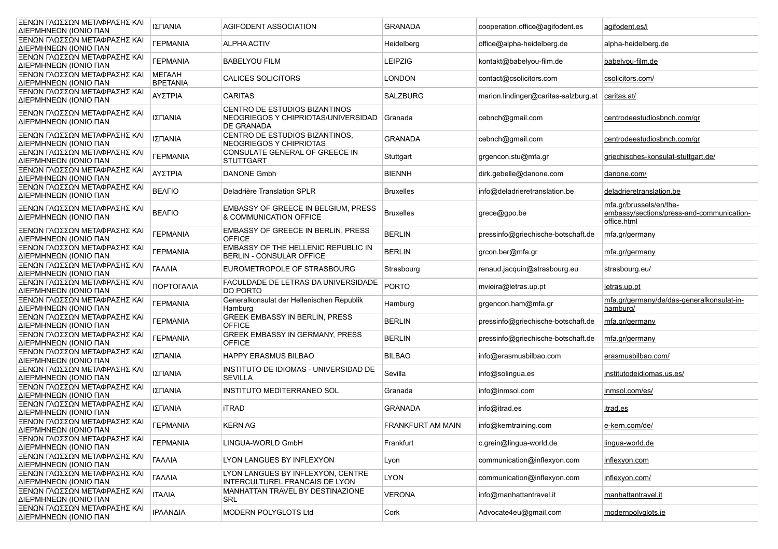| ΞΕΝΩΝ ΓΛΩΣΣΩΝ ΜΕΤΑΦΡΑΣΗΣ ΚΑΙ<br>ΔΙΕΡΜΗΝΕΩΝ (ΙΟΝΙΟ ΠΑΝ | ΙΣΠΑΝΙΑ                          | AGIFODENT ASSOCIATION                                                              | <b>GRANADA</b>           | cooperation.office@agifodent.es      | agifodent.es/i                                                                      |
|-------------------------------------------------------|----------------------------------|------------------------------------------------------------------------------------|--------------------------|--------------------------------------|-------------------------------------------------------------------------------------|
| ΞΕΝΩΝ ΓΛΩΣΣΩΝ ΜΕΤΑΦΡΑΣΗΣ ΚΑΙ<br>ΔΙΕΡΜΗΝΕΩΝ (ΙΟΝΙΟ ΠΑΝ | <b><i>FEPMANIA</i></b>           | <b>ALPHA ACTIV</b>                                                                 | Heidelberg               | office@alpha-heidelberg.de           | alpha-heidelberg.de                                                                 |
| ΞΕΝΩΝ ΓΛΩΣΣΩΝ ΜΕΤΑΦΡΑΣΗΣ ΚΑΙ<br>ΔΙΕΡΜΗΝΕΩΝ (ΙΟΝΙΟ ΠΑΝ | <b><i>TEPMANIA</i></b>           | <b>BABELYOU FILM</b>                                                               | <b>LEIPZIG</b>           | kontakt@babelyou-film.de             | babelyou-film.de                                                                    |
| ΞΕΝΩΝ ΓΛΩΣΣΩΝ ΜΕΤΑΦΡΑΣΗΣ ΚΑΙ<br>ΔΙΕΡΜΗΝΕΩΝ (ΙΟΝΙΟ ΠΑΝ | <b>METAAH</b><br><b>BPETANIA</b> | CALICES SOLICITORS                                                                 | LONDON                   | contact@csolicitors.com              | csolicitors.com/                                                                    |
| ΞΕΝΩΝ ΓΛΩΣΣΩΝ ΜΕΤΑΦΡΑΣΗΣ ΚΑΙ<br>ΔΙΕΡΜΗΝΕΩΝ (ΙΟΝΙΟ ΠΑΝ | ΑΥΣΤΡΙΑ                          | <b>CARITAS</b>                                                                     | <b>SALZBURG</b>          | marion.lindinger@caritas-salzburg.at | caritas.at/                                                                         |
| ΞΕΝΩΝ ΓΛΩΣΣΩΝ ΜΕΤΑΦΡΑΣΗΣ ΚΑΙ<br>ΔΙΕΡΜΗΝΕΩΝ (ΙΟΝΙΟ ΠΑΝ | ΙΣΠΑΝΙΑ                          | CENTRO DE ESTUDIOS BIZANTINOS<br>NEOGRIEGOS Y CHIPRIOTAS/UNIVERSIDAD<br>DE GRANADA | Granada                  | cebnch@gmail.com                     | centrodeestudiosbnch.com/gr                                                         |
| ΞΕΝΩΝ ΓΛΩΣΣΩΝ ΜΕΤΑΦΡΑΣΗΣ ΚΑΙ<br>ΔΙΕΡΜΗΝΕΩΝ (ΙΟΝΙΟ ΠΑΝ | ΙΣΠΑΝΙΑ                          | CENTRO DE ESTUDIOS BIZANTINOS,<br>NEOGRIEGOS Y CHIPRIOTAS                          | <b>GRANADA</b>           | cebnch@gmail.com                     | centrodeestudiosbnch.com/gr                                                         |
| ΞΕΝΩΝ ΓΛΩΣΣΩΝ ΜΕΤΑΦΡΑΣΗΣ ΚΑΙ<br>ΔΙΕΡΜΗΝΕΩΝ (ΙΟΝΙΟ ΠΑΝ | <b><i>TEPMANIA</i></b>           | CONSULATE GENERAL OF GREECE IN<br><b>STUTTGART</b>                                 | Stuttgart                | grgencon.stu@mfa.gr                  | griechisches-konsulat-stuttgart.de/                                                 |
| ΞΕΝΩΝ ΓΛΩΣΣΩΝ ΜΕΤΑΦΡΑΣΗΣ ΚΑΙ<br>ΔΙΕΡΜΗΝΕΩΝ (ΙΟΝΙΟ ΠΑΝ | ΑΥΣΤΡΙΑ                          | DANONE Gmbh                                                                        | <b>BIENNH</b>            | dirk.gebelle@danone.com              | danone.com/                                                                         |
| ΞΕΝΩΝ ΓΛΩΣΣΩΝ ΜΕΤΑΦΡΑΣΗΣ ΚΑΙ<br>ΔΙΕΡΜΗΝΕΩΝ (ΙΟΝΙΟ ΠΑΝ | <b>BEAFIO</b>                    | Deladrière Translation SPLR                                                        | <b>Bruxelles</b>         | info@deladrieretranslation.be        | deladrieretranslation.be                                                            |
| ΞΕΝΩΝ ΓΛΩΣΣΩΝ ΜΕΤΑΦΡΑΣΗΣ ΚΑΙ<br>ΔΙΕΡΜΗΝΕΩΝ (ΙΟΝΙΟ ΠΑΝ | <b>BEAFIO</b>                    | <b>EMBASSY OF GREECE IN BELGIUM. PRESS</b><br>& COMMUNICATION OFFICE               | <b>Bruxelles</b>         | grece@gpo.be                         | mfa.gr/brussels/en/the-<br>embassy/sections/press-and-communication-<br>office.html |
| ΞΕΝΩΝ ΓΛΩΣΣΩΝ ΜΕΤΑΦΡΑΣΗΣ ΚΑΙ<br>ΔΙΕΡΜΗΝΕΩΝ (ΙΟΝΙΟ ΠΑΝ | <b><i>FEPMANIA</i></b>           | EMBASSY OF GREECE IN BERLIN, PRESS<br><b>OFFICE</b>                                | <b>BERLIN</b>            | pressinfo@griechische-botschaft.de   | mfa.gr/germany                                                                      |
| ΞΕΝΩΝ ΓΛΩΣΣΩΝ ΜΕΤΑΦΡΑΣΗΣ ΚΑΙ<br>ΔΙΕΡΜΗΝΕΩΝ (ΙΟΝΙΟ ΠΑΝ | <b><i>FEPMANIA</i></b>           | EMBASSY OF THE HELLENIC REPUBLIC IN<br><b>BERLIN - CONSULAR OFFICE</b>             | <b>BERLIN</b>            | grcon.ber@mfa.gr                     | mfa.gr/germany                                                                      |
| ΞΕΝΩΝ ΓΛΩΣΣΩΝ ΜΕΤΑΦΡΑΣΗΣ ΚΑΙ<br>ΔΙΕΡΜΗΝΕΩΝ (ΙΟΝΙΟ ΠΑΝ | ΓΑΛΛΙΑ                           | EUROMETROPOLE OF STRASBOURG                                                        | Strasbourg               | renaud.jacquin@strasbourg.eu         | strasbourg.eu/                                                                      |
| ΞΕΝΩΝ ΓΛΩΣΣΩΝ ΜΕΤΑΦΡΑΣΗΣ ΚΑΙ<br>ΔΙΕΡΜΗΝΕΩΝ (ΙΟΝΙΟ ΠΑΝ | ΠΟΡΤΟΓΑΛΙΑ                       | FACULDADE DE LETRAS DA UNIVERSIDADE<br>DO PORTO                                    | <b>PORTO</b>             | mvieira@letras.up.pt                 | <u>letras.up.pt</u>                                                                 |
| ΞΕΝΩΝ ΓΛΩΣΣΩΝ ΜΕΤΑΦΡΑΣΗΣ ΚΑΙ<br>ΔΙΕΡΜΗΝΕΩΝ (ΙΟΝΙΟ ΠΑΝ | <b><i>TEPMANIA</i></b>           | Generalkonsulat der Hellenischen Republik<br>Hamburg                               | Hamburg                  | grgencon.ham@mfa.gr                  | mfa.gr/germany/de/das-generalkonsulat-in-<br>hamburg/                               |
| ΞΕΝΩΝ ΓΛΩΣΣΩΝ ΜΕΤΑΦΡΑΣΗΣ ΚΑΙ<br>ΔΙΕΡΜΗΝΕΩΝ (ΙΟΝΙΟ ΠΑΝ | <b><i>TEPMANIA</i></b>           | GREEK EMBASSY IN BERLIN, PRESS<br><b>OFFICE</b>                                    | <b>BERLIN</b>            | pressinfo@griechische-botschaft.de   | mfa.gr/germany                                                                      |
| ΞΕΝΩΝ ΓΛΩΣΣΩΝ ΜΕΤΑΦΡΑΣΗΣ ΚΑΙ<br>ΔΙΕΡΜΗΝΕΩΝ (ΙΟΝΙΟ ΠΑΝ | <b><i>TEPMANIA</i></b>           | <b>GREEK EMBASSY IN GERMANY, PRESS</b><br><b>OFFICE</b>                            | <b>BERLIN</b>            | pressinfo@griechische-botschaft.de   | mfa.gr/germany                                                                      |
| ΞΕΝΩΝ ΓΛΩΣΣΩΝ ΜΕΤΑΦΡΑΣΗΣ ΚΑΙ<br>ΔΙΕΡΜΗΝΕΩΝ (ΙΟΝΙΟ ΠΑΝ | ΙΣΠΑΝΙΑ                          | HAPPY ERASMUS BILBAO                                                               | <b>BILBAO</b>            | info@erasmusbilbao.com               | erasmusbilbao.com/                                                                  |
| ΞΕΝΩΝ ΓΛΩΣΣΩΝ ΜΕΤΑΦΡΑΣΗΣ ΚΑΙ<br>ΔΙΕΡΜΗΝΕΩΝ (ΙΟΝΙΟ ΠΑΝ | ΙΣΠΑΝΙΑ                          | INSTITUTO DE IDIOMAS - UNIVERSIDAD DE<br><b>SEVILLA</b>                            | Sevilla                  | info@solingua.es                     | institutodeidiomas.us.es/                                                           |
| ΞΕΝΩΝ ΓΛΩΣΣΩΝ ΜΕΤΑΦΡΑΣΗΣ ΚΑΙ<br>ΔΙΕΡΜΗΝΕΩΝ (ΙΟΝΙΟ ΠΑΝ | ΙΣΠΑΝΙΑ                          | INSTITUTO MEDITERRANEO SOL                                                         | Granada                  | info@inmsol.com                      | inmsol.com/es/                                                                      |
| ΞΕΝΩΝ ΓΛΩΣΣΩΝ ΜΕΤΑΦΡΑΣΗΣ ΚΑΙ<br>ΔΙΕΡΜΗΝΕΩΝ (ΙΟΝΙΟ ΠΑΝ | ΙΣΠΑΝΙΑ                          | <b>iTRAD</b>                                                                       | <b>GRANADA</b>           | info@itrad.es                        | itrad.es                                                                            |
| ΞΕΝΩΝ ΓΛΩΣΣΩΝ ΜΕΤΑΦΡΑΣΗΣ ΚΑΙ<br>ΔΙΕΡΜΗΝΕΩΝ (ΙΟΝΙΟ ΠΑΝ | <b><i>TEPMANIA</i></b>           | <b>KERN AG</b>                                                                     | <b>FRANKFURT AM MAIN</b> | info@kerntraining.com                | e-kern.com/de/                                                                      |
| ΞΕΝΩΝ ΓΛΩΣΣΩΝ ΜΕΤΑΦΡΑΣΗΣ ΚΑΙ<br>ΔΙΕΡΜΗΝΕΩΝ (ΙΟΝΙΟ ΠΑΝ | <b><i>FEPMANIA</i></b>           | LINGUA-WORLD GmbH                                                                  | Frankfurt                | c.grein@lingua-world.de              | lingua-world.de                                                                     |
| ΞΕΝΩΝ ΓΛΩΣΣΩΝ ΜΕΤΑΦΡΑΣΗΣ ΚΑΙ<br>ΔΙΕΡΜΗΝΕΩΝ (ΙΟΝΙΟ ΠΑΝ | ΓΑΛΛΙΑ                           | LYON LANGUES BY INFLEXYON                                                          | Lyon                     | communication@inflexyon.com          | inflexyon.com                                                                       |
| ΞΕΝΩΝ ΓΛΩΣΣΩΝ ΜΕΤΑΦΡΑΣΗΣ ΚΑΙ<br>ΔΙΕΡΜΗΝΕΩΝ (ΙΟΝΙΟ ΠΑΝ | ΓΑΛΛΙΑ                           | LYON LANGUES BY INFLEXYON, CENTRE<br>INTERCULTUREL FRANCAIS DE LYON                | <b>LYON</b>              | communication@inflexyon.com          | inflexyon.com/                                                                      |
| ΞΕΝΩΝ ΓΛΩΣΣΩΝ ΜΕΤΑΦΡΑΣΗΣ ΚΑΙ<br>ΔΙΕΡΜΗΝΕΩΝ (ΙΟΝΙΟ ΠΑΝ | <b>ITAAIA</b>                    | MANHATTAN TRAVEL BY DESTINAZIONE<br>SRL                                            | <b>VERONA</b>            | info@manhattantravel.it              | manhattantravel.it                                                                  |
| ΞΕΝΩΝ ΓΛΩΣΣΩΝ ΜΕΤΑΦΡΑΣΗΣ ΚΑΙ<br>ΔΙΕΡΜΗΝΕΩΝ (ΙΟΝΙΟ ΠΑΝ | ΙΡΛΑΝΔΙΑ                         | <b>MODERN POLYGLOTS Ltd</b>                                                        | Cork                     | Advocate4eu@gmail.com                | modernpolyglots.ie                                                                  |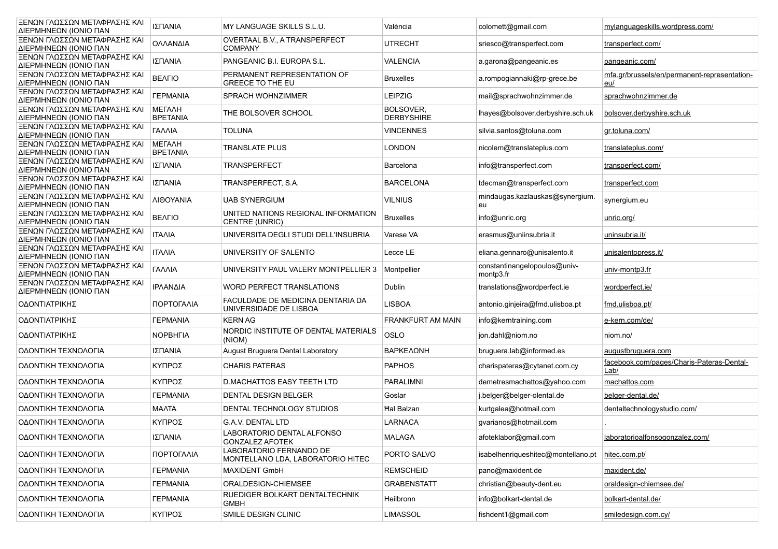| ΞΕΝΩΝ ΓΛΩΣΣΩΝ ΜΕΤΑΦΡΑΣΗΣ ΚΑΙ<br>ΔΙΕΡΜΗΝΕΩΝ (ΙΟΝΙΟ ΠΑΝ | ΙΣΠΑΝΙΑ                          | MY LANGUAGE SKILLS S.L.U.                                    | València                       | colomett@gmail.com                        | mylanguageskills.wordpress.com/                            |
|-------------------------------------------------------|----------------------------------|--------------------------------------------------------------|--------------------------------|-------------------------------------------|------------------------------------------------------------|
| ΞΕΝΩΝ ΓΛΩΣΣΩΝ ΜΕΤΑΦΡΑΣΗΣ ΚΑΙ<br>ΔΙΕΡΜΗΝΕΩΝ (ΙΟΝΙΟ ΠΑΝ | ΟΛΛΑΝΔΙΑ                         | OVERTAAL B.V., A TRANSPERFECT<br><b>COMPANY</b>              | UTRECHT                        | sriesco@transperfect.com                  | transperfect.com/                                          |
| ΞΕΝΩΝ ΓΛΩΣΣΩΝ ΜΕΤΑΦΡΑΣΗΣ ΚΑΙ<br>ΔΙΕΡΜΗΝΕΩΝ (ΙΟΝΙΟ ΠΑΝ | ΙΣΠΑΝΙΑ                          | PANGEANIC B.I. EUROPA S.L.                                   | <b>VALENCIA</b>                | a.garona@pangeanic.es                     | pangeanic.com/                                             |
| ΞΕΝΩΝ ΓΛΩΣΣΩΝ ΜΕΤΑΦΡΑΣΗΣ ΚΑΙ<br>ΔΙΕΡΜΗΝΕΩΝ (ΙΟΝΙΟ ΠΑΝ | <b>BEAFIO</b>                    | PERMANENT REPRESENTATION OF<br><b>GREECE TO THE EU</b>       | <b>Bruxelles</b>               | a.rompogiannaki@rp-grece.be               | mfa.gr/brussels/en/permanent-representation-<br><u>eu/</u> |
| ΞΕΝΩΝ ΓΛΩΣΣΩΝ ΜΕΤΑΦΡΑΣΗΣ ΚΑΙ<br>ΔΙΕΡΜΗΝΕΩΝ (ΙΟΝΙΟ ΠΑΝ | <b><i>TEPMANIA</i></b>           | SPRACH WOHNZIMMER                                            | <b>LEIPZIG</b>                 | mail@sprachwohnzimmer.de                  | sprachwohnzimmer.de                                        |
| ΞΕΝΩΝ ΓΛΩΣΣΩΝ ΜΕΤΑΦΡΑΣΗΣ ΚΑΙ<br>ΔΙΕΡΜΗΝΕΩΝ (ΙΟΝΙΟ ΠΑΝ | <b>METAAH</b><br><b>BPETANIA</b> | THE BOLSOVER SCHOOL                                          | BOLSOVER,<br><b>DERBYSHIRE</b> | lhayes@bolsover.derbyshire.sch.uk         | bolsover.derbyshire.sch.uk                                 |
| ΞΕΝΩΝ ΓΛΩΣΣΩΝ ΜΕΤΑΦΡΑΣΗΣ ΚΑΙ<br>ΔΙΕΡΜΗΝΕΩΝ (ΙΟΝΙΟ ΠΑΝ | ΓΑΛΛΙΑ                           | <b>TOLUNA</b>                                                | <b>VINCENNES</b>               | silvia.santos@toluna.com                  | gr.toluna.com/                                             |
| ΞΕΝΩΝ ΓΛΩΣΣΩΝ ΜΕΤΑΦΡΑΣΗΣ ΚΑΙ<br>ΔΙΕΡΜΗΝΕΩΝ (ΙΟΝΙΟ ΠΑΝ | <b>METAAH</b><br><b>BPETANIA</b> | <b>TRANSLATE PLUS</b>                                        | <b>LONDON</b>                  | nicolem@translateplus.com                 | translateplus.com/                                         |
| ΞΕΝΩΝ ΓΛΩΣΣΩΝ ΜΕΤΑΦΡΑΣΗΣ ΚΑΙ<br>ΔΙΕΡΜΗΝΕΩΝ (ΙΟΝΙΟ ΠΑΝ | ΙΣΠΑΝΙΑ                          | <b>TRANSPERFECT</b>                                          | Barcelona                      | info@transperfect.com                     | transperfect.com/                                          |
| ΞΕΝΩΝ ΓΛΩΣΣΩΝ ΜΕΤΑΦΡΑΣΗΣ ΚΑΙ<br>ΔΙΕΡΜΗΝΕΩΝ (ΙΟΝΙΟ ΠΑΝ | ΙΣΠΑΝΙΑ                          | TRANSPERFECT, S.A.                                           | <b>BARCELONA</b>               | tdecman@transperfect.com                  | transperfect.com                                           |
| ΞΕΝΩΝ ΓΛΩΣΣΩΝ ΜΕΤΑΦΡΑΣΗΣ ΚΑΙ<br>ΔΙΕΡΜΗΝΕΩΝ (ΙΟΝΙΟ ΠΑΝ | ΛΙΘΟΥΑΝΙΑ                        | <b>UAB SYNERGIUM</b>                                         | <b>VILNIUS</b>                 | mindaugas.kazlauskas@synergium.<br>eu     | synergium.eu                                               |
| ΞΕΝΩΝ ΓΛΩΣΣΩΝ ΜΕΤΑΦΡΑΣΗΣ ΚΑΙ<br>ΔΙΕΡΜΗΝΕΩΝ (ΙΟΝΙΟ ΠΑΝ | <b>BEAFIO</b>                    | UNITED NATIONS REGIONAL INFORMATION<br>CENTRE (UNRIC)        | <b>Bruxelles</b>               | info@unric.org                            | unric.org/                                                 |
| ΞΕΝΩΝ ΓΛΩΣΣΩΝ ΜΕΤΑΦΡΑΣΗΣ ΚΑΙ<br>ΔΙΕΡΜΗΝΕΩΝ (ΙΟΝΙΟ ΠΑΝ | <b>ITAAIA</b>                    | UNIVERSITA DEGLI STUDI DELL'INSUBRIA                         | Varese VA                      | erasmus@uniinsubria.it                    | uninsubria.it/                                             |
| ΞΕΝΩΝ ΓΛΩΣΣΩΝ ΜΕΤΑΦΡΑΣΗΣ ΚΑΙ<br>ΔΙΕΡΜΗΝΕΩΝ (ΙΟΝΙΟ ΠΑΝ | <b>ITAAIA</b>                    | UNIVERSITY OF SALENTO                                        | Lecce LE                       | eliana.gennaro@unisalento.it              | unisalentopress.it/                                        |
| ΞΕΝΩΝ ΓΛΩΣΣΩΝ ΜΕΤΑΦΡΑΣΗΣ ΚΑΙ<br>ΔΙΕΡΜΗΝΕΩΝ (ΙΟΝΙΟ ΠΑΝ | ΓΑΛΛΙΑ                           | UNIVERSITY PAUL VALERY MONTPELLIER 3                         | Montpellier                    | constantinangelopoulos@univ-<br>montp3.fr | univ-montp3.fr                                             |
| ΞΕΝΩΝ ΓΛΩΣΣΩΝ ΜΕΤΑΦΡΑΣΗΣ ΚΑΙ<br>ΔΙΕΡΜΗΝΕΩΝ (ΙΟΝΙΟ ΠΑΝ | ΙΡΛΑΝΔΙΑ                         | WORD PERFECT TRANSLATIONS                                    | Dublin                         | translations@wordperfect.ie               | wordperfect.ie/                                            |
| ΟΔΟΝΤΙΑΤΡΙΚΗΣ                                         | ΠΟΡΤΟΓΑΛΙΑ                       | FACULDADE DE MEDICINA DENTARIA DA<br>UNIVERSIDADE DE LISBOA  | <b>LISBOA</b>                  | antonio.ginjeira@fmd.ulisboa.pt           | fmd.ulisboa.pt/                                            |
| ΟΔΟΝΤΙΑΤΡΙΚΗΣ                                         | <b><i>FEPMANIA</i></b>           | <b>KERN AG</b>                                               | <b>FRANKFURT AM MAIN</b>       | info@kerntraining.com                     | e-kern.com/de/                                             |
| ΟΔΟΝΤΙΑΤΡΙΚΗΣ                                         | <b>NOPBHFIA</b>                  | NORDIC INSTITUTE OF DENTAL MATERIALS<br>(NIOM)               | OSLO                           | jon.dahl@niom.no                          | niom.no/                                                   |
| ΟΔΟΝΤΙΚΗ ΤΕΧΝΟΛΟΓΙΑ                                   | ΙΣΠΑΝΙΑ                          | August Bruguera Dental Laboratory                            | ΒΑΡΚΕΛΩΝΗ                      | bruguera.lab@informed.es                  | augustbruguera.com                                         |
| ΟΔΟΝΤΙΚΗ ΤΕΧΝΟΛΟΓΙΑ                                   | ΚΥΠΡΟΣ                           | <b>CHARIS PATERAS</b>                                        | <b>PAPHOS</b>                  | charispateras@cytanet.com.cy              | facebook.com/pages/Charis-Pateras-Dental-<br>Lab/          |
| ΟΔΟΝΤΙΚΗ ΤΕΧΝΟΛΟΓΙΑ                                   | ΚΥΠΡΟΣ                           | <b>D.MACHATTOS EASY TEETH LTD</b>                            | <b>PARALIMNI</b>               | demetresmachattos@yahoo.com               | machattos.com                                              |
| ΟΔΟΝΤΙΚΗ ΤΕΧΝΟΛΟΓΙΑ                                   | <b><i>TEPMANIA</i></b>           | DENTAL DESIGN BELGER                                         | Goslar                         | j.belger@belger-olental.de                | belger-dental.de/                                          |
| ΟΔΟΝΤΙΚΗ ΤΕΧΝΟΛΟΓΙΑ                                   | MAATA                            | DENTAL TECHNOLOGY STUDIOS                                    | <b>Hal Balzan</b>              | kurtgalea@hotmail.com                     | dentaltechnologystudio.com/                                |
| ΟΔΟΝΤΙΚΗ ΤΕΧΝΟΛΟΓΙΑ                                   | ΚΥΠΡΟΣ                           | <b>G.A.V. DENTAL LTD</b>                                     | <b>LARNACA</b>                 | gvarianos@hotmail.com                     |                                                            |
| ΟΔΟΝΤΙΚΗ ΤΕΧΝΟΛΟΓΙΑ                                   | ΙΣΠΑΝΙΑ                          | LABORATORIO DENTAL ALFONSO<br><b>GONZALEZ AFOTEK</b>         | <b>MALAGA</b>                  | afoteklabor@gmail.com                     | laboratorioalfonsogonzalez.com/                            |
| ΟΔΟΝΤΙΚΗ ΤΕΧΝΟΛΟΓΙΑ                                   | ΠΟΡΤΟΓΑΛΙΑ                       | LABORATORIO FERNANDO DE<br>MONTELLANO LDA, LABORATORIO HITEC | PORTO SALVO                    | isabelhenriqueshitec@montellano.pt        | hitec.com.pt/                                              |
| ΟΔΟΝΤΙΚΗ ΤΕΧΝΟΛΟΓΙΑ                                   | <b><i>FEPMANIA</i></b>           | <b>MAXIDENT GmbH</b>                                         | <b>REMSCHEID</b>               | pano@maxident.de                          | maxident.de/                                               |
| ΟΔΟΝΤΙΚΗ ΤΕΧΝΟΛΟΓΙΑ                                   | <b><i>TEPMANIA</i></b>           | ORALDESIGN-CHIEMSEE                                          | <b>GRABENSTATT</b>             | christian@beauty-dent.eu                  | oraldesign-chiemsee.de/                                    |
| ΟΔΟΝΤΙΚΗ ΤΕΧΝΟΛΟΓΙΑ                                   | <b><i>FEPMANIA</i></b>           | RUEDIGER BOLKART DENTALTECHNIK<br><b>GMBH</b>                | Heilbronn                      | info@bolkart-dental.de                    | bolkart-dental.de/                                         |
| ΟΔΟΝΤΙΚΗ ΤΕΧΝΟΛΟΓΙΑ                                   | ΚΥΠΡΟΣ                           | SMILE DESIGN CLINIC                                          | <b>LIMASSOL</b>                | fishdent1@gmail.com                       | smiledesign.com.cy/                                        |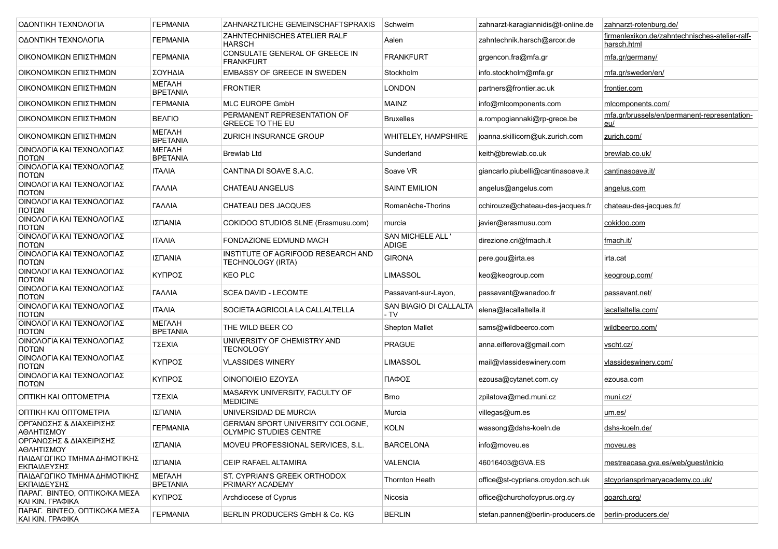| ΟΔΟΝΤΙΚΗ ΤΕΧΝΟΛΟΓΙΑ                               | <b><i>FEPMANIA</i></b>           | ZAHNARZTLICHE GEMEINSCHAFTSPRAXIS                                 | Schwelm                           | zahnarzt-karagiannidis@t-online.de | zahnarzt-rotenburg.de/                                        |  |
|---------------------------------------------------|----------------------------------|-------------------------------------------------------------------|-----------------------------------|------------------------------------|---------------------------------------------------------------|--|
| ΟΔΟΝΤΙΚΗ ΤΕΧΝΟΛΟΓΙΑ                               | <b><i>FEPMANIA</i></b>           | ZAHNTECHNISCHES ATELIER RALF<br><b>HARSCH</b>                     | Aalen                             | zahntechnik.harsch@arcor.de        | firmenlexikon.de/zahntechnisches-atelier-ralf-<br>harsch.html |  |
| ΟΙΚΟΝΟΜΙΚΩΝ ΕΠΙΣΤΗΜΩΝ                             | <b>ΓΕΡΜΑΝΙΑ</b>                  | CONSULATE GENERAL OF GREECE IN<br><b>FRANKFURT</b>                | <b>FRANKFURT</b>                  | grgencon.fra@mfa.gr                | mfa.gr/germany/                                               |  |
| ΟΙΚΟΝΟΜΙΚΩΝ ΕΠΙΣΤΗΜΩΝ                             | ΣΟΥΗΔΙΑ                          | <b>EMBASSY OF GREECE IN SWEDEN</b>                                | Stockholm                         | info.stockholm@mfa.gr              | mfa.gr/sweden/en/                                             |  |
| ΟΙΚΟΝΟΜΙΚΩΝ ΕΠΙΣΤΗΜΩΝ                             | <b>METAAH</b><br><b>BPETANIA</b> | <b>FRONTIER</b>                                                   | <b>LONDON</b>                     | partners@frontier.ac.uk            | frontier.com                                                  |  |
| ΟΙΚΟΝΟΜΙΚΩΝ ΕΠΙΣΤΗΜΩΝ                             | <b><i>FEPMANIA</i></b>           | <b>MLC EUROPE GmbH</b>                                            | <b>MAINZ</b>                      | info@mlcomponents.com              | micomponents.com/                                             |  |
| ΟΙΚΟΝΟΜΙΚΩΝ ΕΠΙΣΤΗΜΩΝ                             | <b>BEAFIO</b>                    | PERMANENT REPRESENTATION OF<br><b>GREECE TO THE EU</b>            | <b>Bruxelles</b>                  | a.rompogiannaki@rp-grece.be        | mfa.gr/brussels/en/permanent-representation-<br>eu/           |  |
| ΟΙΚΟΝΟΜΙΚΩΝ ΕΠΙΣΤΗΜΩΝ                             | МЕГАЛН<br><b>BPETANIA</b>        | <b>ZURICH INSURANCE GROUP</b>                                     | <b>WHITELEY, HAMPSHIRE</b>        | joanna.skillicorn@uk.zurich.com    | zurich.com/                                                   |  |
| ΟΙΝΟΛΟΓΙΑ ΚΑΙ ΤΕΧΝΟΛΟΓΙΑΣ<br>ΠΟΤΩΝ                | <b>METAAH</b><br><b>BPETANIA</b> | Brewlab Ltd                                                       | Sunderland                        | keith@brewlab.co.uk                | brewlab.co.uk/                                                |  |
| ΟΙΝΟΛΟΓΙΑ ΚΑΙ ΤΕΧΝΟΛΟΓΙΑΣ<br>ΠΟΤΩΝ                | <b>ITAAIA</b>                    | CANTINA DI SOAVE S.A.C.                                           | Soave VR                          | giancarlo.piubelli@cantinasoave.it | cantinasoave.it/                                              |  |
| ΟΙΝΟΛΟΓΙΑ ΚΑΙ ΤΕΧΝΟΛΟΓΙΑΣ<br>ΠΟΤΩΝ                | ΓΑΛΛΙΑ                           | <b>CHATEAU ANGELUS</b>                                            | <b>SAINT EMILION</b>              | angelus@angelus.com                | angelus.com                                                   |  |
| ΟΙΝΟΛΟΓΙΑ ΚΑΙ ΤΕΧΝΟΛΟΓΙΑΣ<br>ΠΟΤΩΝ                | ΓΑΛΛΙΑ                           | CHATEAU DES JACQUES                                               | Romanèche-Thorins                 | cchirouze@chateau-des-jacques.fr   | chateau-des-jacques.fr/                                       |  |
| ΟΙΝΟΛΟΓΙΑ ΚΑΙ ΤΕΧΝΟΛΟΓΙΑΣ<br>ΠΟΤΩΝ                | ΙΣΠΑΝΙΑ                          | COKIDOO STUDIOS SLNE (Erasmusu.com)                               | murcia                            | javier@erasmusu.com                | cokidoo.com                                                   |  |
| ΟΙΝΟΛΟΓΙΑ ΚΑΙ ΤΕΧΝΟΛΟΓΙΑΣ<br>ΠΟΤΩΝ                | <b>ITAAIA</b>                    | FONDAZIONE EDMUND MACH                                            | <b>SAN MICHELE ALL '</b><br>ADIGE | direzione.cri@fmach.it             | fmach.it/                                                     |  |
| ΟΙΝΟΛΟΓΙΑ ΚΑΙ ΤΕΧΝΟΛΟΓΙΑΣ<br>ΠΟΤΩΝ                | ΙΣΠΑΝΙΑ                          | INSTITUTE OF AGRIFOOD RESEARCH AND<br>TECHNOLOGY (IRTA)           | <b>GIRONA</b>                     | pere.gou@irta.es                   | irta.cat                                                      |  |
| ΟΙΝΟΛΟΓΙΑ ΚΑΙ ΤΕΧΝΟΛΟΓΙΑΣ<br>ΠΟΤΩΝ                | ΚΥΠΡΟΣ                           | <b>KEO PLC</b>                                                    | <b>LIMASSOL</b>                   | keo@keogroup.com                   | keogroup.com/                                                 |  |
| ΟΙΝΟΛΟΓΙΑ ΚΑΙ ΤΕΧΝΟΛΟΓΙΑΣ<br>ΠΟΤΩΝ                | ΓΑΛΛΙΑ                           | SCEA DAVID - LECOMTE                                              | Passavant-sur-Layon,              | passavant@wanadoo.fr               | passavant.net/                                                |  |
| ΟΙΝΟΛΟΓΙΑ ΚΑΙ ΤΕΧΝΟΛΟΓΙΑΣ<br>ΠΟΤΩΝ                | ITAAIA                           | SOCIETA AGRICOLA LA CALLALTELLA                                   | SAN BIAGIO DI CALLALTA<br>- TV    | elena@lacallaltella.it             | lacallaltella.com/                                            |  |
| ΟΙΝΟΛΟΓΙΑ ΚΑΙ ΤΕΧΝΟΛΟΓΙΑΣ<br>ΠΟΤΩΝ                | МЕГАЛН<br><b>BPETANIA</b>        | THE WILD BEER CO                                                  | <b>Shepton Mallet</b>             | sams@wildbeerco.com                | wildbeerco.com/                                               |  |
| ΟΙΝΟΛΟΓΙΑ ΚΑΙ ΤΕΧΝΟΛΟΓΙΑΣ<br>ΠΟΤΩΝ                | ΤΣΕΧΙΑ                           | UNIVERSITY OF CHEMISTRY AND<br><b>TECNOLOGY</b>                   | <b>PRAGUE</b>                     | anna.eiflerova@gmail.com           | vscht.cz/                                                     |  |
| ΟΙΝΟΛΟΓΙΑ ΚΑΙ ΤΕΧΝΟΛΟΓΙΑΣ<br>ΠΟΤΩΝ                | ΚΥΠΡΟΣ                           | <b>VLASSIDES WINERY</b>                                           | LIMASSOL                          | mail@vlassideswinery.com           | vlassideswinery.com/                                          |  |
| ΟΙΝΟΛΟΓΙΑ ΚΑΙ ΤΕΧΝΟΛΟΓΙΑΣ<br>ΠΟΤΩΝ                | ΚΥΠΡΟΣ                           | ΟΙΝΟΠΟΙΕΙΟ ΕΖΟΥΣΑ                                                 | ΠΑΦΟΣ                             | ezousa@cytanet.com.cy              | ezousa.com                                                    |  |
| ONTIKH KAI ONTOMETPIA                             | ΤΣΕΧΙΑ                           | MASARYK UNIVERSITY, FACULTY OF<br><b>MEDICINE</b>                 | Brno                              | zpilatova@med.muni.cz              | muni.cz/                                                      |  |
| ONTIKH KAI ONTOMETPIA                             | ΙΣΠΑΝΙΑ                          | UNIVERSIDAD DE MURCIA                                             | Murcia                            | villegas@um.es                     | um.es/                                                        |  |
| ΟΡΓΑΝΩΣΗΣ & ΔΙΑΧΕΙΡΙΣΗΣ<br>ΑΘΛΗΤΙΣΜΟΥ             | <b>ΓΕΡΜΑΝΙΑ</b>                  | <b>GERMAN SPORT UNIVERSITY COLOGNE,</b><br>OLYMPIC STUDIES CENTRE | <b>KOLN</b>                       | wassong@dshs-koeln.de              | dshs-koeln.de/                                                |  |
| ΟΡΓΑΝΩΣΗΣ & ΔΙΑΧΕΙΡΙΣΗΣ<br>ΑΘΛΗΤΙΣΜΟΥ             | ΙΣΠΑΝΙΑ                          | MOVEU PROFESSIONAL SERVICES, S.L.                                 | <b>BARCELONA</b>                  | info@moveu.es                      | moveu es                                                      |  |
| ΠΑΙΔΑΓΩΓΙΚΟ ΤΜΗΜΑ ΔΗΜΟΤΙΚΗΣ<br>ΕΚΠΑΙΔΕΥΣΗΣ        | ΙΣΠΑΝΙΑ                          | CEIP RAFAEL ALTAMIRA                                              | <b>VALENCIA</b>                   | 46016403@GVA.ES                    | mestreacasa.qva.es/web/quest/inicio                           |  |
| ΠΑΙΔΑΓΩΓΙΚΟ ΤΜΗΜΑ ΔΗΜΟΤΙΚΗΣ<br>ΕΚΠΑΙΔΕΥΣΗΣ        | <b>METAAH</b><br><b>BPETANIA</b> | ST. CYPRIAN'S GREEK ORTHODOX<br>PRIMARY ACADEMY                   | Thornton Heath                    | office@st-cyprians.croydon.sch.uk  | stcypriansprimaryacademy.co.uk/                               |  |
| ΠΑΡΑΓ. ΒΙΝΤΕΟ, ΟΠΤΙΚΟ/ΚΑ ΜΕΣΑ<br>KAI KIN. ΓΡΑΦΙΚΑ | ΚΥΠΡΟΣ                           | Archdiocese of Cyprus                                             | Nicosia                           | office@churchofcyprus.org.cy       | goarch.org/                                                   |  |
| ΠΑΡΑΓ. ΒΙΝΤΕΟ. ΟΠΤΙΚΟ/ΚΑ ΜΕΣΑ<br>KAI KIN. ΓΡΑΦΙΚΑ | <b><i>FEPMANIA</i></b>           | BERLIN PRODUCERS GmbH & Co. KG                                    | <b>BERLIN</b>                     | stefan.pannen@berlin-producers.de  | berlin-producers.de/                                          |  |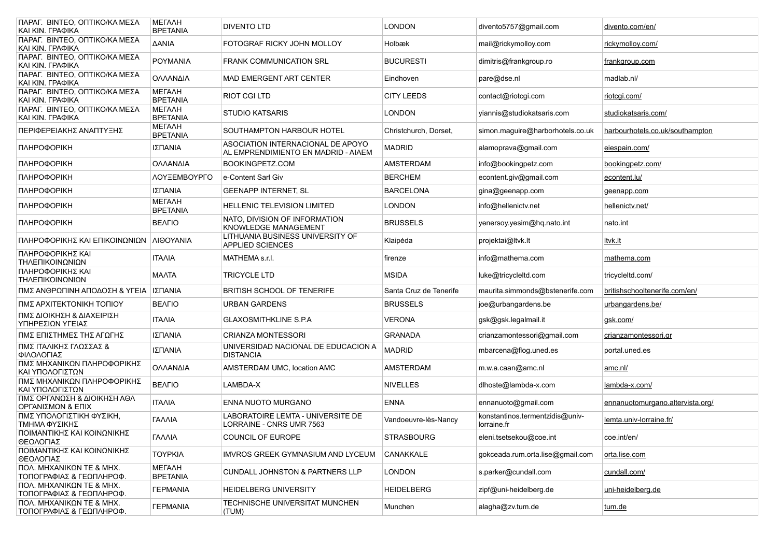| ΠΑΡΑΓ. ΒΙΝΤΕΟ, ΟΠΤΙΚΟ/ΚΑ ΜΕΣΑ<br>KAI KIN. ΓΡΑΦΙΚΑ    | <b>METAAH</b><br><b>BPETANIA</b> | <b>DIVENTO LTD</b>                                                       | <b>LONDON</b>          | divento5757@gmail.com                          | divento.com/en/                  |
|------------------------------------------------------|----------------------------------|--------------------------------------------------------------------------|------------------------|------------------------------------------------|----------------------------------|
| ΠΑΡΑΓ. ΒΙΝΤΕΟ, ΟΠΤΙΚΟ/ΚΑ ΜΕΣΑ<br>KAI KIN. ΓΡΑΦΙΚΑ    | <b>AANIA</b>                     | FOTOGRAF RICKY JOHN MOLLOY                                               | <b>Holbæk</b>          | mail@rickymolloy.com                           | rickymolloy.com/                 |
| ΠΑΡΑΓ. ΒΙΝΤΕΟ, ΟΠΤΙΚΟ/ΚΑ ΜΕΣΑ<br>KAI KIN. ΓΡΑΦΙΚΑ    | POYMANIA                         | FRANK COMMUNICATION SRL                                                  | <b>BUCURESTI</b>       | dimitris@frankgroup.ro                         | frankgroup.com                   |
| ΠΑΡΑΓ. ΒΙΝΤΕΟ, ΟΠΤΙΚΟ/ΚΑ ΜΕΣΑ<br>KAI KIN. ΓΡΑΦΙΚΑ    | ΟΛΛΑΝΔΙΑ                         | <b>MAD EMERGENT ART CENTER</b>                                           | Eindhoven              | pare@dse.nl                                    | madlab.nl/                       |
| ΠΑΡΑΓ. ΒΙΝΤΕΟ, ΟΠΤΙΚΟ/ΚΑ ΜΕΣΑ<br>KAI KIN. ΓΡΑΦΙΚΑ    | <b>METAAH</b><br><b>BPETANIA</b> | RIOT CGI LTD                                                             | <b>CITY LEEDS</b>      | contact@riotcgi.com                            | riotogi.com/                     |
| ΠΑΡΑΓ. ΒΙΝΤΕΟ, ΟΠΤΙΚΟ/ΚΑ ΜΕΣΑ<br>KAI KIN. ΓΡΑΦΙΚΑ    | <b>METAAH</b><br><b>BPETANIA</b> | <b>STUDIO KATSARIS</b>                                                   | <b>LONDON</b>          | yiannis@studiokatsaris.com                     | studiokatsaris.com/              |
| ΠΕΡΙΦΕΡΕΙΑΚΗΣ ΑΝΑΠΤΥΞΗΣ                              | <b>METAAH</b><br><b>BPETANIA</b> | SOUTHAMPTON HARBOUR HOTEL                                                | Christchurch, Dorset,  | simon.maguire@harborhotels.co.uk               | harbourhotels.co.uk/southampton  |
| <b>ПЛНРОФОРІКН</b>                                   | ΙΣΠΑΝΙΑ                          | ASOCIATION INTERNACIONAL DE APOYO<br>AL EMPRENDIMIENTO EN MADRID - AIAEM | <b>MADRID</b>          | alamoprava@gmail.com                           | eiespain.com/                    |
| <b>ПЛНРОФОРІКН</b>                                   | ΟΛΛΑΝΔΙΑ                         | BOOKINGPETZ.COM                                                          | AMSTERDAM              | info@bookingpetz.com                           | bookingpetz.com/                 |
| <b>ПЛНРОФОРІКН</b>                                   | ΛΟΥΞΕΜΒΟΥΡΓΟ                     | e-Content Sarl Giv                                                       | <b>BERCHEM</b>         | econtent.giv@gmail.com                         | econtent.lu/                     |
| <b>ПЛНРОФОРІКН</b>                                   | ΙΣΠΑΝΙΑ                          | <b>GEENAPP INTERNET, SL</b>                                              | <b>BARCELONA</b>       | gina@geenapp.com                               | geenapp.com                      |
| <b>ПЛНРОФОРІКН</b>                                   | <b>METAAH</b><br><b>BPETANIA</b> | <b>HELLENIC TELEVISION LIMITED</b>                                       | <b>LONDON</b>          | info@hellenictv.net                            | hellenicty.net/                  |
| <b>ПЛНРОФОРІКН</b>                                   | <b>BEAFIO</b>                    | NATO. DIVISION OF INFORMATION<br>KNOWLEDGE MANAGEMENT                    | <b>BRUSSELS</b>        | yenersoy.yesim@hq.nato.int                     | nato.int                         |
| ΠΛΗΡΟΦΟΡΙΚΗΣ ΚΑΙ ΕΠΙΚΟΙΝΩΝΙΩΝ                        | ΛΙΘΟΥΑΝΙΑ                        | LITHUANIA BUSINESS UNIVERSITY OF<br>APPLIED SCIENCES                     | Klaipėda               | projektai@ltvk.lt                              | <u>ltvk.lt</u>                   |
| ΠΛΗΡΟΦΟΡΙΚΗΣ ΚΑΙ<br>ΤΗΛΕΠΙΚΟΙΝΩΝΙΩΝ                  | <b>ITAAIA</b>                    | MATHEMA s.r.l.                                                           | firenze                | info@mathema.com                               | mathema.com                      |
| ΠΛΗΡΟΦΟΡΙΚΗΣ ΚΑΙ<br>ΤΗΛΕΠΙΚΟΙΝΩΝΙΩΝ                  | <b>MAATA</b>                     | TRICYCLE LTD                                                             | <b>MSIDA</b>           | luke@tricycleltd.com                           | tricycleltd.com/                 |
| ΠΜΣ ΑΝΘΡΩΠΙΝΗ ΑΠΟΔΟΣΗ & ΥΓΕΙΑ                        | ΙΣΠΑΝΙΑ                          | <b>BRITISH SCHOOL OF TENERIFE</b>                                        | Santa Cruz de Tenerife | maurita.simmonds@bstenerife.com                | britishschooltenerife.com/en/    |
| ΠΜΣ ΑΡΧΙΤΕΚΤΟΝΙΚΗ ΤΟΠΙΟΥ                             | <b>BEAFIO</b>                    | <b>URBAN GARDENS</b>                                                     | <b>BRUSSELS</b>        | joe@urbangardens.be                            | urbangardens.be/                 |
| ΠΜΣ ΔΙΟΙΚΗΣΗ & ΔΙΑΧΕΙΡΙΣΗ<br>ΥΠΗΡΕΣΙΩΝ ΥΓΕΙΑΣ        | <b>ITAAIA</b>                    | <b>GLAXOSMITHKLINE S.P.A</b>                                             | <b>VERONA</b>          | gsk@gsk.legalmail.it                           | gsk.com/                         |
| ΠΜΣ ΕΠΙΣΤΗΜΕΣ ΤΗΣ ΑΓΩΓΗΣ                             | ΙΣΠΑΝΙΑ                          | <b>CRIANZA MONTESSORI</b>                                                | <b>GRANADA</b>         | crianzamontessori@gmail.com                    | crianzamontessori.gr             |
| ΠΜΣ ΙΤΑΛΙΚΗΣ ΓΛΩΣΣΑΣ &<br>ΦΙΛΟΛΟΓΙΑΣ                 | ΙΣΠΑΝΙΑ                          | UNIVERSIDAD NACIONAL DE EDUCACION A<br><b>DISTANCIA</b>                  | <b>MADRID</b>          | mbarcena@flog.uned.es                          | portal.uned.es                   |
| ΠΜΣ ΜΗΧΑΝΙΚΩΝ ΠΛΗΡΟΦΟΡΙΚΗΣ<br>ΚΑΙ ΥΠΟΛΟΓΙΣΤΩΝ        | ΟΛΛΑΝΔΙΑ                         | AMSTERDAM UMC, location AMC                                              | <b>AMSTERDAM</b>       | m.w.a.caan@amc.nl                              | amc.nl/                          |
| ΠΜΣ ΜΗΧΑΝΙΚΩΝ ΠΛΗΡΟΦΟΡΙΚΗΣ<br>ΚΑΙ ΥΠΟΛΟΓΙΣΤΩΝ        | <b>BEAFIO</b>                    | LAMBDA-X                                                                 | <b>NIVELLES</b>        | dlhoste@lambda-x.com                           | lambda-x.com/                    |
| ΠΜΣ ΟΡΓΑΝΩΣΗ & ΔΙΟΙΚΗΣΗ ΑΘΛ<br>ΟΡΓΑΝΙΣΜΩΝ & ΕΠΙΧ     | <b>ITAAIA</b>                    | ENNA NUOTO MURGANO                                                       | <b>ENNA</b>            | ennanuoto@gmail.com                            | ennanuotomurgano.altervista.org/ |
| ΠΜΣ ΥΠΟΛΟΓΙΣΤΙΚΗ ΦΥΣΙΚΗ,<br>ΤΜΗΜΑ ΦΥΣΙΚΗΣ            | ΓΑΛΛΙΑ                           | LABORATOIRE LEMTA - UNIVERSITE DE<br>LORRAINE - CNRS UMR 7563            | Vandoeuvre-lès-Nancv   | konstantinos.termentzidis@univ-<br>lorraine.fr | lemta.univ-lorraine.fr/          |
| ΠΟΙΜΑΝΤΙΚΗΣ ΚΑΙ ΚΟΙΝΩΝΙΚΗΣ<br>ΘΕΟΛΟΓΙΑΣ              | <b><i>TANNIA</i></b>             | COUNCIL OF EUROPE                                                        | <b>STRASBOURG</b>      | eleni.tsetsekou@coe.int                        | coe.int/en/                      |
| ΠΟΙΜΑΝΤΙΚΗΣ ΚΑΙ ΚΟΙΝΩΝΙΚΗΣ<br>ΘΕΟΛΟΓΙΑΣ              | <b>TOYPKIA</b>                   | <b>IMVROS GREEK GYMNASIUM AND LYCEUM</b>                                 | <b>CANAKKALE</b>       | gokceada.rum.orta.lise@gmail.com               | orta.lise.com                    |
| ΠΟΛ. ΜΗΧΑΝΙΚΩΝ ΤΕ & ΜΗΧ.<br>ΤΟΠΟΓΡΑΦΙΑΣ & ΓΕΩΠΛΗΡΟΦ. | <b>METAAH</b><br><b>BPETANIA</b> | <b>CUNDALL JOHNSTON &amp; PARTNERS LLP</b>                               | <b>LONDON</b>          | s.parker@cundall.com                           | cundall.com/                     |
| ΠΟΛ. ΜΗΧΑΝΙΚΩΝ ΤΕ & ΜΗΧ.<br>ΤΟΠΟΓΡΑΦΙΑΣ & ΓΕΩΠΛΗΡΟΦ. | <b><i>FEPMANIA</i></b>           | HEIDELBERG UNIVERSITY                                                    | <b>HEIDELBERG</b>      | zipf@uni-heidelberg.de                         | uni-heidelberg.de                |
| ΠΟΛ. ΜΗΧΑΝΙΚΩΝ ΤΕ & ΜΗΧ.<br>ΤΟΠΟΓΡΑΦΙΑΣ & ΓΕΩΠΛΗΡΟΦ. | <b><i>FEPMANIA</i></b>           | TECHNISCHE UNIVERSITAT MUNCHEN<br>(TUM)                                  | Munchen                | alagha@zv.tum.de                               | tum.de                           |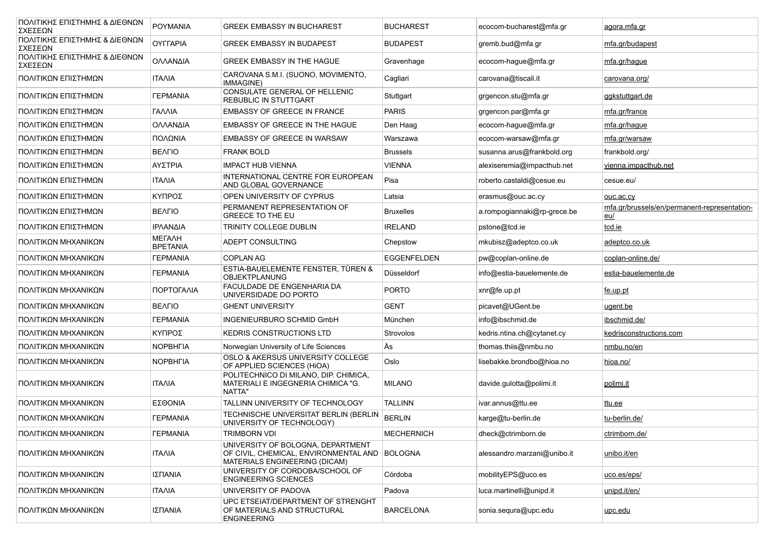| ΠΟΛΙΤΙΚΗΣ ΕΠΙΣΤΗΜΗΣ & ΔΙΕΘΝΩΝ<br>ΣΧΕΣΕΩΝ | POYMANIA                      | <b>GREEK EMBASSY IN BUCHAREST</b>                                                                                   | <b>BUCHAREST</b>   | ecocom-bucharest@mfa.gr     | agora.mfa.gr                                        |
|------------------------------------------|-------------------------------|---------------------------------------------------------------------------------------------------------------------|--------------------|-----------------------------|-----------------------------------------------------|
| ΠΟΛΙΤΙΚΗΣ ΕΠΙΣΤΗΜΗΣ & ΔΙΕΘΝΩΝ<br>ΣΧΕΣΕΩΝ | <b>OYFFAPIA</b>               | <b>GREEK EMBASSY IN BUDAPEST</b>                                                                                    | <b>BUDAPEST</b>    | gremb.bud@mfa.gr            | mfa.gr/budapest                                     |
| ΠΟΛΙΤΙΚΗΣ ΕΠΙΣΤΗΜΗΣ & ΔΙΕΘΝΩΝ<br>ΣΧΕΣΕΩΝ | ΟΛΛΑΝΔΙΑ                      | GREEK EMBASSY IN THE HAGUE                                                                                          | Gravenhage         | ecocom-hague@mfa.gr         | mfa.gr/hague                                        |
| ΠΟΛΙΤΙΚΩΝ ΕΠΙΣΤΗΜΩΝ                      | <b>ITAAIA</b>                 | CAROVANA S.M.I. (SUONO, MOVIMENTO,<br>IMMAGINE)                                                                     | Cagliari           | carovana@tiscali.it         | carovana.org/                                       |
| ΠΟΛΙΤΙΚΩΝ ΕΠΙΣΤΗΜΩΝ                      | <b><i>FEPMANIA</i></b>        | CONSULATE GENERAL OF HELLENIC<br>REBUBLIC IN STUTTGART                                                              | Stuttgart          | grgencon.stu@mfa.gr         | <u>ggkstuttgart.de</u>                              |
| ΠΟΛΙΤΙΚΩΝ ΕΠΙΣΤΗΜΩΝ                      | <b><i>TANNIA</i></b>          | <b>EMBASSY OF GREECE IN FRANCE</b>                                                                                  | <b>PARIS</b>       | grgencon.par@mfa.gr         | mfa.gr/france                                       |
| ΠΟΛΙΤΙΚΩΝ ΕΠΙΣΤΗΜΩΝ                      | ΟΛΛΑΝΔΙΑ                      | EMBASSY OF GREECE IN THE HAGUE                                                                                      | Den Haag           | ecocom-haque@mfa.gr         | mfa.gr/hague                                        |
| ΠΟΛΙΤΙΚΩΝ ΕΠΙΣΤΗΜΩΝ                      | ΠΟΛΩΝΙΑ                       | <b>EMBASSY OF GREECE IN WARSAW</b>                                                                                  | Warszawa           | ecocom-warsaw@mfa.gr        | mfa.gr/warsaw                                       |
| ΠΟΛΙΤΙΚΩΝ ΕΠΙΣΤΗΜΩΝ                      | <b>BEAFIO</b>                 | <b>FRANK BOLD</b>                                                                                                   | <b>Brussels</b>    | susanna.arus@frankbold.org  | frankbold.org/                                      |
| ΠΟΛΙΤΙΚΩΝ ΕΠΙΣΤΗΜΩΝ                      | ΑΥΣΤΡΙΑ                       | <b>IMPACT HUB VIENNA</b>                                                                                            | <b>VIENNA</b>      | alexiseremia@impacthub.net  | vienna.impacthub.net                                |
| ΠΟΛΙΤΙΚΩΝ ΕΠΙΣΤΗΜΩΝ                      | <b>ITAAIA</b>                 | INTERNATIONAL CENTRE FOR EUROPEAN<br>AND GLOBAL GOVERNANCE                                                          | Pisa               | roberto.castaldi@cesue.eu   | cesue.eu/                                           |
| ΠΟΛΙΤΙΚΩΝ ΕΠΙΣΤΗΜΩΝ                      | ΚΥΠΡΟΣ                        | OPEN UNIVERSITY OF CYPRUS                                                                                           | Latsia             | erasmus@ouc.ac.cy           | ouc.ac.cy                                           |
| ΠΟΛΙΤΙΚΩΝ ΕΠΙΣΤΗΜΩΝ                      | <b>BEAFIO</b>                 | PERMANENT REPRESENTATION OF<br>GREECE TO THE EU                                                                     | <b>Bruxelles</b>   | a.rompogiannaki@rp-grece.be | mfa.gr/brussels/en/permanent-representation-<br>eu/ |
| ΠΟΛΙΤΙΚΩΝ ΕΠΙΣΤΗΜΩΝ                      | ΙΡΛΑΝΔΙΑ                      | TRINITY COLLEGE DUBLIN                                                                                              | <b>IRELAND</b>     | pstone@tcd.ie               | tcd.ie                                              |
| ΠΟΛΙΤΙΚΩΝ ΜΗΧΑΝΙΚΩΝ                      | МЕГАЛН<br><b>BPETANIA</b>     | ADEPT CONSULTING                                                                                                    | Chepstow           | mkubisz@adeptco.co.uk       | adeptco.co.uk                                       |
| ΠΟΛΙΤΙΚΩΝ ΜΗΧΑΝΙΚΩΝ                      | <b><i>TEPMANIA</i></b>        | <b>COPLAN AG</b>                                                                                                    | <b>EGGENFELDEN</b> | pw@coplan-online.de         | coplan-online.de/                                   |
| ΠΟΛΙΤΙΚΩΝ ΜΗΧΑΝΙΚΩΝ                      | <b><i>FEPMANIA</i></b>        | ESTIA-BAUELEMENTE FENSTER, TÜREN &<br>OBJEKTPLANUNG                                                                 | Düsseldorf         | info@estia-bauelemente.de   | estia-bauelemente.de                                |
| ΠΟΛΙΤΙΚΩΝ ΜΗΧΑΝΙΚΩΝ                      | ΠΟΡΤΟΓΑΛΙΑ                    | FACULDADE DE ENGENHARIA DA<br>UNIVERSIDADE DO PORTO                                                                 | <b>PORTO</b>       | xnr@fe.up.pt                | <u>fe.up.pt</u>                                     |
| ΠΟΛΙΤΙΚΩΝ ΜΗΧΑΝΙΚΩΝ                      | <b>BEAFIO</b>                 | <b>GHENT UNIVERSITY</b>                                                                                             | <b>GENT</b>        | picavet@UGent.be            | ugent.be                                            |
| ΠΟΛΙΤΙΚΩΝ ΜΗΧΑΝΙΚΩΝ                      | <b><i><u>TEPMANIA</u></i></b> | INGENIEURBURO SCHMID GmbH                                                                                           | München            | info@ibschmid.de            | ibschmid.de/                                        |
| ΠΟΛΙΤΙΚΩΝ ΜΗΧΑΝΙΚΩΝ                      | ΚΥΠΡΟΣ                        | <b>KEDRIS CONSTRUCTIONS LTD</b>                                                                                     | Strovolos          | kedris.ntina.ch@cytanet.cy  | kedrisconstructions.com                             |
| ΠΟΛΙΤΙΚΩΝ ΜΗΧΑΝΙΚΩΝ                      | <b>NOPBHFIA</b>               | Norwegian University of Life Sciences                                                                               | Ås                 | thomas.thiis@nmbu.no        | nmbu.no/en                                          |
| ΠΟΛΙΤΙΚΩΝ ΜΗΧΑΝΙΚΩΝ                      | <b>NOPBHFIA</b>               | <b>OSLO &amp; AKERSUS UNIVERSITY COLLEGE</b><br>OF APPLIED SCIENCES (HIOA)                                          | Oslo               | lisebakke.brondbo@hioa.no   | hioa.no/                                            |
| ΠΟΛΙΤΙΚΩΝ ΜΗΧΑΝΙΚΩΝ                      | <b>ITAAIA</b>                 | POLITECHNICO DI MILANO, DIP. CHIMICA,<br>MATERIALI E INGEGNERIA CHIMICA "G.<br>NATTA"                               | <b>MILANO</b>      | davide.gulotta@polimi.it    | <u>polimi.it</u>                                    |
| ΠΟΛΙΤΙΚΩΝ ΜΗΧΑΝΙΚΩΝ                      | ΕΣΘΟΝΙΑ                       | TALLINN UNIVERSITY OF TECHNOLOGY                                                                                    | <b>TALLINN</b>     | ivar.annus@ttu.ee           | ttu.ee                                              |
| ΠΟΛΙΤΙΚΩΝ ΜΗΧΑΝΙΚΩΝ                      | <b><i>TEPMANIA</i></b>        | TECHNISCHE UNIVERSITAT BERLIN (BERLIN<br>UNIVERSITY OF TECHNOLOGY)                                                  | <b>BERLIN</b>      | karge@tu-berlin.de          | tu-berlin.de/                                       |
| ΠΟΛΙΤΙΚΩΝ ΜΗΧΑΝΙΚΩΝ                      | <b>ΓΕΡΜΑΝΙΑ</b>               | TRIMBORN VDI                                                                                                        | <b>MECHERNICH</b>  | dheck@ctrimborn.de          | ctrimborn.de/                                       |
| ΠΟΛΙΤΙΚΩΝ ΜΗΧΑΝΙΚΩΝ                      | <b>ITAAIA</b>                 | UNIVERSITY OF BOLOGNA, DEPARTMENT<br>OF CIVIL, CHEMICAL, ENVIRONMENTAL AND BOLOGNA<br>MATERIALS ENGINEERING (DICAM) |                    | alessandro.marzani@unibo.it | unibo.it/en                                         |
| ΠΟΛΙΤΙΚΩΝ ΜΗΧΑΝΙΚΩΝ                      | ΙΣΠΑΝΙΑ                       | UNIVERSITY OF CORDOBA/SCHOOL OF<br><b>ENGINEERING SCIENCES</b>                                                      | Córdoba            | mobilityEPS@uco.es          | uco.es/eps/                                         |
| ΠΟΛΙΤΙΚΩΝ ΜΗΧΑΝΙΚΩΝ                      | <b>ITAAIA</b>                 | UNIVERSITY OF PADOVA                                                                                                | Padova             | luca.martinelli@unipd.it    | unipd.it/en/                                        |
| ΠΟΛΙΤΙΚΩΝ ΜΗΧΑΝΙΚΩΝ                      | ΙΣΠΑΝΙΑ                       | UPC ETSEIAT/DEPARTMENT OF STRENGHT<br>OF MATERIALS AND STRUCTURAL<br><b>ENGINEERING</b>                             | <b>BARCELONA</b>   | sonia.sequra@upc.edu        | <u>upc.edu</u>                                      |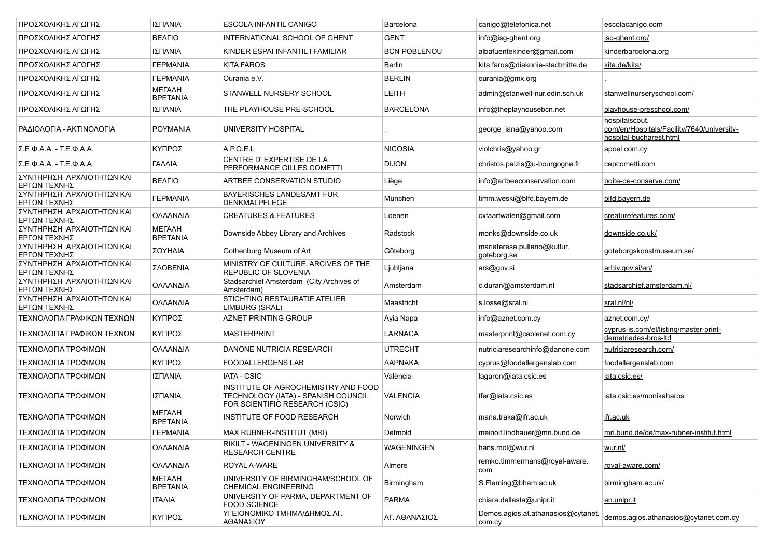| ΠΡΟΣΧΟΛΙΚΗΣ ΑΓΩΓΗΣ                        | ΙΣΠΑΝΙΑ                          | <b>ESCOLA INFANTIL CANIGO</b>                                                                                | Barcelona             | canigo@telefonica.net                        | escolacanigo.com                                                                        |
|-------------------------------------------|----------------------------------|--------------------------------------------------------------------------------------------------------------|-----------------------|----------------------------------------------|-----------------------------------------------------------------------------------------|
| ΠΡΟΣΧΟΛΙΚΗΣ ΑΓΩΓΗΣ                        | <b>BEAFIO</b>                    | INTERNATIONAL SCHOOL OF GHENT                                                                                | <b>GENT</b>           | info@isg-ghent.org                           | isg-ghent.org/                                                                          |
| ΠΡΟΣΧΟΛΙΚΗΣ ΑΓΩΓΗΣ                        | ΙΣΠΑΝΙΑ                          | KINDER ESPAI INFANTIL I FAMILIAR                                                                             | <b>BCN POBLENOU</b>   | albafuentekinder@gmail.com                   | kinderbarcelona.org                                                                     |
| ΠΡΟΣΧΟΛΙΚΗΣ ΑΓΩΓΗΣ                        | <b><i>TEPMANIA</i></b>           | <b>KITA FAROS</b>                                                                                            | <b>Berlin</b>         | kita.faros@diakonie-stadtmitte.de            | kita.de/kita/                                                                           |
| ΠΡΟΣΧΟΛΙΚΗΣ ΑΓΩΓΗΣ                        | <b><i>TEPMANIA</i></b>           | Ourania e.V.                                                                                                 | <b>BERLIN</b>         | ourania@gmx.org                              |                                                                                         |
| ΠΡΟΣΧΟΛΙΚΗΣ ΑΓΩΓΗΣ                        | МЕГАЛН<br><b>BPETANIA</b>        | STANWELL NURSERY SCHOOL                                                                                      | LEITH                 | admin@stanwell-nur.edin.sch.uk               | stanwellnurseryschool.com/                                                              |
| ΠΡΟΣΧΟΛΙΚΗΣ ΑΓΩΓΗΣ                        | ΙΣΠΑΝΙΑ                          | THE PLAYHOUSE PRE-SCHOOL                                                                                     | <b>BARCELONA</b>      | info@theplayhousebcn.net                     | playhouse-preschool.com/                                                                |
| ΡΑΔΙΟΛΟΓΙΑ - ΑΚΤΙΝΟΛΟΓΙΑ                  | <b>POYMANIA</b>                  | UNIVERSITY HOSPITAL                                                                                          |                       | george iana@yahoo.com                        | hospitalscout.<br>com/en/Hospitals/Facility/7640/university-<br>hospital-bucharest.html |
| ΣΕΦΑΑ - ΤΕΦΑΑ.                            | ΚΥΠΡΟΣ                           | A.P.O.E.L                                                                                                    | <b>NICOSIA</b>        | violchris@yahoo.gr                           | apoel.com.cy                                                                            |
| $Σ. E.Φ.A.A. - T.E.Φ.A.A.$                | ΓΑΛΛΙΑ                           | CENTRE D'EXPERTISE DE LA<br>PERFORMANCE GILLES COMETTI                                                       | <b>DIJON</b>          | christos.paizis@u-bourgogne.fr               | cepcometti.com                                                                          |
| ΣΥΝΤΗΡΗΣΗ ΑΡΧΑΙΟΤΗΤΩΝ ΚΑΙ<br>ΕΡΓΩΝ ΤΕΧΝΗΣ | <b>BEAFIO</b>                    | ARTBEE CONSERVATION STUDIO                                                                                   | Liège                 | info@artbeeconservation.com                  | boite-de-conserve.com/                                                                  |
| ΣΥΝΤΗΡΗΣΗ ΑΡΧΑΙΟΤΗΤΩΝ ΚΑΙ<br>ΕΡΓΩΝ ΤΕΧΝΗΣ | <b><i>TEPMANIA</i></b>           | BAYERISCHES LANDESAMT FUR<br><b>DENKMALPFLEGE</b>                                                            | München               | timm.weski@blfd.bayern.de                    | blfd.bayern.de                                                                          |
| ΣΥΝΤΗΡΗΣΗ ΑΡΧΑΙΟΤΗΤΩΝ ΚΑΙ<br>ΕΡΓΩΝ ΤΕΧΝΗΣ | ΟΛΛΑΝΔΙΑ                         | <b>CREATURES &amp; FEATURES</b>                                                                              | Loenen                | cxfaartwalen@gmail.com                       | creaturefeatures.com/                                                                   |
| ΣΥΝΤΗΡΗΣΗ ΑΡΧΑΙΟΤΗΤΩΝ ΚΑΙ<br>ΕΡΓΩΝ ΤΕΧΝΗΣ | МЕГАЛН<br><b>BPETANIA</b>        | Downside Abbey Library and Archives                                                                          | Radstock              | monks@downside.co.uk                         | downside.co.uk/                                                                         |
| ΣΥΝΤΗΡΗΣΗ ΑΡΧΑΙΟΤΗΤΩΝ ΚΑΙ<br>ΕΡΓΩΝ ΤΕΧΝΗΣ | ΣΟΥΗΔΙΑ                          | Gothenburg Museum of Art                                                                                     | Göteborg              | mariateresa.pullano@kultur.<br>goteborg.se   | goteborgskonstmuseum.se/                                                                |
| ΣΥΝΤΗΡΗΣΗ ΑΡΧΑΙΟΤΗΤΩΝ ΚΑΙ<br>ΕΡΓΩΝ ΤΕΧΝΗΣ | ΣΛΟΒΕΝΙΑ                         | MINISTRY OF CULTURE, ARCIVES OF THE<br><b>REPUBLIC OF SLOVENIA</b>                                           | Ljubljana             | ars@gov.si                                   | arhiv.gov.si/en/                                                                        |
| ΣΥΝΤΗΡΗΣΗ ΑΡΧΑΙΟΤΗΤΩΝ ΚΑΙ<br>ΕΡΓΩΝ ΤΕΧΝΗΣ | ΟΛΛΑΝΔΙΑ                         | Stadsarchief Amsterdam (City Archives of<br>Amsterdam)                                                       | Amsterdam             | c.duran@amsterdam.nl                         | stadsarchief.amsterdam.nl/                                                              |
| ΣΥΝΤΗΡΗΣΗ ΑΡΧΑΙΟΤΗΤΩΝ ΚΑΙ<br>ΕΡΓΩΝ ΤΕΧΝΗΣ | ΟΛΛΑΝΔΙΑ                         | STICHTING RESTAURATIE ATELIER<br>LIMBURG (SRAL)                                                              | Maastricht            | s.losse@sral.nl                              | sral.nl/nl/                                                                             |
| ΤΕΧΝΟΛΟΓΙΑ ΓΡΑΦΙΚΩΝ ΤΕΧΝΩΝ                | ΚΥΠΡΟΣ                           | AZNET PRINTING GROUP                                                                                         | Ayia Napa             | info@aznet.com.cy                            | aznet.com.cy/                                                                           |
| ΤΕΧΝΟΛΟΓΙΑ ΓΡΑΦΙΚΩΝ ΤΕΧΝΩΝ                | ΚΥΠΡΟΣ                           | <b>MASTERPRINT</b>                                                                                           | LARNACA               | masterprint@cablenet.com.cy                  | cyprus-is.com/el/listing/master-print-<br>demetriades-bros-Itd                          |
| ΤΕΧΝΟΛΟΓΙΑ ΤΡΟΦΙΜΩΝ                       | ΟΛΛΑΝΔΙΑ                         | DANONE NUTRICIA RESEARCH                                                                                     | <b>UTRECHT</b>        | nutriciaresearchinfo@danone.com              | nutriciaresearch.com/                                                                   |
| ΤΕΧΝΟΛΟΓΙΑ ΤΡΟΦΙΜΩΝ                       | ΚΥΠΡΟΣ                           | <b>FOODALLERGENS LAB</b>                                                                                     | <b><i>AAPNAKA</i></b> | cyprus@foodallergenslab.com                  | foodallergenslab.com                                                                    |
| ΤΕΧΝΟΛΟΓΙΑ ΤΡΟΦΙΜΩΝ                       | ΙΣΠΑΝΙΑ                          | <b>IATA - CSIC</b>                                                                                           | València              | lagaron@iata.csic.es                         | iata.csic.es/                                                                           |
| ΤΕΧΝΟΛΟΓΙΑ ΤΡΟΦΙΜΩΝ                       | ΙΣΠΑΝΙΑ                          | INSTITUTE OF AGROCHEMISTRY AND FOOD<br>TECHNOLOGY (IATA) - SPANISH COUNCIL<br>FOR SCIENTIFIC RESEARCH (CSIC) | <b>VALENCIA</b>       | tfer@iata.csic.es                            | iata.csic.es/monikaharos                                                                |
| ΤΕΧΝΟΛΟΓΙΑ ΤΡΟΦΙΜΩΝ                       | <b>METAAH</b><br><b>BPETANIA</b> | INSTITUTE OF FOOD RESEARCH                                                                                   | Norwich               | maria.traka@ifr.ac.uk                        | <u>ifr.ac.uk</u>                                                                        |
| ΤΕΧΝΟΛΟΓΙΑ ΤΡΟΦΙΜΩΝ                       | <b><i>TEPMANIA</i></b>           | MAX RUBNER-INSTITUT (MRI)                                                                                    | Detmold               | meinolf.lindhauer@mri.bund.de                | mri.bund.de/de/max-rubner-institut.html                                                 |
| ΤΕΧΝΟΛΟΓΙΑ ΤΡΟΦΙΜΩΝ                       | ΟΛΛΑΝΔΙΑ                         | RIKILT - WAGENINGEN UNIVERSITY &<br><b>RESEARCH CENTRE</b>                                                   | <b>WAGENINGEN</b>     | hans.mol@wur.nl                              | wur.nl/                                                                                 |
| ΤΕΧΝΟΛΟΓΙΑ ΤΡΟΦΙΜΩΝ                       | ΟΛΛΑΝΔΙΑ                         | ROYAL A-WARE                                                                                                 | Almere                | remko.timmermans@royal-aware.<br>com         | royal-aware.com/                                                                        |
| ΤΕΧΝΟΛΟΓΙΑ ΤΡΟΦΙΜΩΝ                       | МЕГАЛН<br><b>BPETANIA</b>        | UNIVERSITY OF BIRMINGHAM/SCHOOL OF<br><b>CHEMICAL ENGINEERING</b>                                            | Birmingham            | S.Fleming@bham.ac.uk                         | birmingham.ac.uk/                                                                       |
| ΤΕΧΝΟΛΟΓΙΑ ΤΡΟΦΙΜΩΝ                       | <b>ITAAIA</b>                    | UNIVERSITY OF PARMA, DEPARTMENT OF<br><b>FOOD SCIENCE</b>                                                    | <b>PARMA</b>          | chiara.dallasta@unipr.it                     | en.unipr.it                                                                             |
| ΤΕΧΝΟΛΟΓΙΑ ΤΡΟΦΙΜΩΝ                       | ΚΥΠΡΟΣ                           | ΥΓΕΙΟΝΟΜΙΚΟ ΤΜΗΜΑ/ΔΗΜΟΣ ΑΓ.<br>ΑΘΑΝΑΣΙΟΥ                                                                     | ΑΓ. ΑΘΑΝΑΣΙΟΣ         | Demos.agios.at.athanasios@cytanet.<br>com.cy | demos.agios.athanasios@cytanet.com.cy                                                   |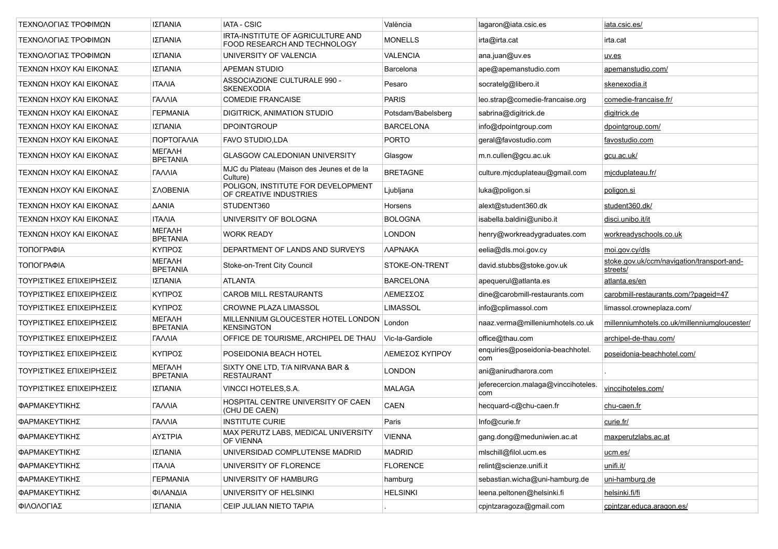| ΤΕΧΝΟΛΟΓΙΑΣ ΤΡΟΦΙΜΩΝ     | ΙΣΠΑΝΙΑ                          | <b>IATA - CSIC</b>                                                | València              | lagaron@iata.csic.es                       | iata.csic.es/                                          |
|--------------------------|----------------------------------|-------------------------------------------------------------------|-----------------------|--------------------------------------------|--------------------------------------------------------|
| ΤΕΧΝΟΛΟΓΙΑΣ ΤΡΟΦΙΜΩΝ     | ΙΣΠΑΝΙΑ                          | IRTA-INSTITUTE OF AGRICULTURE AND<br>FOOD RESEARCH AND TECHNOLOGY | <b>MONELLS</b>        | irta@irta.cat                              | irta.cat                                               |
| ΤΕΧΝΟΛΟΓΙΑΣ ΤΡΟΦΙΜΩΝ     | ΙΣΠΑΝΙΑ                          | UNIVERSITY OF VALENCIA                                            | <b>VALENCIA</b>       | ana.juan@uv.es                             | uv.es                                                  |
| ΤΕΧΝΩΝ ΗΧΟΥ ΚΑΙ ΕΙΚΟΝΑΣ  | ΙΣΠΑΝΙΑ                          | <b>APEMAN STUDIO</b>                                              | Barcelona             | ape@apemanstudio.com                       | apemanstudio.com/                                      |
| ΤΕΧΝΩΝ ΗΧΟΥ ΚΑΙ ΕΙΚΟΝΑΣ  | <b>ITAAIA</b>                    | ASSOCIAZIONE CULTURALE 990 -<br><b>SKENEXODIA</b>                 | Pesaro                | socratelg@libero.it                        | skenexodia.it                                          |
| ΤΕΧΝΩΝ ΗΧΟΥ ΚΑΙ ΕΙΚΟΝΑΣ  | ΓΑΛΛΙΑ                           | <b>COMEDIE FRANCAISE</b>                                          | <b>PARIS</b>          | leo.strap@comedie-francaise.org            | comedie-francaise.fr/                                  |
| ΤΕΧΝΩΝ ΗΧΟΥ ΚΑΙ ΕΙΚΟΝΑΣ  | <b><i>FEPMANIA</i></b>           | DIGITRICK, ANIMATION STUDIO                                       | Potsdam/Babelsberg    | sabrina@digitrick.de                       | digitrick.de                                           |
| ΤΕΧΝΩΝ ΗΧΟΥ ΚΑΙ ΕΙΚΟΝΑΣ  | ΙΣΠΑΝΙΑ                          | <b>DPOINTGROUP</b>                                                | <b>BARCELONA</b>      | info@dpointgroup.com                       | dpointgroup.com/                                       |
| ΤΕΧΝΩΝ ΗΧΟΥ ΚΑΙ ΕΙΚΟΝΑΣ  | ΠΟΡΤΟΓΑΛΙΑ                       | <b>FAVO STUDIO.LDA</b>                                            | <b>PORTO</b>          | geral@favostudio.com                       | favostudio.com                                         |
| ΤΕΧΝΩΝ ΗΧΟΥ ΚΑΙ ΕΙΚΟΝΑΣ  | <b>METAAH</b><br><b>BPETANIA</b> | <b>GLASGOW CALEDONIAN UNIVERSITY</b>                              | Glasgow               | m.n.cullen@gcu.ac.uk                       | gcu.ac.uk/                                             |
| ΤΕΧΝΩΝ ΗΧΟΥ ΚΑΙ ΕΙΚΟΝΑΣ  | ΓΑΛΛΙΑ                           | MJC du Plateau (Maison des Jeunes et de la<br>Culture)            | <b>BRETAGNE</b>       | culture.micduplateau@gmail.com             | micduplateau.fr/                                       |
| ΤΕΧΝΩΝ ΗΧΟΥ ΚΑΙ ΕΙΚΟΝΑΣ  | ΣΛΟΒΕΝΙΑ                         | POLIGON, INSTITUTE FOR DEVELOPMENT<br>OF CREATIVE INDUSTRIES      | Ljubljana             | luka@poligon.si                            | <u>poligon.si</u>                                      |
| ΤΕΧΝΩΝ ΗΧΟΥ ΚΑΙ ΕΙΚΟΝΑΣ  | <b>AANIA</b>                     | STUDENT360                                                        | Horsens               | alext@student360.dk                        | student360.dk/                                         |
| ΤΕΧΝΩΝ ΗΧΟΥ ΚΑΙ ΕΙΚΟΝΑΣ  | <b>ITAAIA</b>                    | UNIVERSITY OF BOLOGNA                                             | <b>BOLOGNA</b>        | isabella.baldini@unibo.it                  | disci unibo it/it                                      |
| ΤΕΧΝΩΝ ΗΧΟΥ ΚΑΙ ΕΙΚΟΝΑΣ  | МЕГАЛН<br><b>BPETANIA</b>        | <b>WORK READY</b>                                                 | <b>LONDON</b>         | henry@workreadygraduates.com               | workreadyschools.co.uk                                 |
| ΤΟΠΟΓΡΑΦΙΑ               | ΚΥΠΡΟΣ                           | DEPARTMENT OF LANDS AND SURVEYS                                   | <b><i>NAPNAKA</i></b> | eelia@dls.moi.gov.cy                       | moi.gov.cy/dls                                         |
| ΤΟΠΟΓΡΑΦΙΑ               | <b>METAAH</b><br><b>BPETANIA</b> | Stoke-on-Trent City Council                                       | STOKE-ON-TRENT        | david.stubbs@stoke.gov.uk                  | stoke.gov.uk/ccm/navigation/transport-and-<br>streets/ |
| ΤΟΥΡΙΣΤΙΚΕΣ ΕΠΙΧΕΙΡΗΣΕΙΣ | ΙΣΠΑΝΙΑ                          | <b>ATLANTA</b>                                                    | <b>BARCELONA</b>      | apequerul@atlanta.es                       | atlanta.es/en                                          |
| ΤΟΥΡΙΣΤΙΚΕΣ ΕΠΙΧΕΙΡΗΣΕΙΣ | ΚΥΠΡΟΣ                           | <b>CAROB MILL RESTAURANTS</b>                                     | ΛΕΜΕΣΣΟΣ              | dine@carobmill-restaurants.com             | carobmill-restaurants.com/?pageid=47                   |
| ΤΟΥΡΙΣΤΙΚΕΣ ΕΠΙΧΕΙΡΗΣΕΙΣ | ΚΥΠΡΟΣ                           | <b>CROWNE PLAZA LIMASSOL</b>                                      | <b>LIMASSOL</b>       | info@cplimassol.com                        | limassol.crowneplaza.com/                              |
| ΤΟΥΡΙΣΤΙΚΕΣ ΕΠΙΧΕΙΡΗΣΕΙΣ | МЕГАЛН<br><b>BPETANIA</b>        | MILLENNIUM GLOUCESTER HOTEL LONDON<br><b>KENSINGTON</b>           | London                | naaz.verma@milleniumhotels.co.uk           | millenniumhotels.co.uk/millenniumgloucester/           |
| ΤΟΥΡΙΣΤΙΚΕΣ ΕΠΙΧΕΙΡΗΣΕΙΣ | ΓΑΛΛΙΑ                           | OFFICE DE TOURISME, ARCHIPEL DE THAU                              | Vic-la-Gardiole       | office@thau.com                            | archipel-de-thau.com/                                  |
| ΤΟΥΡΙΣΤΙΚΕΣ ΕΠΙΧΕΙΡΗΣΕΙΣ | ΚΥΠΡΟΣ                           | POSEIDONIA BEACH HOTEL                                            | ΛΕΜΕΣΟΣ ΚΥΠΡΟΥ        | enquiries@poseidonia-beachhotel.<br>com    | poseidonia-beachhotel.com/                             |
| ΤΟΥΡΙΣΤΙΚΕΣ ΕΠΙΧΕΙΡΗΣΕΙΣ | <b>METAAH</b><br><b>BPETANIA</b> | SIXTY ONE LTD, T/A NIRVANA BAR &<br><b>RESTAURANT</b>             | <b>LONDON</b>         | ani@anirudharora.com                       |                                                        |
| ΤΟΥΡΙΣΤΙΚΕΣ ΕΠΙΧΕΙΡΗΣΕΙΣ | ΙΣΠΑΝΙΑ                          | VINCCI HOTELES, S.A.                                              | <b>MALAGA</b>         | jeferecercion.malaga@vinccihoteles.<br>com | vinccihoteles.com/                                     |
| ΦΑΡΜΑΚΕΥΤΙΚΗΣ            | <b><i>TANNIA</i></b>             | HOSPITAL CENTRE UNIVERSITY OF CAEN<br>(CHU DE CAEN)               | <b>CAEN</b>           | hecquard-c@chu-caen.fr                     | chu-caen.fr                                            |
| ΦΑΡΜΑΚΕΥΤΙΚΗΣ            | ΓΑΛΛΙΑ                           | <b>INSTITUTE CURIE</b>                                            | Paris                 | Info@curie.fr                              | curie.fr/                                              |
| ΦΑΡΜΑΚΕΥΤΙΚΗΣ            | ΑΥΣΤΡΙΑ                          | MAX PERUTZ LABS, MEDICAL UNIVERSITY<br>OF VIENNA                  | <b>VIENNA</b>         | gang.dong@meduniwien.ac.at                 | maxperutzlabs.ac.at                                    |
| ΦΑΡΜΑΚΕΥΤΙΚΗΣ            | ΙΣΠΑΝΙΑ                          | UNIVERSIDAD COMPLUTENSE MADRID                                    | <b>MADRID</b>         | mlschill@filol.ucm.es                      | ucm.es/                                                |
| ΦΑΡΜΑΚΕΥΤΙΚΗΣ            | <b>ITAAIA</b>                    | UNIVERSITY OF FLORENCE                                            | <b>FLORENCE</b>       | relint@scienze.unifi.it                    | unifi.it/                                              |
| ΦΑΡΜΑΚΕΥΤΙΚΗΣ            | <b><i>FEPMANIA</i></b>           | UNIVERSITY OF HAMBURG                                             | hamburg               | sebastian.wicha@uni-hamburg.de             | uni-hamburg.de                                         |
| ΦΑΡΜΑΚΕΥΤΙΚΗΣ            | ΦΙΛΑΝΔΙΑ                         | UNIVERSITY OF HELSINKI                                            | <b>HELSINKI</b>       | leena.peltonen@helsinki.fi                 | helsinki.fi/fi                                         |
| ΦΙΛΟΛΟΓΙΑΣ               | ΙΣΠΑΝΙΑ                          | CEIP JULIAN NIETO TAPIA                                           |                       | cpjntzaragoza@gmail.com                    | cpintzar.educa.aragon.es/                              |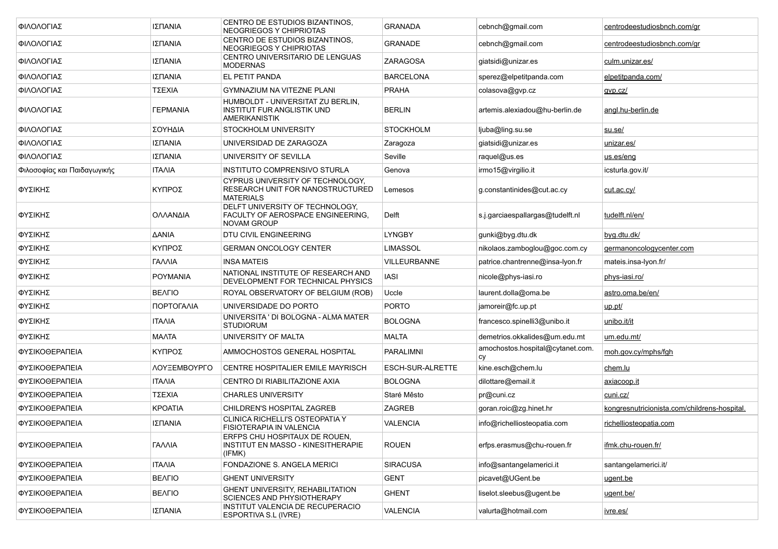| ΦΙΛΟΛΟΓΙΑΣ                  | ΙΣΠΑΝΙΑ                | CENTRO DE ESTUDIOS BIZANTINOS,<br>NEOGRIEGOS Y CHIPRIOTAS                                      | <b>GRANADA</b>   | cebnch@gmail.com                      | centrodeestudiosbnch.com/gr                  |
|-----------------------------|------------------------|------------------------------------------------------------------------------------------------|------------------|---------------------------------------|----------------------------------------------|
| ΦΙΛΟΛΟΓΙΑΣ                  | ΙΣΠΑΝΙΑ                | CENTRO DE ESTUDIOS BIZANTINOS.<br>NEOGRIEGOS Y CHIPRIOTAS                                      | GRANADE          | cebnch@gmail.com                      | centrodeestudiosbnch.com/gr                  |
| ΦΙΛΟΛΟΓΙΑΣ                  | ΙΣΠΑΝΙΑ                | CENTRO UNIVERSITARIO DE LENGUAS<br><b>MODERNAS</b>                                             | ZARAGOSA         | giatsidi@unizar.es                    | culm.unizar.es/                              |
| ΦΙΛΟΛΟΓΙΑΣ                  | ΙΣΠΑΝΙΑ                | EL PETIT PANDA                                                                                 | <b>BARCELONA</b> | sperez@elpetitpanda.com               | elpetitpanda.com/                            |
| ΦΙΛΟΛΟΓΙΑΣ                  | ΤΣΕΧΙΑ                 | <b>GYMNAZIUM NA VITEZNE PLANI</b>                                                              | <b>PRAHA</b>     | colasova@gvp.cz                       | gvp.cz/                                      |
| ΦΙΛΟΛΟΓΙΑΣ                  | <b><i>FEPMANIA</i></b> | HUMBOLDT - UNIVERSITAT ZU BERLIN,<br><b>INSTITUT FUR ANGLISTIK UND</b><br><b>AMERIKANISTIK</b> | <b>BERLIN</b>    | artemis.alexiadou@hu-berlin.de        | angl.hu-berlin.de                            |
| ΦΙΛΟΛΟΓΙΑΣ                  | ΣΟΥΗΔΙΑ                | STOCKHOLM UNIVERSITY                                                                           | <b>STOCKHOLM</b> | ljuba@ling.su.se                      | su se/                                       |
| ΦΙΛΟΛΟΓΙΑΣ                  | ΙΣΠΑΝΙΑ                | UNIVERSIDAD DE ZARAGOZA                                                                        | Zaragoza         | giatsidi@unizar.es                    | unizar.es/                                   |
| ΦΙΛΟΛΟΓΙΑΣ                  | ΙΣΠΑΝΙΑ                | UNIVERSITY OF SEVILLA                                                                          | Seville          | raquel@us.es                          | us.es/eng                                    |
| Φιλοσοφίας και Παιδαγωγικής | <b>ITAAIA</b>          | INSTITUTO COMPRENSIVO STURLA                                                                   | Genova           | irmo15@virgilio.it                    | icsturla.gov.it/                             |
| ΦΥΣΙΚΗΣ                     | ΚΥΠΡΟΣ                 | CYPRUS UNIVERSITY OF TECHNOLOGY.<br>RESEARCH UNIT FOR NANOSTRUCTURED<br><b>MATERIALS</b>       | Lemesos          | g.constantinides@cut.ac.cy            | <u>cut.ac.cy/</u>                            |
| ΦΥΣΙΚΗΣ                     | ΟΛΛΑΝΔΙΑ               | DELFT UNIVERSITY OF TECHNOLOGY,<br>FACULTY OF AEROSPACE ENGINEERING,<br>NOVAM GROUP            | Delft            | s.j.garciaespallargas@tudelft.nl      | tudelft.nl/en/                               |
| ΦΥΣΙΚΗΣ                     | ΔANIA                  | DTU CIVIL ENGINEERING                                                                          | LYNGBY           | gunki@byg.dtu.dk                      | <u>byg.dtu.dk/</u>                           |
| ΦΥΣΙΚΗΣ                     | ΚΥΠΡΟΣ                 | <b>GERMAN ONCOLOGY CENTER</b>                                                                  | <b>LIMASSOL</b>  | nikolaos.zamboglou@goc.com.cy         | germanoncologycenter.com                     |
| ΦΥΣΙΚΗΣ                     | ΓΑΛΛΙΑ                 | <b>INSA MATEIS</b>                                                                             | VILLEURBANNE     | patrice.chantrenne@insa-lyon.fr       | mateis.insa-lyon.fr/                         |
| ΦΥΣΙΚΗΣ                     | <b>POYMANIA</b>        | NATIONAL INSTITUTE OF RESEARCH AND<br>DEVELOPMENT FOR TECHNICAL PHYSICS                        | <b>IASI</b>      | nicole@phys-iasi.ro                   | phys-iasi.ro/                                |
| ΦΥΣΙΚΗΣ                     | <b>BEAFIO</b>          | ROYAL OBSERVATORY OF BELGIUM (ROB)                                                             | Uccle            | laurent.dolla@oma.be                  | astro.oma.be/en/                             |
| ΦΥΣΙΚΗΣ                     | ΠΟΡΤΟΓΑΛΙΑ             | UNIVERSIDADE DO PORTO                                                                          | <b>PORTO</b>     | jamoreir@fc.up.pt                     | <u>up.pt/</u>                                |
| ΦΥΣΙΚΗΣ                     | <b>ITAAIA</b>          | UNIVERSITA ' DI BOLOGNA - ALMA MATER<br><b>STUDIORUM</b>                                       | <b>BOLOGNA</b>   | francesco.spinelli3@unibo.it          | unibo.it/it                                  |
| ΦΥΣΙΚΗΣ                     | <b>MAATA</b>           | UNIVERSITY OF MALTA                                                                            | <b>MALTA</b>     | demetrios.okkalides@um.edu.mt         | um.edu.mt/                                   |
| ΦΥΣΙΚΟΘΕΡΑΠΕΙΑ              | ΚΥΠΡΟΣ                 | AMMOCHOSTOS GENERAL HOSPITAL                                                                   | PARALIMNI        | amochostos.hospital@cytanet.com<br>CV | moh.gov.cy/mphs/fgh                          |
| ΦΥΣΙΚΟΘΕΡΑΠΕΙΑ              | ΛΟΥΞΕΜΒΟΥΡΓΟ           | CENTRE HOSPITALIER EMILE MAYRISCH                                                              | ESCH-SUR-ALRETTE | kine.esch@chem.lu                     | chem.lu                                      |
| ΦΥΣΙΚΟΘΕΡΑΠΕΙΑ              | <b>ITAAIA</b>          | CENTRO DI RIABILITAZIONE AXIA                                                                  | <b>BOLOGNA</b>   | dilottare@email.it                    | <u>axiacoop.it</u>                           |
| ΦΥΣΙΚΟΘΕΡΑΠΕΙΑ              | ΤΣΕΧΙΑ                 | <b>CHARLES UNIVERSITY</b>                                                                      | Staré Město      | pr@cuni.cz                            | cuni.cz/                                     |
| ΦΥΣΙΚΟΘΕΡΑΠΕΙΑ              | <b>KPOATIA</b>         | CHILDREN'S HOSPITAL ZAGREB                                                                     | ZAGREB           | goran.roic@zg.hinet.hr                | kongresnutricionista.com/childrens-hospital. |
| ΦΥΣΙΚΟΘΕΡΑΠΕΙΑ              | ΙΣΠΑΝΙΑ                | CLINICA RICHELLI'S OSTEOPATIA Y<br>FISIOTERAPIA IN VALENCIA                                    | VALENCIA         | info@richelliosteopatia.com           | richelliosteopatia.com                       |
| ΦΥΣΙΚΟΘΕΡΑΠΕΙΑ              | ΓΑΛΛΙΑ                 | ERFPS CHU HOSPITAUX DE ROUEN,<br>INSTITUT EN MASSO - KINESITHERAPIE<br>(IFMK)                  | <b>ROUEN</b>     | erfps.erasmus@chu-rouen.fr            | ifmk.chu-rouen.fr/                           |
| ΦΥΣΙΚΟΘΕΡΑΠΕΙΑ              | <b>ITAAIA</b>          | FONDAZIONE S. ANGELA MERICI                                                                    | <b>SIRACUSA</b>  | info@santangelamerici.it              | santangelamerici.it/                         |
| ΦΥΣΙΚΟΘΕΡΑΠΕΙΑ              | <b>BEAFIO</b>          | <b>GHENT UNIVERSITY</b>                                                                        | <b>GENT</b>      | picavet@UGent.be                      | ugent.be                                     |
| ΦΥΣΙΚΟΘΕΡΑΠΕΙΑ              | <b>BEAFIO</b>          | GHENT UNIVERSITY, REHABILITATION<br>SCIENCES AND PHYSIOTHERAPY                                 | <b>GHENT</b>     | liselot.sleebus@ugent.be              | ugent.be/                                    |
| ΦΥΣΙΚΟΘΕΡΑΠΕΙΑ              | ΙΣΠΑΝΙΑ                | INSTITUT VALENCIA DE RECUPERACIO<br>ESPORTIVA S.L (IVRE)                                       | VALENCIA         | valurta@hotmail.com                   | ivre.es/                                     |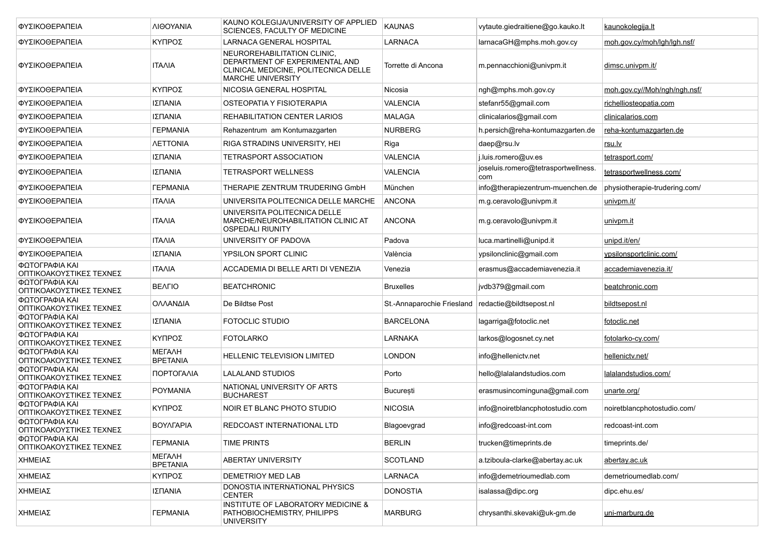| ΦΥΣΙΚΟΘΕΡΑΠΕΙΑ                            | ΛΙΘΟΥΑΝΙΑ                        | KAUNO KOLEGIJA/UNIVERSITY OF APPLIED<br>SCIENCES, FACULTY OF MEDICINE                                                             | <b>KAUNAS</b>              | vytaute.giedraitiene@go.kauko.lt           | kaunokolegija.lt              |
|-------------------------------------------|----------------------------------|-----------------------------------------------------------------------------------------------------------------------------------|----------------------------|--------------------------------------------|-------------------------------|
| ΦΥΣΙΚΟΘΕΡΑΠΕΙΑ                            | ΚΥΠΡΟΣ                           | LARNACA GENERAL HOSPITAL                                                                                                          | LARNACA                    | larnacaGH@mphs.moh.gov.cy                  | moh.gov.cy/moh/lgh/lgh.nsf/   |
| ΦΥΣΙΚΟΘΕΡΑΠΕΙΑ                            | ITAAIA                           | NEUROREHABILITATION CLINIC,<br>DEPARTMENT OF EXPERIMENTAL AND<br>CLINICAL MEDICINE, POLITECNICA DELLE<br><b>MARCHE UNIVERSITY</b> | Torrette di Ancona         | m.pennacchioni@univpm.it                   | dimsc.univpm.it/              |
| ΦΥΣΙΚΟΘΕΡΑΠΕΙΑ                            | ΚΥΠΡΟΣ                           | NICOSIA GENERAL HOSPITAL                                                                                                          | Nicosia                    | ngh@mphs.moh.gov.cy                        | moh.gov.cy//Moh/ngh/ngh.nsf/  |
| ΦΥΣΙΚΟΘΕΡΑΠΕΙΑ                            | ΙΣΠΑΝΙΑ                          | OSTEOPATIA Y FISIOTERAPIA                                                                                                         | <b>VALENCIA</b>            | stefanr55@gmail.com                        | richelliosteopatia.com        |
| ΦΥΣΙΚΟΘΕΡΑΠΕΙΑ                            | ΙΣΠΑΝΙΑ                          | <b>REHABILITATION CENTER LARIOS</b>                                                                                               | MALAGA                     | clinicalarios@gmail.com                    | clinicalarios.com             |
| ΦΥΣΙΚΟΘΕΡΑΠΕΙΑ                            | <b><i>TEPMANIA</i></b>           | Rehazentrum am Kontumazgarten                                                                                                     | <b>NURBERG</b>             | h.persich@reha-kontumazgarten.de           | reha-kontumazgarten.de        |
| ΦΥΣΙΚΟΘΕΡΑΠΕΙΑ                            | <b><i>NETTONIA</i></b>           | RIGA STRADINS UNIVERSITY. HEI                                                                                                     | Riga                       | daep@rsu.lv                                | rsu.lv                        |
| ΦΥΣΙΚΟΘΕΡΑΠΕΙΑ                            | ΙΣΠΑΝΙΑ                          | <b>TETRASPORT ASSOCIATION</b>                                                                                                     | <b>VALENCIA</b>            | j.luis.romero@uv.es                        | tetrasport.com/               |
| ΦΥΣΙΚΟΘΕΡΑΠΕΙΑ                            | ΙΣΠΑΝΙΑ                          | <b>TETRASPORT WELLNESS</b>                                                                                                        | <b>VALENCIA</b>            | joseluis.romero@tetrasportwellness.<br>com | tetrasportwellness.com/       |
| ΦΥΣΙΚΟΘΕΡΑΠΕΙΑ                            | <b><i>FEPMANIA</i></b>           | THERAPIE ZENTRUM TRUDERING GmbH                                                                                                   | München                    | info@therapiezentrum-muenchen.de           | physiotherapie-trudering.com/ |
| ΦΥΣΙΚΟΘΕΡΑΠΕΙΑ                            | ITAAIA                           | UNIVERSITA POLITECNICA DELLE MARCHE                                                                                               | <b>ANCONA</b>              | m.g.ceravolo@univpm.it                     | univpm.it/                    |
| ΦΥΣΙΚΟΘΕΡΑΠΕΙΑ                            | ITAAIA                           | UNIVERSITA POLITECNICA DELLE<br>MARCHE/NEUROHABILITATION CLINIC AT<br><b>OSPEDALI RIUNITY</b>                                     | <b>ANCONA</b>              | m.g.ceravolo@univpm.it                     | univpm.it                     |
| ΦΥΣΙΚΟΘΕΡΑΠΕΙΑ                            | <b>ITAAIA</b>                    | UNIVERSITY OF PADOVA                                                                                                              | Padova                     | luca martinelli@unipd.it                   | unipd.it/en/                  |
| ΦΥΣΙΚΟΘΕΡΑΠΕΙΑ                            | ΙΣΠΑΝΙΑ                          | YPSILON SPORT CLINIC                                                                                                              | València                   | ypsilonclinic@gmail.com                    | ypsilonsportclinic.com/       |
| ΦΩΤΟΓΡΑΦΙΑ ΚΑΙ<br>ΟΠΤΙΚΟΑΚΟΥΣΤΙΚΕΣ ΤΕΧΝΕΣ | <b>ITAAIA</b>                    | ACCADEMIA DI BELLE ARTI DI VENEZIA                                                                                                | Venezia                    | erasmus@accademiavenezia.it                | accademiavenezia.it/          |
| ΦΩΤΟΓΡΑΦΙΑ ΚΑΙ<br>ΟΠΤΙΚΟΑΚΟΥΣΤΙΚΕΣ ΤΕΧΝΕΣ | <b>BEAFIO</b>                    | <b>BEATCHRONIC</b>                                                                                                                | <b>Bruxelles</b>           | jvdb379@gmail.com                          | beatchronic.com               |
| ΦΩΤΟΓΡΑΦΙΑ ΚΑΙ<br>ΟΠΤΙΚΟΑΚΟΥΣΤΙΚΕΣ ΤΕΧΝΕΣ | ΟΛΛΑΝΔΙΑ                         | De Bildtse Post                                                                                                                   | St.-Annaparochie Friesland | redactie@bildtsepost.nl                    | bildtsepost.nl                |
| ΦΩΤΟΓΡΑΦΙΑ ΚΑΙ<br>ΟΠΤΙΚΟΑΚΟΥΣΤΙΚΕΣ ΤΕΧΝΕΣ | ΙΣΠΑΝΙΑ                          | <b>FOTOCLIC STUDIO</b>                                                                                                            | <b>BARCELONA</b>           | lagarriga@fotoclic.net                     | fotoclic.net                  |
| ΦΩΤΟΓΡΑΦΙΑ ΚΑΙ<br>ΟΠΤΙΚΟΑΚΟΥΣΤΙΚΕΣ ΤΕΧΝΕΣ | ΚΥΠΡΟΣ                           | <b>FOTOLARKO</b>                                                                                                                  | LARNAKA                    | larkos@logosnet.cy.net                     | fotolarko-cy.com/             |
| ΦΩΤΟΓΡΑΦΙΑ ΚΑΙ<br>ΟΠΤΙΚΟΑΚΟΥΣΤΙΚΕΣ ΤΕΧΝΕΣ | МЕГАЛН<br><b>BPETANIA</b>        | HELLENIC TELEVISION LIMITED                                                                                                       | LONDON                     | info@hellenictv.net                        | hellenictv.net/               |
| ΦΩΤΟΓΡΑΦΙΑ ΚΑΙ<br>ΟΠΤΙΚΟΑΚΟΥΣΤΙΚΕΣ ΤΕΧΝΕΣ | ΠΟΡΤΟΓΑΛΙΑ                       | LALALAND STUDIOS                                                                                                                  | Porto                      | hello@lalalandstudios.com                  | lalalandstudios.com/          |
| ΦΩΤΟΓΡΑΦΙΑ ΚΑΙ<br>ΟΠΤΙΚΟΑΚΟΥΣΤΙΚΕΣ ΤΕΧΝΕΣ | POYMANIA                         | NATIONAL UNIVERSITY OF ARTS<br><b>BUCHAREST</b>                                                                                   | București                  | erasmusincominguna@gmail.com               | unarte.org/                   |
| ΦΩΤΟΓΡΑΦΙΑ ΚΑΙ<br>ΟΠΤΙΚΟΑΚΟΥΣΤΙΚΕΣ ΤΕΧΝΕΣ | ΚΥΠΡΟΣ                           | NOIR ET BLANC PHOTO STUDIO                                                                                                        | <b>NICOSIA</b>             | info@noiretblancphotostudio.com            | noiretblancphotostudio.com/   |
| ΦΩΤΟΓΡΑΦΙΑ ΚΑΙ<br>ΟΠΤΙΚΟΑΚΟΥΣΤΙΚΕΣ ΤΕΧΝΕΣ | <b>BOYAFAPIA</b>                 | REDCOAST INTERNATIONAL LTD                                                                                                        | Blagoevgrad                | info@redcoast-int.com                      | redcoast-int.com              |
| ΦΩΤΟΓΡΑΦΙΑ ΚΑΙ<br>ΟΠΤΙΚΟΑΚΟΥΣΤΙΚΕΣ ΤΕΧΝΕΣ | <b><i>FEPMANIA</i></b>           | <b>TIME PRINTS</b>                                                                                                                | <b>BERLIN</b>              | trucken@timeprints.de                      | timeprints.de/                |
| ΧΗΜΕΙΑΣ                                   | <b>METAAH</b><br><b>BPETANIA</b> | <b>ABERTAY UNIVERSITY</b>                                                                                                         | <b>SCOTLAND</b>            | a.tziboula-clarke@abertay.ac.uk            | abertay.ac.uk                 |
| ΧΗΜΕΙΑΣ                                   | ΚΥΠΡΟΣ                           | <b>DEMETRIOY MED LAB</b>                                                                                                          | LARNACA                    | info@demetrioumedlab.com                   | demetrioumedlab.com/          |
| ΧΗΜΕΙΑΣ                                   | ΙΣΠΑΝΙΑ                          | DONOSTIA INTERNATIONAL PHYSICS<br><b>CENTER</b>                                                                                   | <b>DONOSTIA</b>            | isalassa@dipc.org                          | dipc.ehu.es/                  |
| ΧΗΜΕΙΑΣ                                   | <b>ΓΕΡΜΑΝΙΑ</b>                  | INSTITUTE OF LABORATORY MEDICINE &<br>PATHOBIOCHEMISTRY, PHILIPPS<br><b>UNIVERSITY</b>                                            | <b>MARBURG</b>             | chrysanthi.skevaki@uk-gm.de                | uni-marburg.de                |